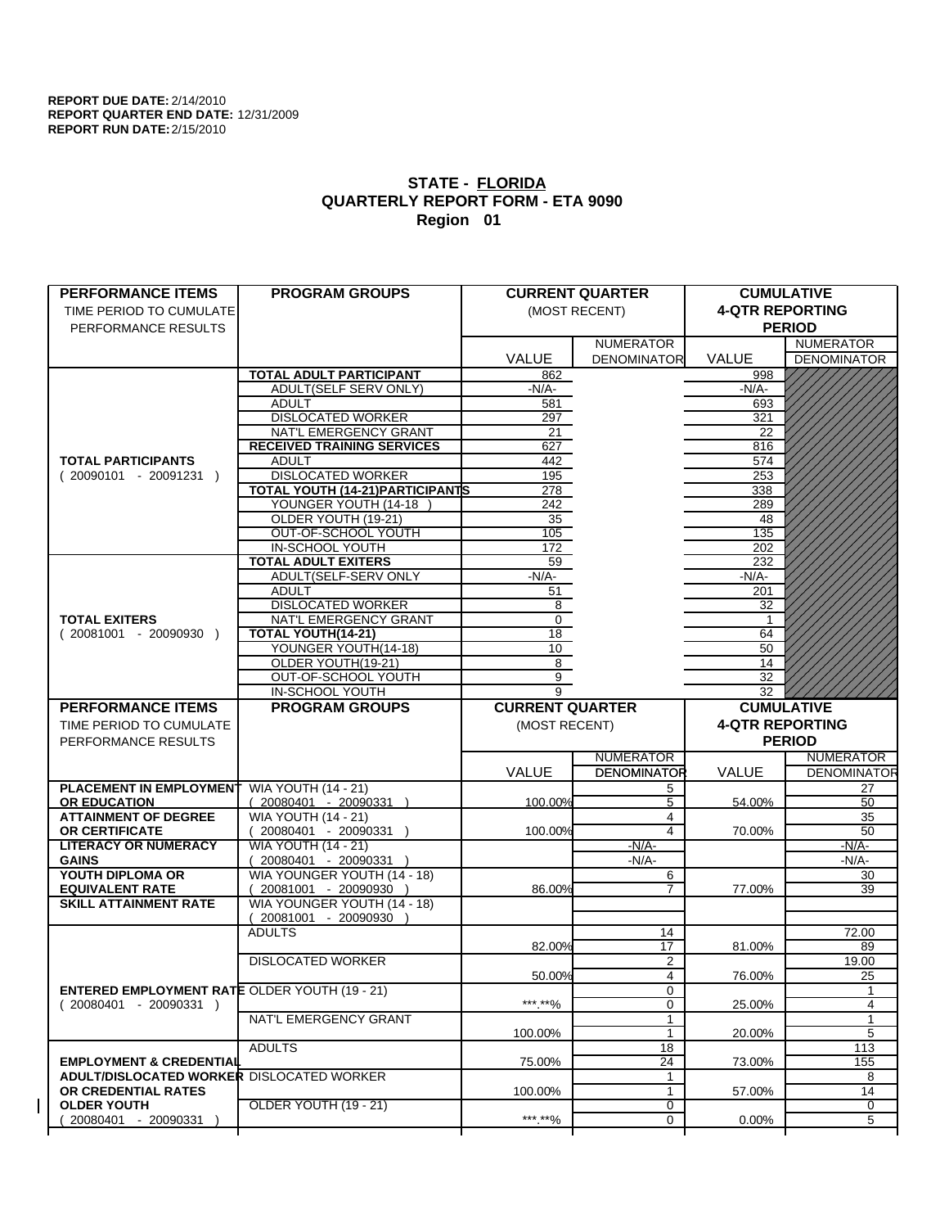| <b>PERFORMANCE ITEMS</b>                             | <b>PROGRAM GROUPS</b>                       |                        | <b>CURRENT QUARTER</b> |                        | <b>CUMULATIVE</b>        |
|------------------------------------------------------|---------------------------------------------|------------------------|------------------------|------------------------|--------------------------|
| TIME PERIOD TO CUMULATE                              |                                             |                        | (MOST RECENT)          | <b>4-QTR REPORTING</b> |                          |
| PERFORMANCE RESULTS                                  |                                             |                        |                        |                        | <b>PERIOD</b>            |
|                                                      |                                             |                        | <b>NUMERATOR</b>       |                        | <b>NUMERATOR</b>         |
|                                                      |                                             | <b>VALUE</b>           | <b>DENOMINATOR</b>     | <b>VALUE</b>           | <b>DENOMINATOR</b>       |
|                                                      | TOTAL ADULT PARTICIPANT                     | 862                    |                        | 998                    |                          |
|                                                      | <b>ADULT(SELF SERV ONLY)</b>                | -N/A-                  |                        | $-N/A$ -               |                          |
|                                                      | <b>ADULT</b>                                | 581                    |                        | 693                    |                          |
|                                                      | <b>DISLOCATED WORKER</b>                    | 297                    |                        | 321                    |                          |
|                                                      | NAT'L EMERGENCY GRANT                       | 21                     |                        | 22                     |                          |
|                                                      | <b>RECEIVED TRAINING SERVICES</b>           | 627                    |                        | 816                    |                          |
| <b>TOTAL PARTICIPANTS</b>                            | <b>ADULT</b>                                | 442                    |                        | 574                    |                          |
| $(20090101 - 20091231)$                              | <b>DISLOCATED WORKER</b>                    | 195                    |                        | 253                    |                          |
|                                                      | <b>TOTAL YOUTH (14-21) PARTICIPANTS</b>     | 278                    |                        | 338                    |                          |
|                                                      | YOUNGER YOUTH (14-18                        | 242                    |                        | 289                    |                          |
|                                                      | OLDER YOUTH (19-21)                         | 35                     |                        | 48                     |                          |
|                                                      | OUT-OF-SCHOOL YOUTH                         | 105                    |                        | 135                    |                          |
|                                                      | IN-SCHOOL YOUTH                             | 172                    |                        | 202                    |                          |
|                                                      | <b>TOTAL ADULT EXITERS</b>                  | 59                     |                        | 232                    |                          |
|                                                      | ADULT(SELF-SERV ONLY                        | $-N/A-$                |                        | $-N/A-$                |                          |
|                                                      | <b>ADULT</b>                                | 51                     |                        | 201                    |                          |
|                                                      | <b>DISLOCATED WORKER</b>                    |                        |                        | 32                     |                          |
| <b>TOTAL EXITERS</b>                                 |                                             | $8\phantom{1}$<br>0    |                        |                        |                          |
| $(20081001 - 20090930)$                              | NAT'L EMERGENCY GRANT<br>TOTAL YOUTH(14-21) | 18                     |                        |                        |                          |
|                                                      | YOUNGER YOUTH(14-18)                        |                        |                        | 64                     |                          |
|                                                      |                                             | 10 <sup>1</sup>        |                        | 50                     |                          |
|                                                      | OLDER YOUTH(19-21)                          | 8<br>$\overline{9}$    |                        | 14                     |                          |
|                                                      | OUT-OF-SCHOOL YOUTH                         |                        |                        | 32                     |                          |
|                                                      | IN-SCHOOL YOUTH                             | 9                      |                        | 32                     |                          |
| <b>PERFORMANCE ITEMS</b>                             | <b>PROGRAM GROUPS</b>                       | <b>CURRENT QUARTER</b> |                        |                        | <b>CUMULATIVE</b>        |
|                                                      |                                             |                        |                        |                        |                          |
| TIME PERIOD TO CUMULATE                              |                                             | (MOST RECENT)          |                        | <b>4-QTR REPORTING</b> |                          |
| PERFORMANCE RESULTS                                  |                                             |                        |                        |                        | <b>PERIOD</b>            |
|                                                      |                                             |                        | <b>NUMERATOR</b>       |                        | <b>NUMERATOR</b>         |
|                                                      |                                             |                        |                        |                        |                          |
|                                                      |                                             | <b>VALUE</b>           | <b>DENOMINATOR</b>     | <b>VALUE</b>           |                          |
| <b>PLACEMENT IN EMPLOYMENT</b>                       | <b>WIA YOUTH (14 - 21)</b>                  |                        | 5                      |                        | 27                       |
| <b>OR EDUCATION</b>                                  | $(20080401 - 20090331)$                     | 100.00%                | 5                      | 54.00%                 | 50                       |
| <b>ATTAINMENT OF DEGREE</b>                          | <b>WIA YOUTH (14 - 21)</b>                  |                        | 4                      |                        | 35                       |
| OR CERTIFICATE                                       | $(20080401 - 20090331)$                     | 100.00%                | 4                      | 70.00%                 | 50                       |
| <b>LITERACY OR NUMERACY</b>                          | <b>WIA YOUTH (14 - 21)</b>                  |                        | $-N/A$ -               |                        | $-N/A-$                  |
| <b>GAINS</b>                                         | 20080401 - 20090331 )                       |                        | -N/A-                  |                        | -N/A-                    |
| YOUTH DIPLOMA OR                                     | WIA YOUNGER YOUTH (14 - 18)                 |                        | 6                      |                        | 30                       |
| <b>EQUIVALENT RATE</b>                               | 20081001 - 20090930 )                       | 86.00%                 | $\overline{7}$         | 77.00%                 | 39                       |
| <b>SKILL ATTAINMENT RATE</b>                         | WIA YOUNGER YOUTH (14 - 18)                 |                        |                        |                        |                          |
|                                                      | $(20081001 - 20090930)$                     |                        |                        |                        |                          |
|                                                      | <b>ADULTS</b>                               |                        | 14                     |                        | 72.00                    |
|                                                      |                                             | 82.00%                 | 17                     | 81.00%                 | <b>DENOMINATOR</b><br>89 |
|                                                      | <b>DISLOCATED WORKER</b>                    |                        | 2                      |                        | 19.00                    |
|                                                      |                                             | 50.00%                 | $\overline{4}$         | 76.00%                 | 25                       |
| <b>ENTERED EMPLOYMENT RATE OLDER YOUTH (19 - 21)</b> |                                             |                        | 0                      |                        | $\mathbf{1}$             |
| $(20080401 - 20090331)$                              |                                             | *** **%                | 0                      | 25.00%                 | 4                        |
|                                                      | NAT'L EMERGENCY GRANT                       |                        | 1                      |                        | 1                        |
|                                                      |                                             | 100.00%                | $\mathbf{1}$           | 20.00%                 | 5                        |
|                                                      | <b>ADULTS</b>                               |                        | 18                     |                        | 113                      |
| <b>EMPLOYMENT &amp; CREDENTIAL</b>                   |                                             | 75.00%                 | 24                     | 73.00%                 | 155                      |
| <b>ADULT/DISLOCATED WORKER DISLOCATED WORKER</b>     |                                             |                        | 1                      |                        | 8                        |
| OR CREDENTIAL RATES                                  |                                             | 100.00%                | 1                      | 57.00%                 | 14                       |
| <b>OLDER YOUTH</b><br>20080401 - 20090331            | OLDER YOUTH (19 - 21)                       | ***.**%                | $\overline{0}$<br>0    | 0.00%                  | 0<br>5                   |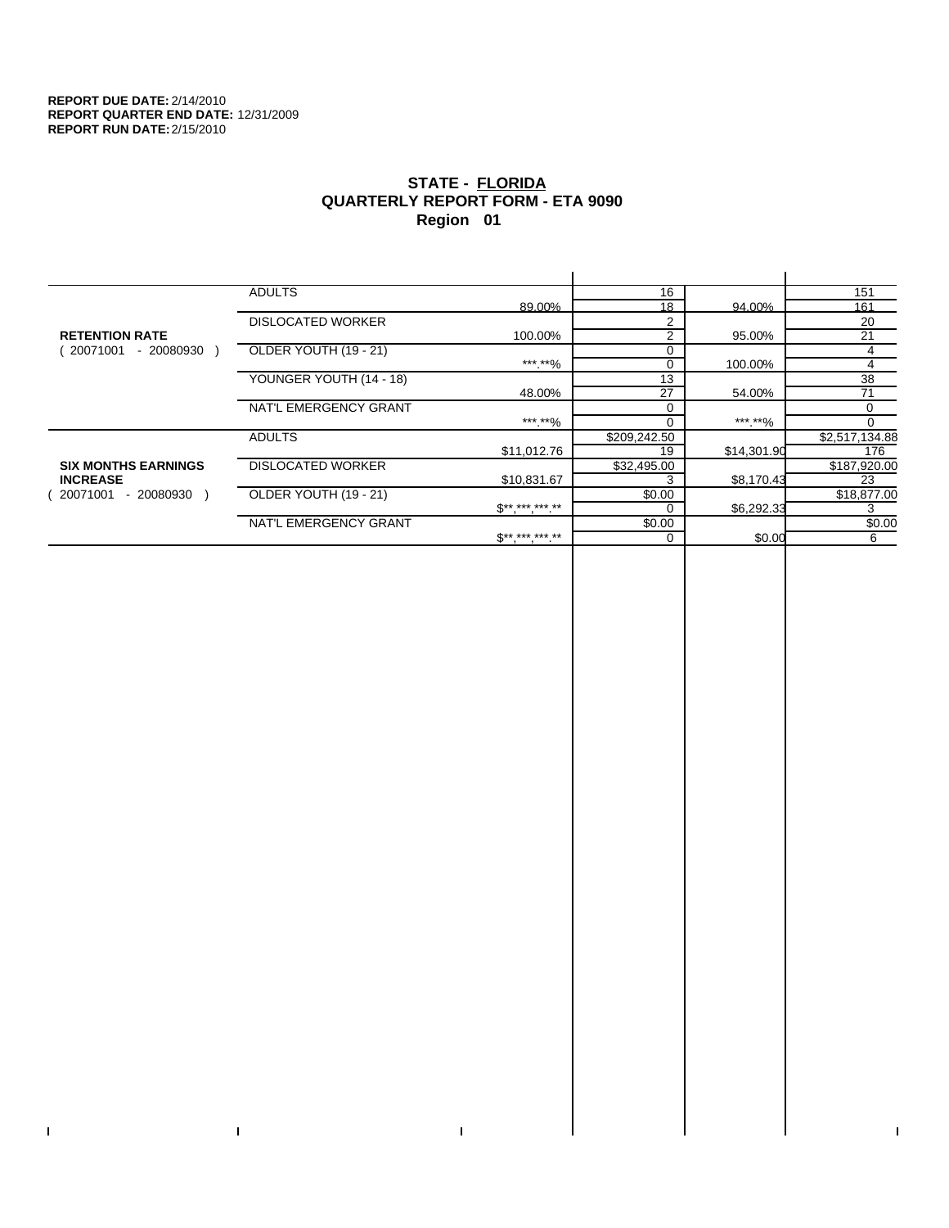$\bar{\Gamma}$ 

 $\mathbf{L}$ 

# **STATE - FLORIDA QUARTERLY REPORT FORM - ETA 9090 Region 01**

|                            | <b>ADULTS</b>            |                                 | 16             |             | 151            |
|----------------------------|--------------------------|---------------------------------|----------------|-------------|----------------|
|                            |                          | 89.00%                          | 18             | 94.00%      | 161            |
|                            | <b>DISLOCATED WORKER</b> |                                 | $\overline{2}$ |             | 20             |
| <b>RETENTION RATE</b>      |                          | 100.00%                         | 2              | 95.00%      | 21             |
| 20071001<br>- 20080930     | OLDER YOUTH (19 - 21)    |                                 | 0              |             | 4              |
|                            |                          | ***.**%                         | $\Omega$       | 100.00%     | 4              |
|                            | YOUNGER YOUTH (14 - 18)  |                                 | 13             |             | 38             |
|                            |                          | 48.00%                          | 27             | 54.00%      | 71             |
|                            | NAT'L EMERGENCY GRANT    |                                 | $\Omega$       |             | 0              |
|                            |                          | ***.**%                         |                | *** **%     |                |
|                            | <b>ADULTS</b>            |                                 | \$209,242.50   |             | \$2,517,134.88 |
|                            |                          | \$11,012.76                     | 19             | \$14,301.90 | 176            |
| <b>SIX MONTHS EARNINGS</b> | <b>DISLOCATED WORKER</b> |                                 | \$32,495.00    |             | \$187,920.00   |
| <b>INCREASE</b>            |                          | \$10,831.67                     | 3              | \$8,170.43  | 23             |
| 20071001<br>- 20080930     | OLDER YOUTH (19 - 21)    |                                 | \$0.00         |             | \$18,877.00    |
|                            |                          | $\mathfrak{S}^{***}$ *** *** ** |                | \$6,292.33  | 3              |
|                            | NAT'L EMERGENCY GRANT    |                                 | \$0.00         |             | \$0.00         |
|                            |                          | $S*********$                    | $\Omega$       | \$0.00      | 6              |
|                            |                          |                                 |                |             |                |

 $\bar{\Gamma}$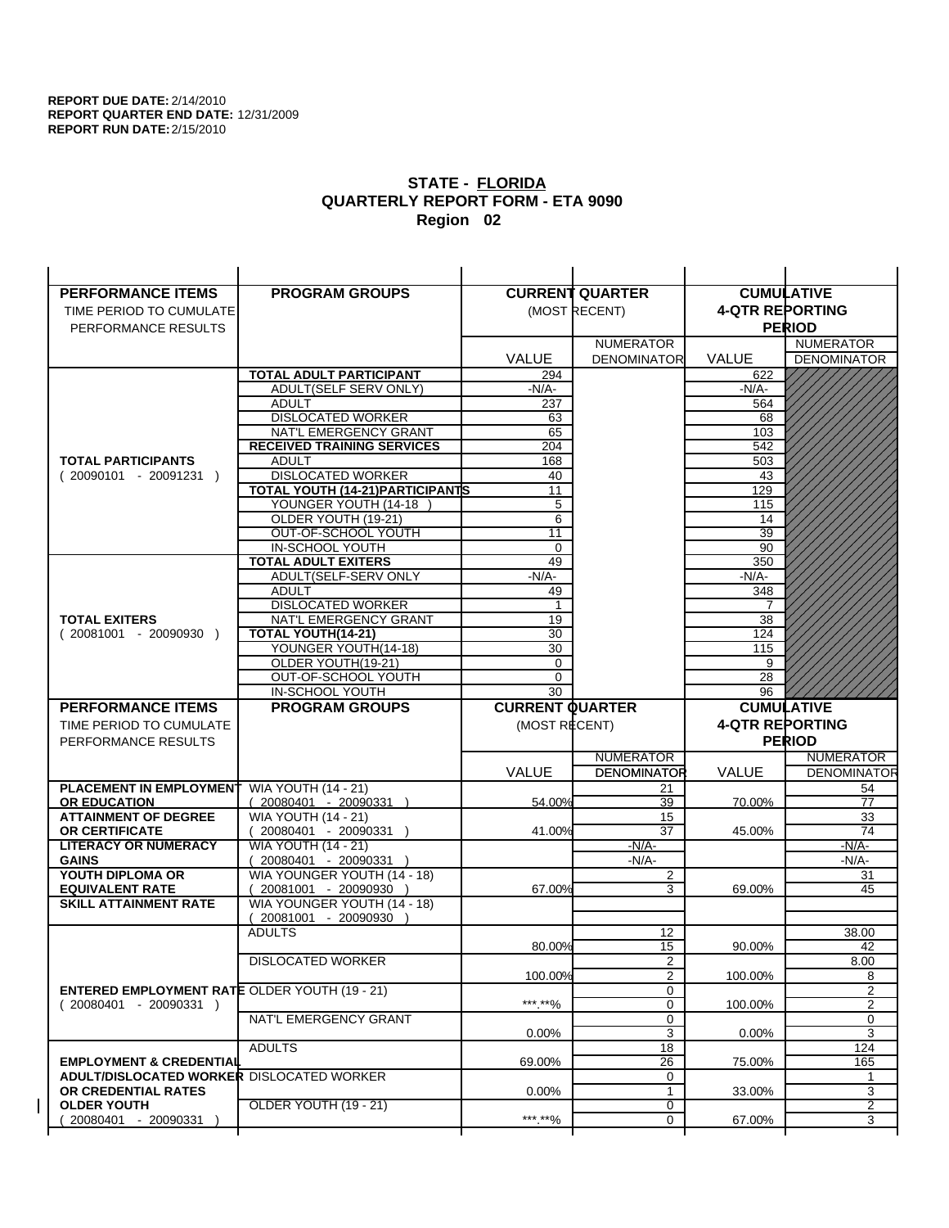| <b>PERFORMANCE ITEMS</b>                                                        | <b>PROGRAM GROUPS</b>                         |                        | <b>CURRENT QUARTER</b> |                        | <b>CUMULATIVE</b>  |
|---------------------------------------------------------------------------------|-----------------------------------------------|------------------------|------------------------|------------------------|--------------------|
| TIME PERIOD TO CUMULATE                                                         |                                               |                        | (MOST RECENT)          | <b>4-QTR REPORTING</b> |                    |
| PERFORMANCE RESULTS                                                             |                                               |                        |                        |                        | <b>PERIOD</b>      |
|                                                                                 |                                               |                        | <b>NUMERATOR</b>       |                        | <b>NUMERATOR</b>   |
|                                                                                 |                                               | <b>VALUE</b>           | <b>DENOMINATOR</b>     | VALUE                  | <b>DENOMINATOR</b> |
|                                                                                 | <b>TOTAL ADULT PARTICIPANT</b>                | 294                    |                        | 622                    |                    |
|                                                                                 | ADULT(SELF SERV ONLY)                         | -N/A-                  |                        | -N/A-                  |                    |
|                                                                                 | <b>ADULT</b>                                  | 237                    |                        | 564                    |                    |
|                                                                                 | <b>DISLOCATED WORKER</b>                      | 63                     |                        | 68                     |                    |
|                                                                                 | NAT'L EMERGENCY GRANT                         | 65                     |                        | 103                    |                    |
|                                                                                 | <b>RECEIVED TRAINING SERVICES</b>             | 204                    |                        | 542                    |                    |
| <b>TOTAL PARTICIPANTS</b>                                                       | <b>ADULT</b>                                  | 168                    |                        | 503                    |                    |
| $(20090101 - 20091231)$                                                         | <b>DISLOCATED WORKER</b>                      | 40                     |                        | 43                     |                    |
|                                                                                 | <b>TOTAL YOUTH (14-21) PARTICIPANTS</b>       | 11                     |                        | 129                    |                    |
|                                                                                 | YOUNGER YOUTH (14-18                          | 5                      |                        | 115                    |                    |
|                                                                                 | OLDER YOUTH (19-21)                           | 6                      |                        | 14                     |                    |
|                                                                                 | OUT-OF-SCHOOL YOUTH                           | 11                     |                        | $\overline{39}$        |                    |
|                                                                                 | IN-SCHOOL YOUTH<br><b>TOTAL ADULT EXITERS</b> | $\mathbf 0$<br>49      |                        | 90<br>350              |                    |
|                                                                                 | ADULT(SELF-SERV ONLY                          | $-N/A-$                |                        | $-N/A-$                |                    |
|                                                                                 | <b>ADULT</b>                                  | 49                     |                        | 348                    |                    |
|                                                                                 | <b>DISLOCATED WORKER</b>                      | $\mathbf{1}$           |                        | 7                      |                    |
| <b>TOTAL EXITERS</b>                                                            | NAT'L EMERGENCY GRANT                         | 19                     |                        | 38                     |                    |
| $(20081001 - 20090930)$                                                         | TOTAL YOUTH(14-21)                            | 30                     |                        | 124                    |                    |
|                                                                                 | YOUNGER YOUTH(14-18)                          | 30                     |                        | 115                    |                    |
|                                                                                 | OLDER YOUTH(19-21)                            | 0                      |                        | 9                      |                    |
|                                                                                 | OUT-OF-SCHOOL YOUTH                           | $\mathbf 0$            |                        | 28                     |                    |
|                                                                                 | IN-SCHOOL YOUTH                               | 30                     |                        | 96                     |                    |
|                                                                                 |                                               |                        |                        |                        |                    |
| <b>PERFORMANCE ITEMS</b>                                                        | <b>PROGRAM GROUPS</b>                         | <b>CURRENT QUARTER</b> |                        |                        | <b>CUMULATIVE</b>  |
| TIME PERIOD TO CUMULATE                                                         |                                               | (MOST RECENT)          |                        | <b>4-QTR REPORTING</b> |                    |
| PERFORMANCE RESULTS                                                             |                                               |                        |                        |                        | <b>PERIOD</b>      |
|                                                                                 |                                               |                        | <b>NUMERATOR</b>       |                        | <b>NUMERATOR</b>   |
|                                                                                 |                                               | <b>VALUE</b>           | <b>DENOMINATOR</b>     | <b>VALUE</b>           | <b>DENOMINATOR</b> |
| PLACEMENT IN EMPLOYMENT                                                         | <b>WIA YOUTH (14 - 21)</b>                    |                        | 21                     |                        | 54                 |
| <b>OR EDUCATION</b>                                                             | $(20080401 - 20090331)$                       | 54.00%                 | 39                     | 70.00%                 | 77                 |
| <b>ATTAINMENT OF DEGREE</b>                                                     | <b>WIA YOUTH (14 - 21)</b>                    |                        | 15                     |                        | 33                 |
| <b>OR CERTIFICATE</b>                                                           | $(20080401 - 20090331)$                       | 41.00%                 | 37                     | 45.00%                 | 74                 |
| <b>LITERACY OR NUMERACY</b>                                                     | <b>WIA YOUTH (14 - 21)</b>                    |                        | $-N/A-$                |                        | <u>-N/A-</u>       |
| <b>GAINS</b>                                                                    | 20080401 - 20090331                           |                        | $-N/A-$                |                        | $-N/A-$            |
| YOUTH DIPLOMA OR                                                                | WIA YOUNGER YOUTH (14 - 18)                   |                        | $\overline{2}$         |                        | 31                 |
| <b>EQUIVALENT RATE</b>                                                          | 20081001 - 20090930 )                         | 67.00%                 | 3                      | 69.00%                 | 45                 |
| <b>SKILL ATTAINMENT RATE</b>                                                    | WIA YOUNGER YOUTH (14 - 18)                   |                        |                        |                        |                    |
|                                                                                 | (20081001 - 20090930                          |                        |                        |                        |                    |
|                                                                                 | <b>ADULTS</b>                                 |                        | 12                     |                        | 38.00              |
|                                                                                 |                                               | 80.00%                 | 15                     | 90.00%                 | 42                 |
|                                                                                 | <b>DISLOCATED WORKER</b>                      |                        | $\overline{2}$         |                        | 8.00               |
|                                                                                 |                                               | 100.00%                | $\overline{2}$<br>0    | 100.00%                | 8<br>2             |
| <b>ENTERED EMPLOYMENT RATE OLDER YOUTH (19 - 21)</b><br>$(20080401 - 20090331)$ |                                               | *** **%                | 0                      | 100.00%                | 2                  |
|                                                                                 | NAT'L EMERGENCY GRANT                         |                        | 0                      |                        | 0                  |
|                                                                                 |                                               | 0.00%                  | 3                      | 0.00%                  | 3                  |
|                                                                                 | <b>ADULTS</b>                                 |                        | 18                     |                        | 124                |
| <b>EMPLOYMENT &amp; CREDENTIAL</b>                                              |                                               | 69.00%                 | 26                     | 75.00%                 | 165                |
| <b>ADULT/DISLOCATED WORKER DISLOCATED WORKER</b>                                |                                               |                        | 0                      |                        | 1                  |
| OR CREDENTIAL RATES                                                             |                                               | $0.00\%$               | $\mathbf{1}$           | 33.00%                 | 3                  |
| <b>OLDER YOUTH</b><br>20080401 - 20090331                                       | <b>OLDER YOUTH (19 - 21)</b>                  | ***.**%                | 0<br>0                 | 67.00%                 | 2<br>3             |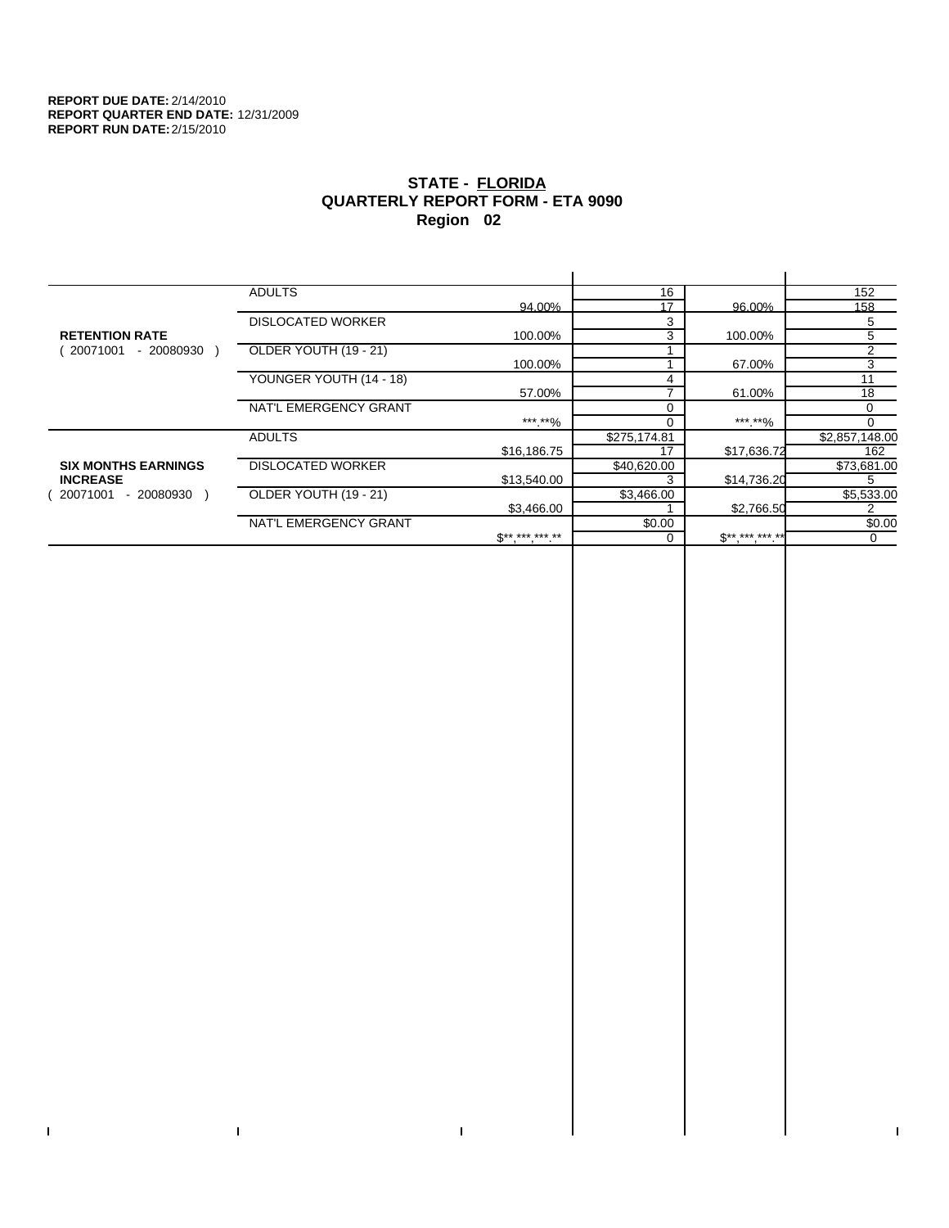$\bar{\Gamma}$ 

 $\mathbf{L}$ 

# **STATE - FLORIDA QUARTERLY REPORT FORM - ETA 9090 Region 02**

|                            | <b>ADULTS</b>            |                 | 16           |                     | 152            |
|----------------------------|--------------------------|-----------------|--------------|---------------------|----------------|
|                            |                          | 94.00%          | 17           | 96.00%              | 158            |
|                            | <b>DISLOCATED WORKER</b> |                 | 3            |                     | 5              |
| <b>RETENTION RATE</b>      |                          | 100.00%         | 3            | 100.00%             | 5              |
| 20071001<br>- 20080930     | OLDER YOUTH (19 - 21)    |                 |              |                     | 2              |
|                            |                          | 100.00%         |              | 67.00%              | 3              |
|                            | YOUNGER YOUTH (14 - 18)  |                 |              |                     | 11             |
|                            |                          | 57.00%          |              | 61.00%              | 18             |
|                            | NAT'L EMERGENCY GRANT    |                 |              |                     | 0              |
|                            |                          | ***.**%         |              | *** **%             | $\Omega$       |
|                            | <b>ADULTS</b>            |                 | \$275,174.81 |                     | \$2,857,148.00 |
|                            |                          | \$16,186.75     | 17           | \$17,636.72         | 162            |
| <b>SIX MONTHS EARNINGS</b> | <b>DISLOCATED WORKER</b> |                 | \$40,620.00  |                     | \$73,681.00    |
| <b>INCREASE</b>            |                          | \$13,540.00     |              | \$14,736.20         | 5              |
| - 20080930<br>20071001     | OLDER YOUTH (19 - 21)    |                 | \$3,466.00   |                     | \$5,533.00     |
|                            |                          | \$3,466.00      |              | \$2,766.50          | 2              |
|                            | NAT'L EMERGENCY GRANT    |                 | \$0.00       |                     | \$0.00         |
|                            |                          | $S^{*********}$ |              | $S^{**}$ *** *** ** | 0              |
|                            |                          |                 |              |                     |                |

 $\bar{\Gamma}$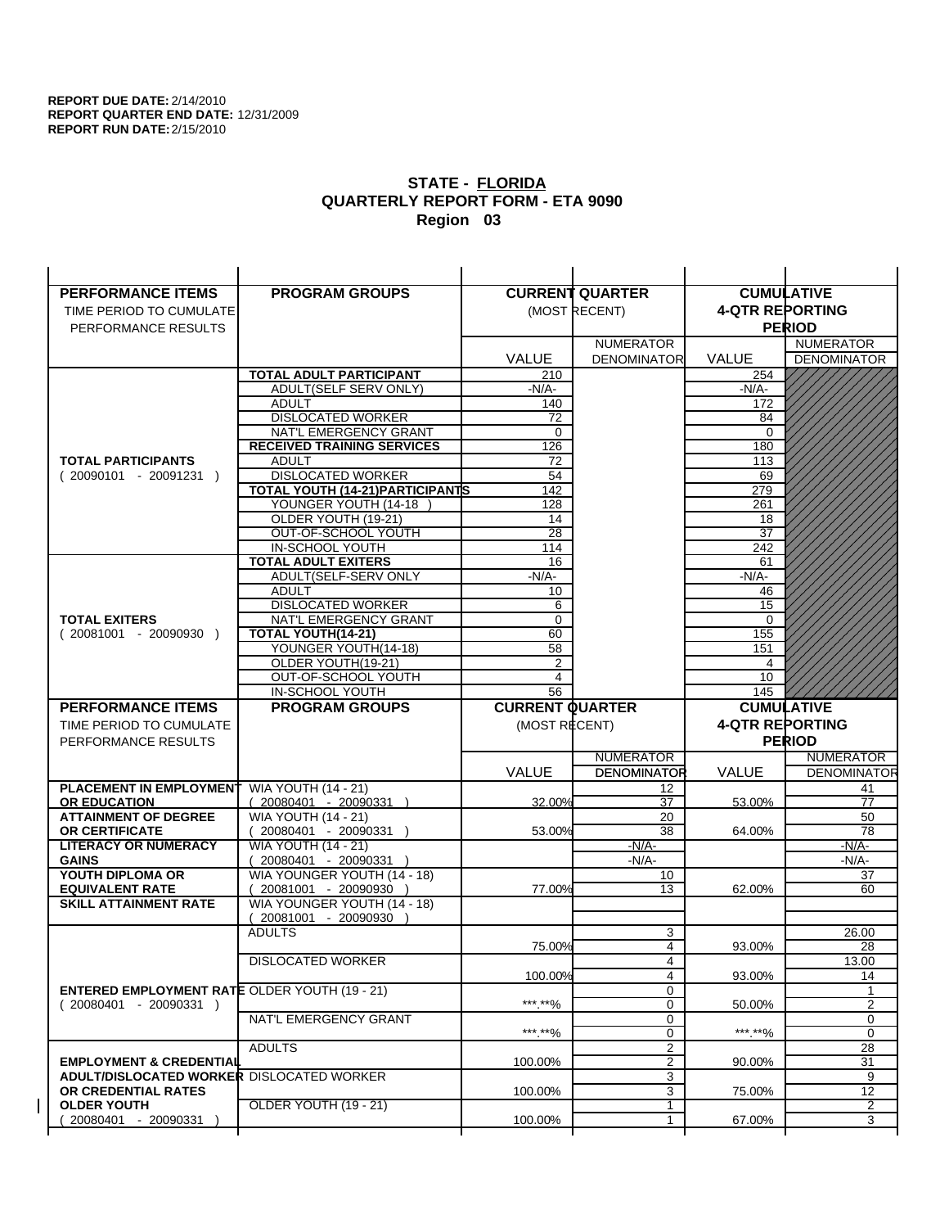| <b>PERFORMANCE ITEMS</b>                             | <b>PROGRAM GROUPS</b>                              |                        | <b>CURRENT QUARTER</b>       |                        | <b>CUMULATIVE</b>  |
|------------------------------------------------------|----------------------------------------------------|------------------------|------------------------------|------------------------|--------------------|
| TIME PERIOD TO CUMULATE                              |                                                    |                        | (MOST RECENT)                | <b>4-QTR REPORTING</b> |                    |
| PERFORMANCE RESULTS                                  |                                                    |                        |                              |                        | <b>PERIOD</b>      |
|                                                      |                                                    |                        | <b>NUMERATOR</b>             |                        | <b>NUMERATOR</b>   |
|                                                      |                                                    | <b>VALUE</b>           | <b>DENOMINATOR</b>           | VALUE                  | <b>DENOMINATOR</b> |
|                                                      | <b>TOTAL ADULT PARTICIPANT</b>                     | 210                    |                              | 254                    |                    |
|                                                      | ADULT(SELF SERV ONLY)                              | -N/A-                  |                              | $-N/A-$                |                    |
|                                                      | <b>ADULT</b>                                       | 140                    |                              | 172                    |                    |
|                                                      | <b>DISLOCATED WORKER</b>                           | 72                     |                              | 84                     |                    |
|                                                      | NAT'L EMERGENCY GRANT                              | $\mathbf 0$            |                              | $\Omega$               |                    |
|                                                      | <b>RECEIVED TRAINING SERVICES</b>                  | 126                    |                              | 180                    |                    |
| <b>TOTAL PARTICIPANTS</b>                            | <b>ADULT</b>                                       | 72                     |                              | 113                    |                    |
| $(20090101 - 20091231)$                              | <b>DISLOCATED WORKER</b>                           | 54                     |                              | 69                     |                    |
|                                                      | <b>TOTAL YOUTH (14-21) PARTICIPANTS</b>            | 142                    |                              | 279                    |                    |
|                                                      | YOUNGER YOUTH (14-18<br>OLDER YOUTH (19-21)        | 128                    |                              | 261                    |                    |
|                                                      | OUT-OF-SCHOOL YOUTH                                | 14<br>$\overline{28}$  |                              | 18<br>$\overline{37}$  |                    |
|                                                      | IN-SCHOOL YOUTH                                    | 114                    |                              | 242                    |                    |
|                                                      | <b>TOTAL ADULT EXITERS</b>                         | 16                     |                              | 61                     |                    |
|                                                      | ADULT(SELF-SERV ONLY                               | $-N/A-$                |                              | $-N/A-$                |                    |
|                                                      | <b>ADULT</b>                                       | 10                     |                              | 46                     |                    |
|                                                      | <b>DISLOCATED WORKER</b>                           | 6                      |                              | 15                     |                    |
| <b>TOTAL EXITERS</b>                                 | NAT'L EMERGENCY GRANT                              | 0                      |                              | 0                      |                    |
| $(20081001 - 20090930)$                              | TOTAL YOUTH(14-21)                                 | 60                     |                              | 155                    |                    |
|                                                      | YOUNGER YOUTH(14-18)                               | 58                     |                              | 151                    |                    |
|                                                      | OLDER YOUTH(19-21)                                 | 2                      |                              | 4                      |                    |
|                                                      | OUT-OF-SCHOOL YOUTH                                | $\overline{4}$         |                              | 10                     |                    |
|                                                      | IN-SCHOOL YOUTH                                    | 56                     |                              | 145                    |                    |
|                                                      |                                                    |                        |                              |                        |                    |
| <b>PERFORMANCE ITEMS</b>                             | <b>PROGRAM GROUPS</b>                              | <b>CURRENT QUARTER</b> |                              |                        | <b>CUMULATIVE</b>  |
| TIME PERIOD TO CUMULATE                              |                                                    | (MOST RECENT)          |                              | <b>4-QTR REPORTING</b> |                    |
| PERFORMANCE RESULTS                                  |                                                    |                        |                              |                        | <b>PERIOD</b>      |
|                                                      |                                                    |                        | <b>NUMERATOR</b>             |                        | <b>NUMERATOR</b>   |
|                                                      |                                                    | <b>VALUE</b>           | <b>DENOMINATOR</b>           | <b>VALUE</b>           | <b>DENOMINATOR</b> |
| PLACEMENT IN EMPLOYMENT                              | <b>WIA YOUTH (14 - 21)</b>                         |                        | 12                           |                        | 41                 |
| <b>OR EDUCATION</b>                                  | $(20080401 - 20090331)$                            | 32.00%                 | 37                           | 53.00%                 | $\overline{77}$    |
| <b>ATTAINMENT OF DEGREE</b>                          | <b>WIA YOUTH (14 - 21)</b>                         |                        | 20                           |                        | 50                 |
| <b>OR CERTIFICATE</b>                                | $(20080401 - 20090331)$                            | 53.00%                 | 38                           | 64.00%                 | 78                 |
| <b>LITERACY OR NUMERACY</b><br><b>GAINS</b>          | <b>WIA YOUTH (14 - 21)</b>                         |                        | -N/A-                        |                        | -N/A-              |
| YOUTH DIPLOMA OR                                     | 20080401 - 20090331<br>WIA YOUNGER YOUTH (14 - 18) |                        | $-N/A-$<br>10                |                        | $-N/A-$<br>37      |
| <b>EQUIVALENT RATE</b>                               | 20081001 - 20090930 )                              | 77.00%                 | 13                           | 62.00%                 | 60                 |
| <b>SKILL ATTAINMENT RATE</b>                         | WIA YOUNGER YOUTH (14 - 18)                        |                        |                              |                        |                    |
|                                                      | (20081001 - 20090930                               |                        |                              |                        |                    |
|                                                      | <b>ADULTS</b>                                      |                        | 3                            |                        | 26.00              |
|                                                      |                                                    | 75.00%                 | 4                            | 93.00%                 | 28                 |
|                                                      | <b>DISLOCATED WORKER</b>                           |                        | 4                            |                        | 13.00              |
|                                                      |                                                    | 100.00%                | 4                            | 93.00%                 | 14                 |
| <b>ENTERED EMPLOYMENT RATE OLDER YOUTH (19 - 21)</b> |                                                    |                        | 0                            |                        |                    |
| $(20080401 - 20090331)$                              |                                                    | *** **%                | 0                            | 50.00%                 | 2                  |
|                                                      | NAT'L EMERGENCY GRANT                              |                        | 0                            |                        | 0<br>0             |
|                                                      | <b>ADULTS</b>                                      | ***.**%                | 0<br>$\overline{\mathbf{c}}$ | *** **%                | 28                 |
| <b>EMPLOYMENT &amp; CREDENTIAL</b>                   |                                                    | 100.00%                | $\overline{2}$               | 90.00%                 | 31                 |
| <b>ADULT/DISLOCATED WORKER DISLOCATED WORKER</b>     |                                                    |                        | 3                            |                        | 9                  |
| OR CREDENTIAL RATES                                  |                                                    | 100.00%                | 3                            | 75.00%                 | 12                 |
| <b>OLDER YOUTH</b>                                   | OLDER YOUTH (19 - 21)                              |                        | 1                            |                        | $\overline{2}$     |
| 20080401 - 20090331                                  |                                                    | 100.00%                | 1                            | 67.00%                 | 3                  |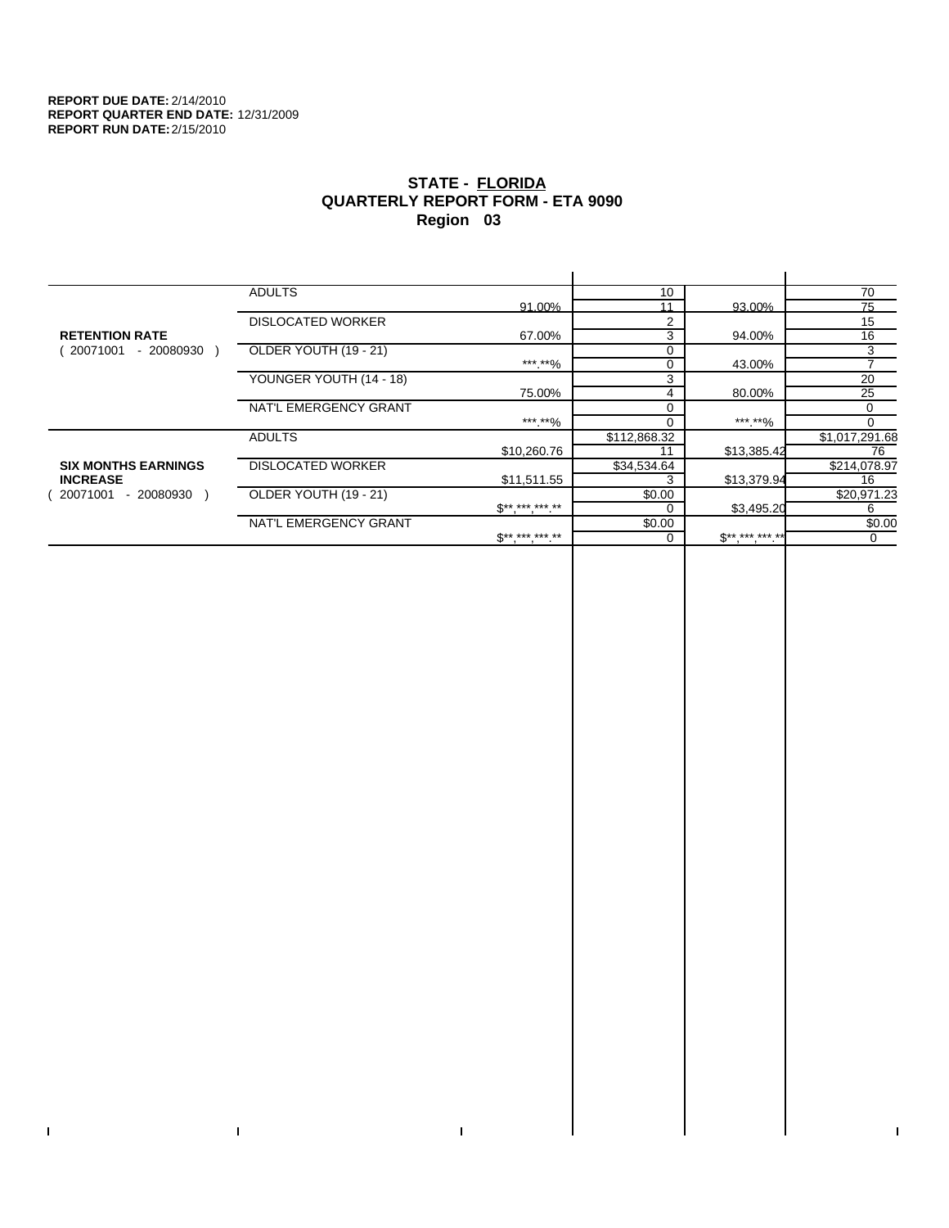$\bar{\Gamma}$ 

 $\mathbf{I}$ 

# **STATE - FLORIDA QUARTERLY REPORT FORM - ETA 9090 Region 03**

|                            | <b>ADULTS</b>            |              | 10           |              | 70             |
|----------------------------|--------------------------|--------------|--------------|--------------|----------------|
|                            |                          | 91.00%       | 11           | 93.00%       | 75             |
|                            | <b>DISLOCATED WORKER</b> |              | 2            |              | 15             |
| <b>RETENTION RATE</b>      |                          | 67.00%       | 3            | 94.00%       | 16             |
| 20071001<br>- 20080930     | OLDER YOUTH (19 - 21)    |              | $\Omega$     |              | 3              |
|                            |                          | ***.**%      | 0            | 43.00%       |                |
|                            | YOUNGER YOUTH (14 - 18)  |              | 3            |              | 20             |
|                            |                          | 75.00%       | 4            | 80.00%       | 25             |
|                            | NAT'L EMERGENCY GRANT    |              |              |              | 0              |
|                            |                          | ***.**%      |              | ***.**%      |                |
|                            | <b>ADULTS</b>            |              | \$112,868.32 |              | \$1,017,291.68 |
|                            |                          | \$10,260.76  | 11           | \$13,385.42  | 76             |
| <b>SIX MONTHS EARNINGS</b> | <b>DISLOCATED WORKER</b> |              | \$34,534.64  |              | \$214,078.97   |
| <b>INCREASE</b>            |                          | \$11,511.55  |              | \$13,379.94  | 16             |
| - 20080930<br>20071001     | OLDER YOUTH (19 - 21)    |              | \$0.00       |              | \$20,971.23    |
|                            |                          | $S*********$ |              | \$3,495.20   | 6              |
|                            | NAT'L EMERGENCY GRANT    |              | \$0.00       |              | \$0.00         |
|                            |                          | $S*********$ |              | $$*********$ | 0              |
|                            |                          |              |              |              |                |

 $\bar{\Gamma}$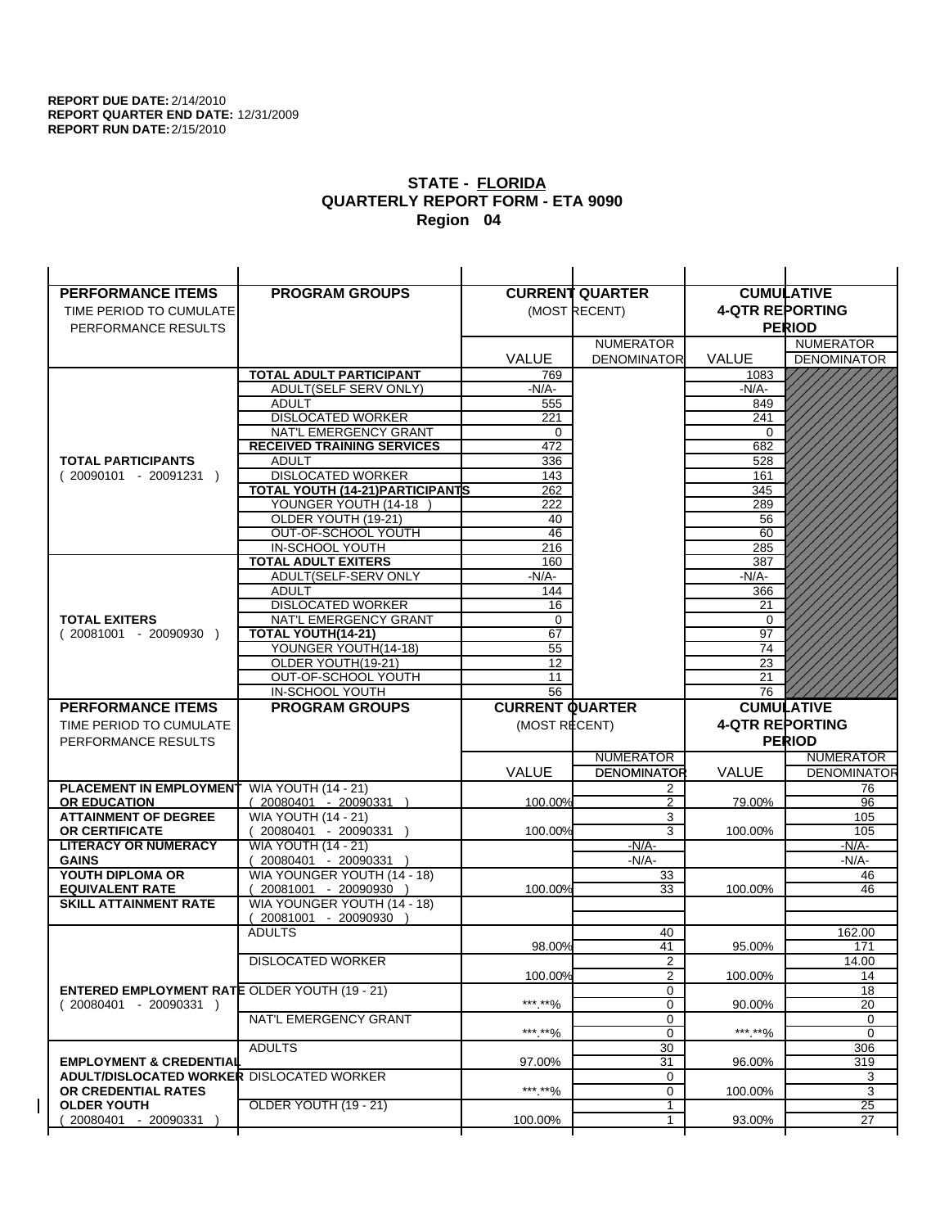| <b>PERFORMANCE ITEMS</b>                             | <b>PROGRAM GROUPS</b>                                |                        | <b>CURRENT QUARTER</b> |                        | <b>CUMULATIVE</b>  |
|------------------------------------------------------|------------------------------------------------------|------------------------|------------------------|------------------------|--------------------|
| TIME PERIOD TO CUMULATE                              |                                                      |                        | (MOST RECENT)          | <b>4-QTR REPORTING</b> |                    |
| PERFORMANCE RESULTS                                  |                                                      |                        |                        |                        | <b>PERIOD</b>      |
|                                                      |                                                      |                        | <b>NUMERATOR</b>       |                        | <b>NUMERATOR</b>   |
|                                                      |                                                      | <b>VALUE</b>           | <b>DENOMINATOR</b>     | VALUE                  | <b>DENOMINATOR</b> |
|                                                      | <b>TOTAL ADULT PARTICIPANT</b>                       | 769                    |                        | 1083                   |                    |
|                                                      | ADULT(SELF SERV ONLY)                                | $-N/A-$                |                        | -N/A-                  |                    |
|                                                      | <b>ADULT</b>                                         | 555                    |                        | 849                    |                    |
|                                                      | <b>DISLOCATED WORKER</b>                             | 221                    |                        | 241                    |                    |
|                                                      | NAT'L EMERGENCY GRANT                                | 0                      |                        | $\Omega$               |                    |
|                                                      | <b>RECEIVED TRAINING SERVICES</b>                    | 472                    |                        | 682                    |                    |
| <b>TOTAL PARTICIPANTS</b>                            | <b>ADULT</b>                                         | 336                    |                        | 528                    |                    |
| $(20090101 - 20091231)$                              | <b>DISLOCATED WORKER</b>                             | 143                    |                        | 161                    |                    |
|                                                      | <b>TOTAL YOUTH (14-21) PARTICIPANTS</b>              | 262                    |                        | 345                    |                    |
|                                                      | YOUNGER YOUTH (14-18                                 | 222                    |                        | 289                    |                    |
|                                                      | OLDER YOUTH (19-21)<br>OUT-OF-SCHOOL YOUTH           | 40<br>46               |                        | 56<br>60               |                    |
|                                                      | IN-SCHOOL YOUTH                                      | 216                    |                        | 285                    |                    |
|                                                      | <b>TOTAL ADULT EXITERS</b>                           | 160                    |                        | 387                    |                    |
|                                                      | ADULT(SELF-SERV ONLY                                 | $-N/A-$                |                        | $-N/A-$                |                    |
|                                                      | <b>ADULT</b>                                         | 144                    |                        | 366                    |                    |
|                                                      | <b>DISLOCATED WORKER</b>                             | 16                     |                        | 21                     |                    |
| <b>TOTAL EXITERS</b>                                 | NAT'L EMERGENCY GRANT                                | 0                      |                        | 0                      |                    |
| $(20081001 - 20090930)$                              | TOTAL YOUTH(14-21)                                   | 67                     |                        | 97                     |                    |
|                                                      | YOUNGER YOUTH(14-18)                                 | 55                     |                        | 74                     |                    |
|                                                      | OLDER YOUTH(19-21)                                   | 12                     |                        | 23                     |                    |
|                                                      | OUT-OF-SCHOOL YOUTH                                  | 11                     |                        | 21                     |                    |
|                                                      | IN-SCHOOL YOUTH                                      | $\overline{56}$        |                        | 76                     |                    |
|                                                      |                                                      |                        |                        |                        |                    |
| <b>PERFORMANCE ITEMS</b>                             | <b>PROGRAM GROUPS</b>                                | <b>CURRENT QUARTER</b> |                        |                        | <b>CUMULATIVE</b>  |
| TIME PERIOD TO CUMULATE                              |                                                      | (MOST RECENT)          |                        | <b>4-QTR REPORTING</b> |                    |
| PERFORMANCE RESULTS                                  |                                                      |                        |                        |                        | <b>PERIOD</b>      |
|                                                      |                                                      |                        | <b>NUMERATOR</b>       |                        | <b>NUMERATOR</b>   |
|                                                      |                                                      | <b>VALUE</b>           | <b>DENOMINATOR</b>     | <b>VALUE</b>           | <b>DENOMINATOR</b> |
| PLACEMENT IN EMPLOYMENT                              | <b>WIA YOUTH (14 - 21)</b>                           |                        | 2                      |                        | 76                 |
| <b>OR EDUCATION</b>                                  | $(20080401 - 20090331)$                              | 100.00%                | $\overline{2}$         | 79.00%                 | 96                 |
| <b>ATTAINMENT OF DEGREE</b>                          | <b>WIA YOUTH (14 - 21)</b>                           |                        | 3                      |                        | 105                |
| <b>OR CERTIFICATE</b>                                | $(20080401 - 20090331)$                              | 100.00%                | 3                      | 100.00%                | 105                |
| <b>LITERACY OR NUMERACY</b>                          | <b>WIA YOUTH (14 - 21)</b>                           |                        | $-N/A$ -               |                        | $-N/A-$            |
| <b>GAINS</b>                                         | 20080401 - 20090331                                  |                        | $-N/A-$                |                        | $-N/A-$            |
| YOUTH DIPLOMA OR<br><b>EQUIVALENT RATE</b>           | WIA YOUNGER YOUTH (14 - 18)<br>20081001 - 20090930 ) | 100.00%                | 33<br>33               | 100.00%                | 46<br>46           |
| <b>SKILL ATTAINMENT RATE</b>                         | WIA YOUNGER YOUTH (14 - 18)                          |                        |                        |                        |                    |
|                                                      | (20081001 - 20090930                                 |                        |                        |                        |                    |
|                                                      | <b>ADULTS</b>                                        |                        | 40                     |                        | 162.00             |
|                                                      |                                                      | 98.00%                 | 41                     | 95.00%                 | 171                |
|                                                      | <b>DISLOCATED WORKER</b>                             |                        | $\overline{2}$         |                        | 14.00              |
|                                                      |                                                      | 100.00%                | 2                      | 100.00%                | 14                 |
| <b>ENTERED EMPLOYMENT RATE OLDER YOUTH (19 - 21)</b> |                                                      |                        | 0                      |                        | 18                 |
| $(20080401 - 20090331)$                              |                                                      | ***.**%                | 0                      | 90.00%                 | $\overline{20}$    |
|                                                      | NAT'L EMERGENCY GRANT                                |                        | 0                      |                        | 0                  |
|                                                      |                                                      | ***.**%                | $\mathbf 0$            | ***.**%                | 0                  |
| <b>EMPLOYMENT &amp; CREDENTIAL</b>                   | <b>ADULTS</b>                                        | 97.00%                 | 30<br>31               | 96.00%                 | 306<br>319         |
| <b>ADULT/DISLOCATED WORKER DISLOCATED WORKER</b>     |                                                      |                        | 0                      |                        | 3                  |
| OR CREDENTIAL RATES                                  |                                                      | ***.**%                | 0                      | 100.00%                | 3                  |
| <b>OLDER YOUTH</b>                                   | OLDER YOUTH (19 - 21)                                |                        | 1                      |                        | $\overline{25}$    |
| 20080401 - 20090331                                  |                                                      | 100.00%                | 1                      | 93.00%                 | 27                 |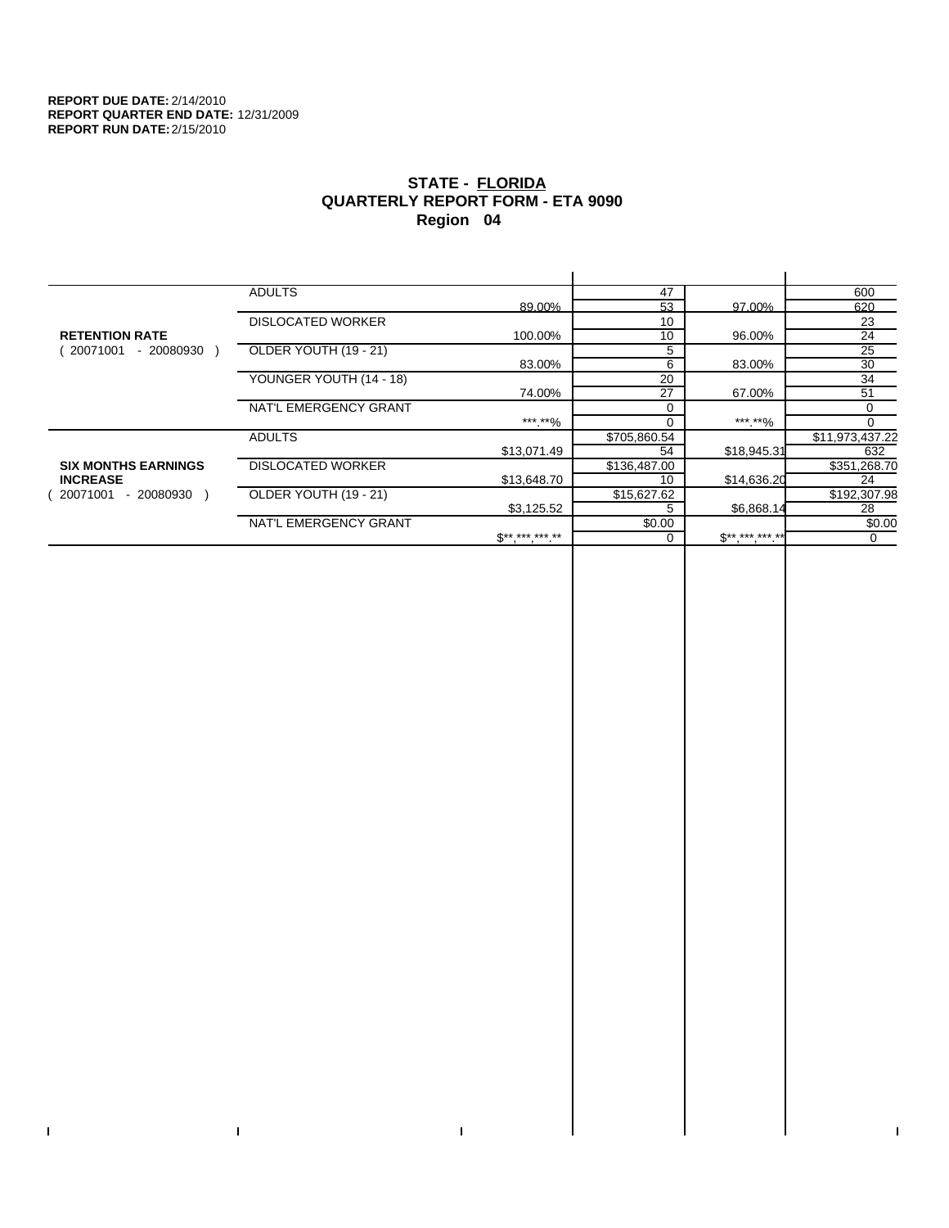$\bar{\Gamma}$ 

 $\mathbf{I}$ 

# **STATE - FLORIDA QUARTERLY REPORT FORM - ETA 9090 Region 04**

|                            | <b>ADULTS</b>            |              | 47           |             | 600             |
|----------------------------|--------------------------|--------------|--------------|-------------|-----------------|
|                            |                          | 89.00%       | 53           | 97.00%      | 620             |
|                            | <b>DISLOCATED WORKER</b> |              | 10           |             | 23              |
| <b>RETENTION RATE</b>      |                          | 100.00%      | 10           | 96.00%      | 24              |
| - 20080930<br>20071001     | OLDER YOUTH (19 - 21)    |              | 5            |             | $\overline{25}$ |
|                            |                          | 83.00%       | 6            | 83.00%      | 30              |
|                            | YOUNGER YOUTH (14 - 18)  |              | 20           |             | 34              |
|                            |                          | 74.00%       | 27           | 67.00%      | 51              |
|                            | NAT'L EMERGENCY GRANT    |              | $\Omega$     |             | 0               |
|                            |                          | ***.**%      |              | ***.**%     |                 |
|                            | <b>ADULTS</b>            |              | \$705,860.54 |             | \$11,973,437.22 |
|                            |                          | \$13,071.49  | 54           | \$18,945.31 | 632             |
| <b>SIX MONTHS EARNINGS</b> | <b>DISLOCATED WORKER</b> |              | \$136,487.00 |             | \$351,268.70    |
| <b>INCREASE</b>            |                          | \$13,648.70  | 10           | \$14,636.20 | 24              |
| - 20080930<br>20071001     | OLDER YOUTH (19 - 21)    |              | \$15,627.62  |             | \$192,307.98    |
|                            |                          | \$3,125.52   |              | \$6,868.14  | 28              |
|                            | NAT'L EMERGENCY GRANT    |              | \$0.00       |             | \$0.00          |
|                            |                          | $S*********$ |              | $S********$ | 0               |
|                            |                          |              |              |             |                 |

 $\bar{\Gamma}$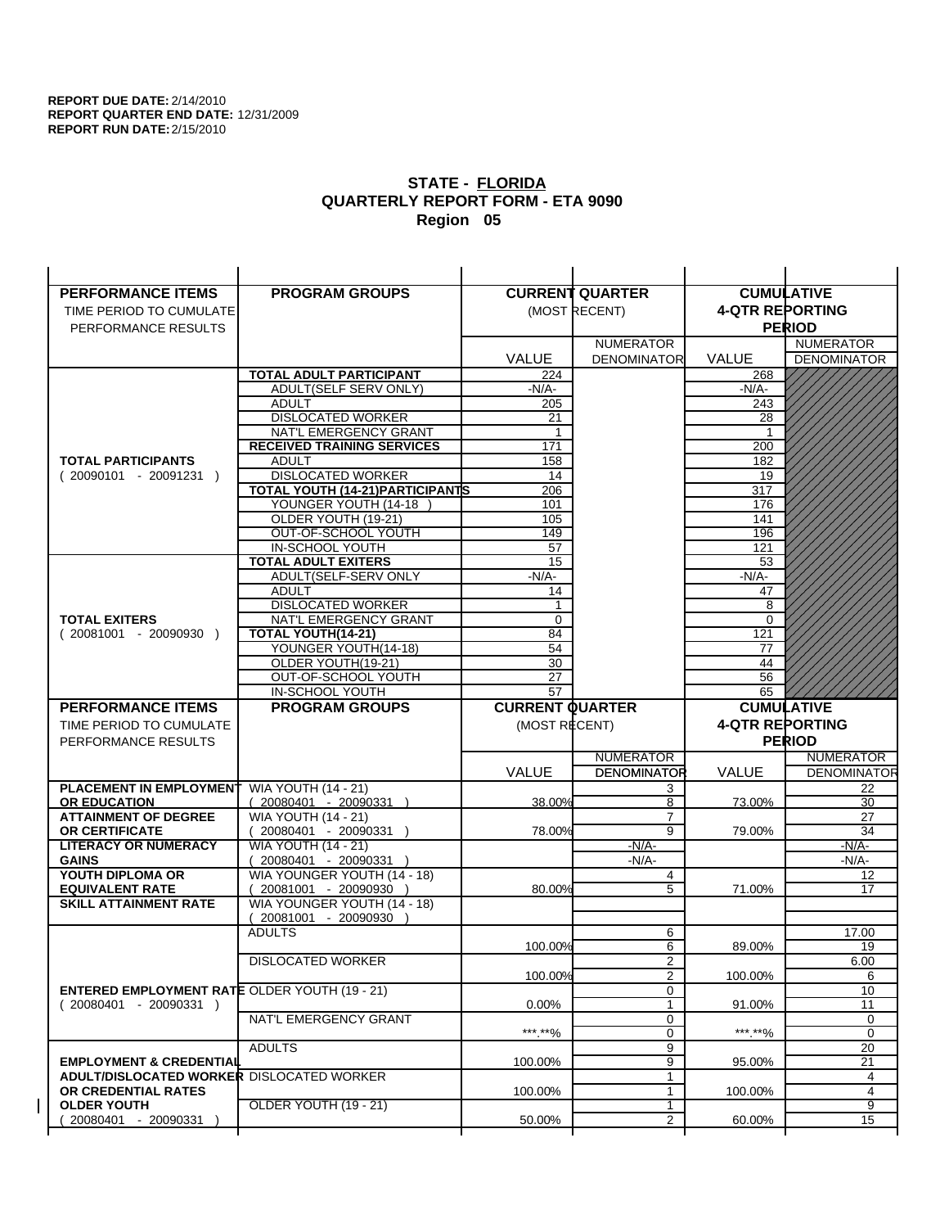| <b>PERFORMANCE ITEMS</b>                             | <b>PROGRAM GROUPS</b>                                 |                        | <b>CURRENT QUARTER</b> |                        | <b>CUMULATIVE</b>        |
|------------------------------------------------------|-------------------------------------------------------|------------------------|------------------------|------------------------|--------------------------|
| TIME PERIOD TO CUMULATE                              |                                                       |                        | (MOST RECENT)          | <b>4-QTR REPORTING</b> |                          |
| PERFORMANCE RESULTS                                  |                                                       |                        |                        |                        | <b>PERIOD</b>            |
|                                                      |                                                       |                        | <b>NUMERATOR</b>       |                        | <b>NUMERATOR</b>         |
|                                                      |                                                       | <b>VALUE</b>           | <b>DENOMINATOR</b>     | VALUE                  | <b>DENOMINATOR</b>       |
|                                                      | <b>TOTAL ADULT PARTICIPANT</b>                        | 224                    |                        | 268                    |                          |
|                                                      | ADULT(SELF SERV ONLY)                                 | -N/A-                  |                        | -N/A-                  |                          |
|                                                      | <b>ADULT</b>                                          | 205                    |                        | 243                    |                          |
|                                                      | <b>DISLOCATED WORKER</b>                              | 21                     |                        | 28                     |                          |
|                                                      | NAT'L EMERGENCY GRANT                                 | 1                      |                        |                        |                          |
|                                                      | <b>RECEIVED TRAINING SERVICES</b>                     | 171                    |                        | 200                    |                          |
| <b>TOTAL PARTICIPANTS</b>                            | <b>ADULT</b>                                          | 158                    |                        | 182                    |                          |
| $(20090101 - 20091231)$                              | <b>DISLOCATED WORKER</b>                              | 14                     |                        | 19                     |                          |
|                                                      | <b>TOTAL YOUTH (14-21) PARTICIPANTS</b>               | 206                    |                        | 317                    |                          |
|                                                      | YOUNGER YOUTH (14-18                                  | 101                    |                        | 176                    |                          |
|                                                      | OLDER YOUTH (19-21)                                   | 105                    |                        | 141                    |                          |
|                                                      | OUT-OF-SCHOOL YOUTH                                   | 149                    |                        | 196                    |                          |
|                                                      | IN-SCHOOL YOUTH<br><b>TOTAL ADULT EXITERS</b>         | 57<br>15               |                        | 121                    |                          |
|                                                      | ADULT(SELF-SERV ONLY                                  | $-N/A-$                |                        | 53<br>$-N/A-$          |                          |
|                                                      | <b>ADULT</b>                                          | 14                     |                        | 47                     |                          |
|                                                      | <b>DISLOCATED WORKER</b>                              | 1                      |                        | 8                      |                          |
| <b>TOTAL EXITERS</b>                                 | NAT'L EMERGENCY GRANT                                 | 0                      |                        | $\mathbf 0$            |                          |
| $(20081001 - 20090930)$                              | <b>TOTAL YOUTH(14-21)</b>                             | 84                     |                        | 121                    |                          |
|                                                      | YOUNGER YOUTH(14-18)                                  | 54                     |                        | 77                     |                          |
|                                                      | OLDER YOUTH(19-21)                                    | 30                     |                        | 44                     |                          |
|                                                      | OUT-OF-SCHOOL YOUTH                                   | 27                     |                        | 56                     |                          |
|                                                      | IN-SCHOOL YOUTH                                       | $\overline{57}$        |                        | 65                     |                          |
|                                                      |                                                       |                        |                        |                        |                          |
| <b>PERFORMANCE ITEMS</b>                             | <b>PROGRAM GROUPS</b>                                 | <b>CURRENT QUARTER</b> |                        |                        | <b>CUMULATIVE</b>        |
| TIME PERIOD TO CUMULATE                              |                                                       |                        |                        | <b>4-QTR REPORTING</b> |                          |
|                                                      |                                                       | (MOST RECENT)          |                        |                        | <b>PERIOD</b>            |
| PERFORMANCE RESULTS                                  |                                                       |                        | <b>NUMERATOR</b>       |                        | <b>NUMERATOR</b>         |
|                                                      |                                                       |                        | <b>DENOMINATOR</b>     | <b>VALUE</b>           |                          |
| PLACEMENT IN EMPLOYMENT                              |                                                       | <b>VALUE</b>           | 3                      |                        | <b>DENOMINATOR</b><br>22 |
| <b>OR EDUCATION</b>                                  | <b>WIA YOUTH (14 - 21)</b><br>$(20080401 - 20090331)$ | 38.00%                 | 8                      | 73.00%                 | 30                       |
| <b>ATTAINMENT OF DEGREE</b>                          | <b>WIA YOUTH (14 - 21)</b>                            |                        | $\overline{7}$         |                        | 27                       |
| <b>OR CERTIFICATE</b>                                | $(20080401 - 20090331)$                               | 78.00%                 | $\overline{9}$         | 79.00%                 | 34                       |
| <b>LITERACY OR NUMERACY</b>                          | <b>WIA YOUTH (14 - 21)</b>                            |                        | $-N/A-$                |                        | -N/A-                    |
| <b>GAINS</b>                                         | 20080401 - 20090331                                   |                        | $-N/A-$                |                        | $-N/A-$                  |
| YOUTH DIPLOMA OR                                     | WIA YOUNGER YOUTH (14 - 18)                           |                        | 4                      |                        | 12                       |
| <b>EQUIVALENT RATE</b>                               | 20081001 - 20090930 )                                 | 80.00%                 | 5                      | 71.00%                 | 17                       |
| <b>SKILL ATTAINMENT RATE</b>                         | WIA YOUNGER YOUTH (14 - 18)                           |                        |                        |                        |                          |
|                                                      | (20081001 - 20090930                                  |                        |                        |                        |                          |
|                                                      | <b>ADULTS</b>                                         |                        | 6                      |                        | 17.00                    |
|                                                      |                                                       | 100.00%                | 6                      | 89.00%                 | 19                       |
|                                                      | <b>DISLOCATED WORKER</b>                              |                        | $\overline{2}$         |                        | 6.00                     |
|                                                      |                                                       | 100.00%                | 2                      | 100.00%                | 6                        |
| <b>ENTERED EMPLOYMENT RATE OLDER YOUTH (19 - 21)</b> |                                                       |                        | 0<br>1                 |                        | 10                       |
| $(20080401 - 20090331)$                              | NAT'L EMERGENCY GRANT                                 | $0.00\%$               | 0                      | 91.00%                 | 11<br>0                  |
|                                                      |                                                       | ***.**%                | 0                      | *** **%                | 0                        |
|                                                      | <b>ADULTS</b>                                         |                        | 9                      |                        | 20                       |
| <b>EMPLOYMENT &amp; CREDENTIAL</b>                   |                                                       | 100.00%                | 9                      | 95.00%                 | 21                       |
| <b>ADULT/DISLOCATED WORKER DISLOCATED WORKER</b>     |                                                       |                        | 1                      |                        | 4                        |
| OR CREDENTIAL RATES                                  |                                                       | 100.00%                | $\mathbf{1}$           | 100.00%                | 4                        |
| <b>OLDER YOUTH</b><br>20080401 - 20090331            | <b>OLDER YOUTH (19 - 21)</b>                          | 50.00%                 | 1<br>$\overline{2}$    | 60.00%                 | $\overline{9}$<br>15     |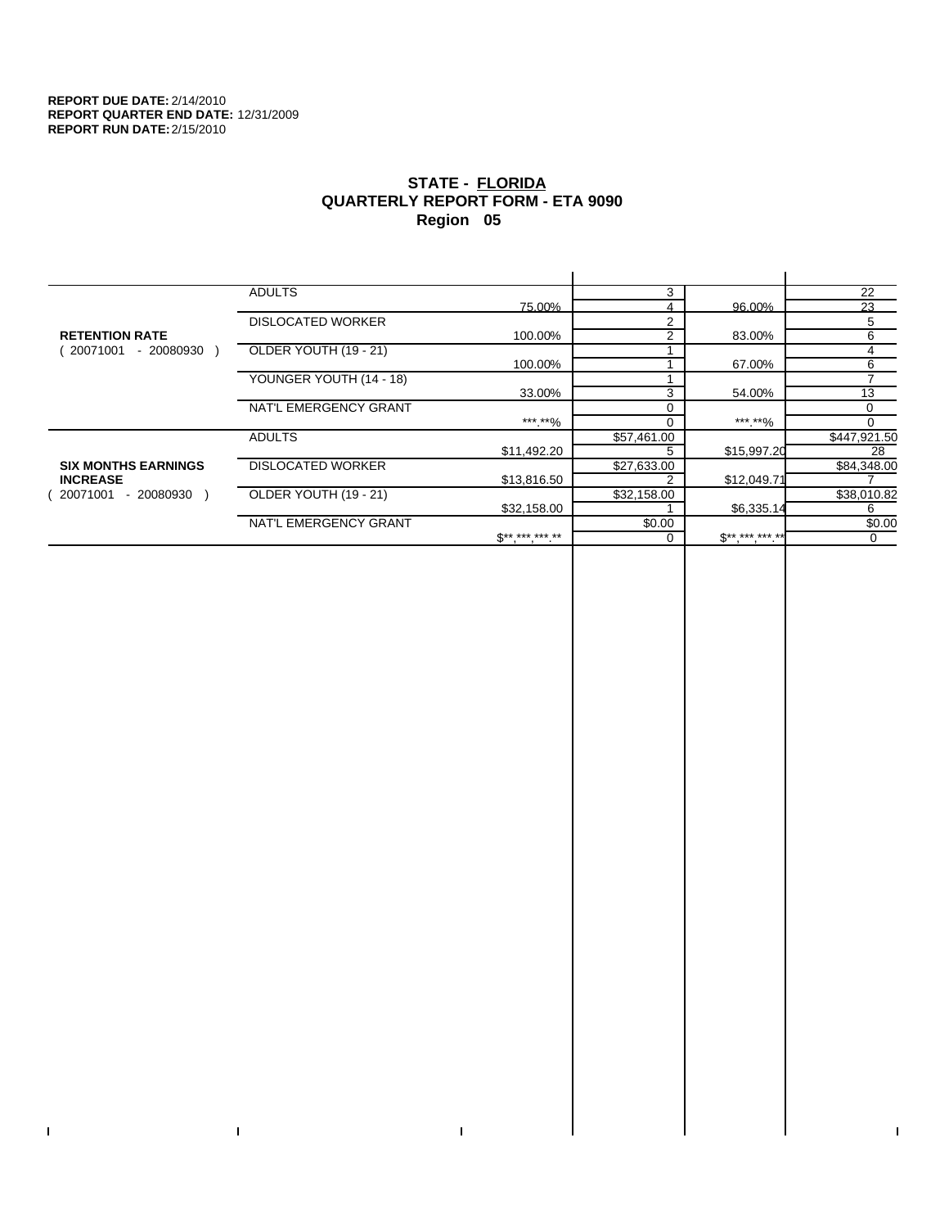$\bar{\Gamma}$ 

 $\mathbf{I}$ 

# **STATE - FLORIDA QUARTERLY REPORT FORM - ETA 9090 Region 05**

|                            | <b>ADULTS</b>            |                               | 3             |             | 22           |
|----------------------------|--------------------------|-------------------------------|---------------|-------------|--------------|
|                            |                          | 75.00%                        |               | 96.00%      | 23           |
|                            | <b>DISLOCATED WORKER</b> |                               | 2             |             | 5            |
| <b>RETENTION RATE</b>      |                          | 100.00%                       | $\mathcal{P}$ | 83.00%      | 6            |
| 20071001<br>- 20080930     | OLDER YOUTH (19 - 21)    |                               |               |             | 4            |
|                            |                          | 100.00%                       |               | 67.00%      | 6            |
|                            | YOUNGER YOUTH (14 - 18)  |                               |               |             | ⇁            |
|                            |                          | 33.00%                        | 3             | 54.00%      | 13           |
|                            | NAT'L EMERGENCY GRANT    |                               |               |             | $\Omega$     |
|                            |                          | ***.**%                       |               | ***.**%     | 0            |
|                            | <b>ADULTS</b>            |                               | \$57,461.00   |             | \$447,921.50 |
|                            |                          | \$11,492.20                   |               | \$15,997.20 | 28           |
| <b>SIX MONTHS EARNINGS</b> | <b>DISLOCATED WORKER</b> |                               | \$27,633.00   |             | \$84,348.00  |
| <b>INCREASE</b>            |                          | \$13,816.50                   |               | \$12,049.71 |              |
| $-20080930$<br>20071001    | OLDER YOUTH (19 - 21)    |                               | \$32,158.00   |             | \$38,010.82  |
|                            |                          | \$32,158.00                   |               | \$6,335.14  | 6            |
|                            | NAT'L EMERGENCY GRANT    |                               | \$0.00        |             | \$0.00       |
|                            |                          | $\mathbb{S}^{***}$ *** *** ** |               | $S********$ | 0            |
|                            |                          |                               |               |             |              |

 $\bar{\Gamma}$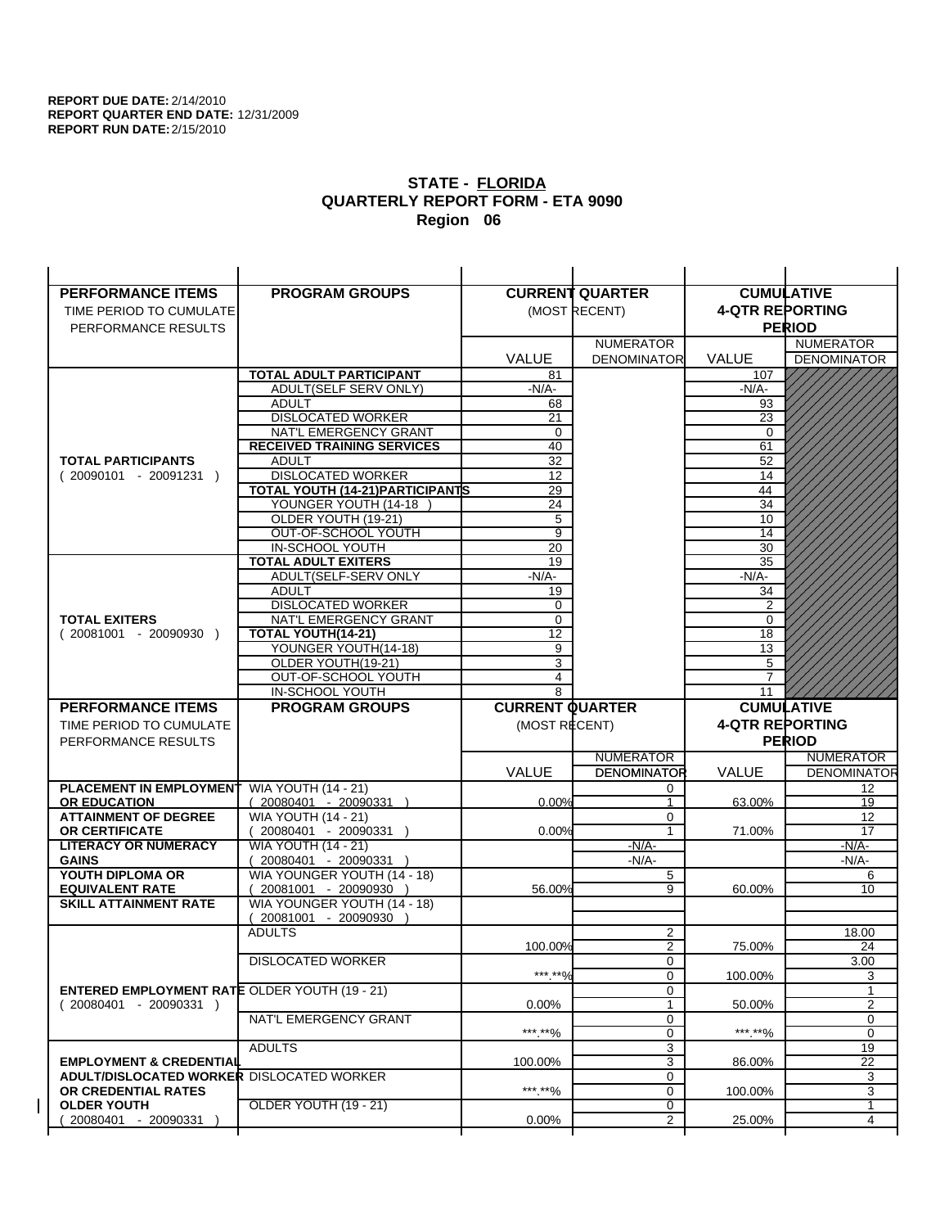| <b>PERFORMANCE ITEMS</b>                                                        | <b>PROGRAM GROUPS</b>                              |                        | <b>CURRENT QUARTER</b> |                        | <b>CUMULATIVE</b>  |
|---------------------------------------------------------------------------------|----------------------------------------------------|------------------------|------------------------|------------------------|--------------------|
| TIME PERIOD TO CUMULATE                                                         |                                                    |                        | (MOST RECENT)          | <b>4-QTR REPORTING</b> |                    |
| PERFORMANCE RESULTS                                                             |                                                    |                        |                        |                        | <b>PERIOD</b>      |
|                                                                                 |                                                    |                        | <b>NUMERATOR</b>       |                        | <b>NUMERATOR</b>   |
|                                                                                 |                                                    | <b>VALUE</b>           | <b>DENOMINATOR</b>     | VALUE                  | <b>DENOMINATOR</b> |
|                                                                                 | <b>TOTAL ADULT PARTICIPANT</b>                     | 81                     |                        | 107                    |                    |
|                                                                                 | ADULT(SELF SERV ONLY)                              | $-N/A$ -               |                        | -N/A-                  |                    |
|                                                                                 | <b>ADULT</b>                                       | 68                     |                        | 93                     |                    |
|                                                                                 | <b>DISLOCATED WORKER</b>                           | 21                     |                        | 23                     |                    |
|                                                                                 | NAT'L EMERGENCY GRANT                              | $\mathbf 0$            |                        | 0                      |                    |
|                                                                                 | <b>RECEIVED TRAINING SERVICES</b>                  | 40                     |                        | 61                     |                    |
| <b>TOTAL PARTICIPANTS</b>                                                       | <b>ADULT</b>                                       | 32                     |                        | 52                     |                    |
| $(20090101 - 20091231)$                                                         | <b>DISLOCATED WORKER</b>                           | 12                     |                        | 14                     |                    |
|                                                                                 | <b>TOTAL YOUTH (14-21) PARTICIPANTS</b>            | 29                     |                        | 44                     |                    |
|                                                                                 | YOUNGER YOUTH (14-18                               | 24                     |                        | 34                     |                    |
|                                                                                 | OLDER YOUTH (19-21)                                | 5                      |                        | 10                     |                    |
|                                                                                 | OUT-OF-SCHOOL YOUTH                                | $\overline{9}$         |                        | 14                     |                    |
|                                                                                 | IN-SCHOOL YOUTH                                    | 20<br>19               |                        | 30<br>35               |                    |
|                                                                                 | <b>TOTAL ADULT EXITERS</b><br>ADULT(SELF-SERV ONLY | $-N/A-$                |                        | -N/A-                  |                    |
|                                                                                 | <b>ADULT</b>                                       | 19                     |                        | 34                     |                    |
|                                                                                 | <b>DISLOCATED WORKER</b>                           | 0                      |                        | $\overline{2}$         |                    |
| <b>TOTAL EXITERS</b>                                                            | NAT'L EMERGENCY GRANT                              | 0                      |                        | $\mathbf 0$            |                    |
| $(20081001 - 20090930)$                                                         | TOTAL YOUTH(14-21)                                 | 12                     |                        | 18                     |                    |
|                                                                                 | YOUNGER YOUTH(14-18)                               | 9                      |                        | 13                     |                    |
|                                                                                 | OLDER YOUTH(19-21)                                 | $\overline{3}$         |                        | 5                      |                    |
|                                                                                 | OUT-OF-SCHOOL YOUTH                                | 4                      |                        | $\overline{7}$         |                    |
|                                                                                 | IN-SCHOOL YOUTH                                    | 8                      |                        | 11                     |                    |
|                                                                                 |                                                    |                        |                        |                        |                    |
| <b>PERFORMANCE ITEMS</b>                                                        | <b>PROGRAM GROUPS</b>                              | <b>CURRENT QUARTER</b> |                        |                        | <b>CUMULATIVE</b>  |
| TIME PERIOD TO CUMULATE                                                         |                                                    | (MOST RECENT)          |                        | <b>4-QTR REPORTING</b> |                    |
| PERFORMANCE RESULTS                                                             |                                                    |                        |                        |                        | <b>PERIOD</b>      |
|                                                                                 |                                                    |                        | <b>NUMERATOR</b>       |                        | <b>NUMERATOR</b>   |
|                                                                                 |                                                    | <b>VALUE</b>           | <b>DENOMINATOR</b>     | <b>VALUE</b>           |                    |
| <b>PLACEMENT IN EMPLOYMENT</b>                                                  | <b>WIA YOUTH (14 - 21)</b>                         |                        | 0                      |                        | 12                 |
| <b>OR EDUCATION</b>                                                             | $(20080401 - 20090331)$                            | 0.00%                  | $\overline{1}$         | 63.00%                 | 19                 |
| <b>ATTAINMENT OF DEGREE</b>                                                     | <b>WIA YOUTH (14 - 21)</b>                         |                        | $\Omega$               |                        | 12                 |
| OR CERTIFICATE                                                                  | 20080401 - 20090331 )                              | 0.00%                  | 1                      | 71.00%                 | 17                 |
| <b>LITERACY OR NUMERACY</b>                                                     | <b>WIA YOUTH (14 - 21)</b>                         |                        | $-N/A$ -               |                        | -N/A-              |
| <b>GAINS</b>                                                                    | 20080401 - 20090331                                |                        | -N/A-                  |                        | $-N/A-$            |
| YOUTH DIPLOMA OR                                                                | WIA YOUNGER YOUTH (14 - 18)                        |                        | 5                      |                        | 6                  |
| <b>EQUIVALENT RATE</b>                                                          | 20081001 - 20090930 )                              | 56.00%                 | 9                      | 60.00%                 | 10                 |
| <b>SKILL ATTAINMENT RATE</b>                                                    | WIA YOUNGER YOUTH (14 - 18)                        |                        |                        |                        |                    |
|                                                                                 | (20081001 - 20090930                               |                        |                        |                        | <b>DENOMINATOR</b> |
|                                                                                 | <b>ADULTS</b>                                      |                        | $\overline{2}$         |                        | 18.00              |
|                                                                                 |                                                    | 100.00%                | $\overline{2}$         | 75.00%                 | 24                 |
|                                                                                 | <b>DISLOCATED WORKER</b>                           | ***.**%                | 0<br>$\mathbf 0$       |                        | 3.00<br>3          |
|                                                                                 |                                                    |                        | 0                      | 100.00%                | 1                  |
| <b>ENTERED EMPLOYMENT RATE OLDER YOUTH (19 - 21)</b><br>$(20080401 - 20090331)$ |                                                    | $0.00\%$               | $\mathbf{1}$           | 50.00%                 | $\overline{2}$     |
|                                                                                 | NAT'L EMERGENCY GRANT                              |                        | 0                      |                        | 0                  |
|                                                                                 |                                                    | *** **%                | 0                      | ***.**%                | 0                  |
|                                                                                 | <b>ADULTS</b>                                      |                        | 3                      |                        | 19                 |
| <b>EMPLOYMENT &amp; CREDENTIAL</b>                                              |                                                    | 100.00%                | $\overline{3}$         | 86.00%                 | $\overline{22}$    |
| <b>ADULT/DISLOCATED WORKER DISLOCATED WORKER</b>                                |                                                    |                        | 0                      |                        | 3                  |
| OR CREDENTIAL RATES                                                             |                                                    | ***.**%                | 0                      | 100.00%                | 3                  |
| <b>OLDER YOUTH</b><br>20080401 - 20090331                                       | <b>OLDER YOUTH (19 - 21)</b>                       | 0.00%                  | 0<br>2                 | 25.00%                 | $\mathbf{1}$<br>4  |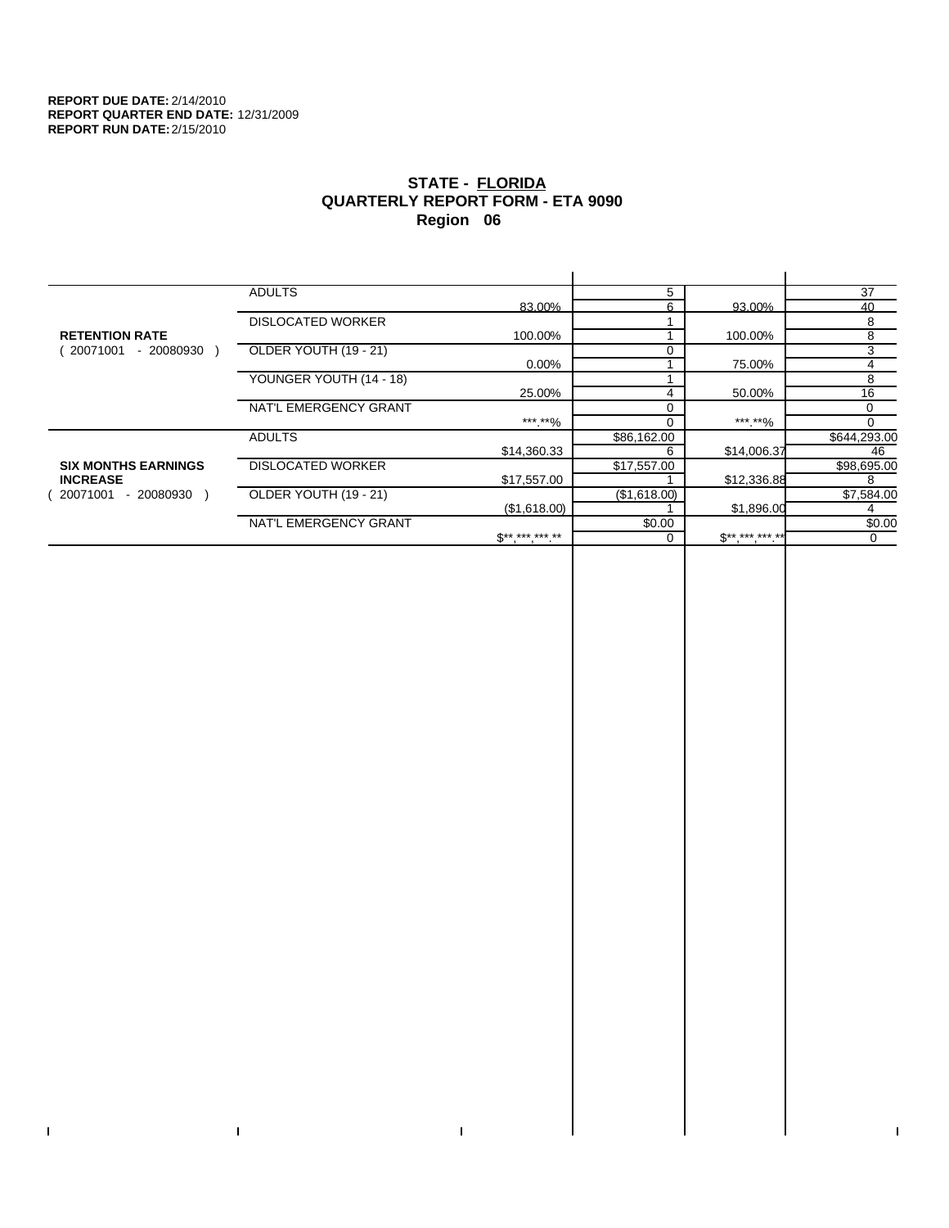$\bar{\Gamma}$ 

 $\mathbf{L}$ 

# **STATE - FLORIDA QUARTERLY REPORT FORM - ETA 9090 Region 06**

|                            | <b>ADULTS</b>            |                     | 5            |                       | 37           |
|----------------------------|--------------------------|---------------------|--------------|-----------------------|--------------|
|                            |                          | 83.00%              | ี่ค          | 93.00%                | 40           |
|                            | <b>DISLOCATED WORKER</b> |                     |              |                       | 8            |
| <b>RETENTION RATE</b>      |                          | 100.00%             |              | 100.00%               | 8            |
| 20071001<br>- 20080930     | OLDER YOUTH (19 - 21)    |                     |              |                       | 3            |
|                            |                          | $0.00\%$            |              | 75.00%                | 4            |
|                            | YOUNGER YOUTH (14 - 18)  |                     |              |                       | 8            |
|                            |                          | 25.00%              |              | 50.00%                | 16           |
|                            | NAT'L EMERGENCY GRANT    |                     |              |                       | $\Omega$     |
|                            |                          | ***.**%             |              | *** **%               | <sup>0</sup> |
|                            | <b>ADULTS</b>            |                     | \$86,162.00  |                       | \$644,293.00 |
|                            |                          | \$14,360.33         | 6            | \$14,006.37           | 46           |
| <b>SIX MONTHS EARNINGS</b> | <b>DISLOCATED WORKER</b> |                     | \$17,557.00  |                       | \$98,695.00  |
| <b>INCREASE</b>            |                          | \$17,557.00         |              | \$12,336.88           | 8            |
| 20071001<br>- 20080930     | OLDER YOUTH (19 - 21)    |                     | (\$1,618.00) |                       | \$7,584.00   |
|                            |                          | (\$1,618.00)        |              | \$1,896.00            |              |
|                            | NAT'L EMERGENCY GRANT    |                     | \$0.00       |                       | \$0.00       |
|                            |                          | $S^{**}$ *** *** ** |              | $$***$ , ***, ***. ** | $\Omega$     |
|                            |                          |                     |              |                       |              |

 $\bar{\Gamma}$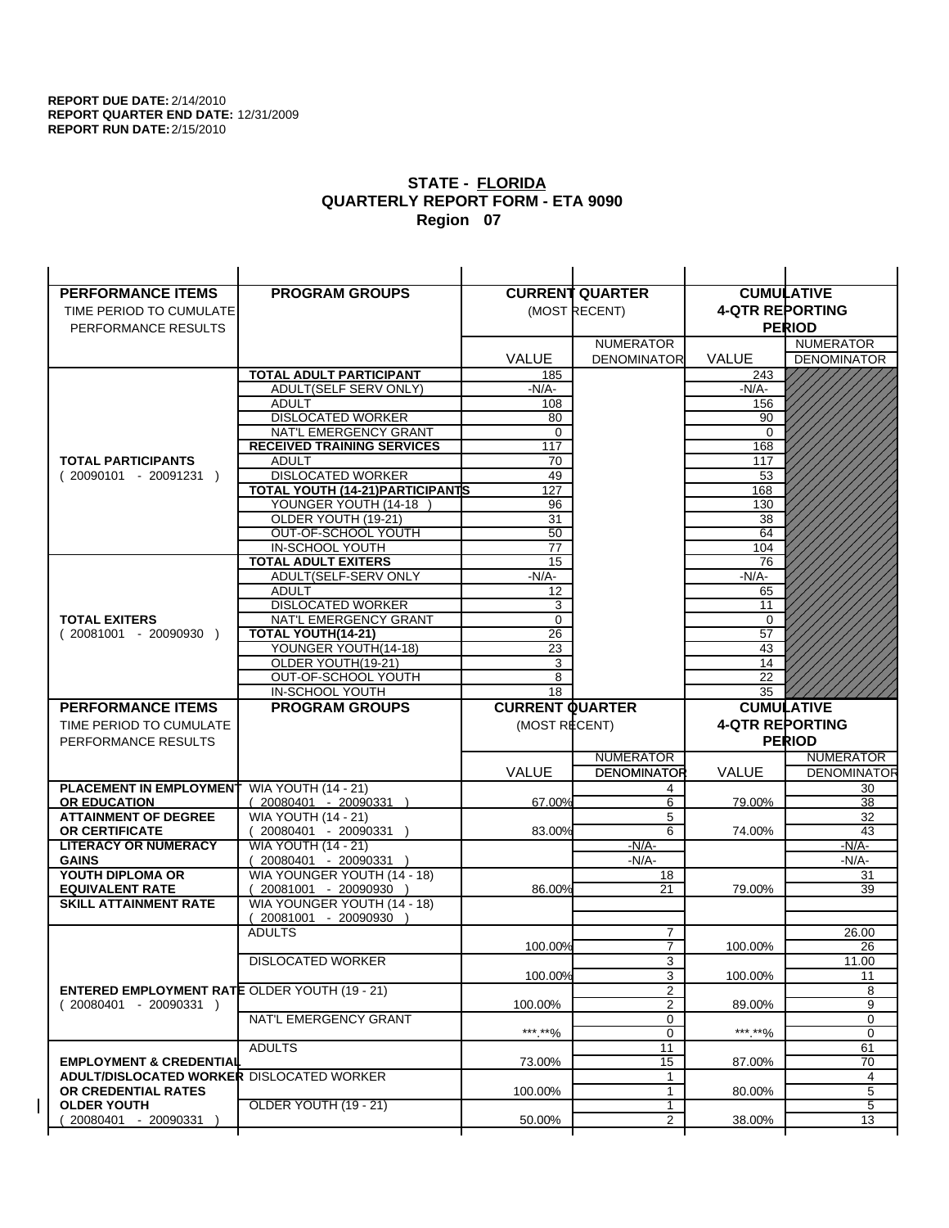| <b>PERFORMANCE ITEMS</b>                               | <b>PROGRAM GROUPS</b>                         |                        | <b>CURRENT QUARTER</b> |                        | <b>CUMULATIVE</b>  |
|--------------------------------------------------------|-----------------------------------------------|------------------------|------------------------|------------------------|--------------------|
| TIME PERIOD TO CUMULATE                                |                                               |                        | (MOST RECENT)          | <b>4-QTR REPORTING</b> |                    |
| PERFORMANCE RESULTS                                    |                                               |                        |                        |                        | <b>PERIOD</b>      |
|                                                        |                                               |                        | <b>NUMERATOR</b>       |                        | <b>NUMERATOR</b>   |
|                                                        |                                               | <b>VALUE</b>           | <b>DENOMINATOR</b>     | VALUE                  | <b>DENOMINATOR</b> |
|                                                        | <b>TOTAL ADULT PARTICIPANT</b>                | 185                    |                        | 243                    |                    |
|                                                        | ADULT(SELF SERV ONLY)                         | -N/A-                  |                        | $-N/A-$                |                    |
|                                                        | <b>ADULT</b>                                  | 108                    |                        | 156                    |                    |
|                                                        | <b>DISLOCATED WORKER</b>                      | 80                     |                        | 90                     |                    |
|                                                        | NAT'L EMERGENCY GRANT                         | $\mathbf 0$            |                        | $\mathbf 0$            |                    |
|                                                        | <b>RECEIVED TRAINING SERVICES</b>             | 117                    |                        | 168                    |                    |
| <b>TOTAL PARTICIPANTS</b>                              | <b>ADULT</b>                                  | 70                     |                        | 117                    |                    |
| $(20090101 - 20091231)$                                | <b>DISLOCATED WORKER</b>                      | 49                     |                        | 53                     |                    |
|                                                        | <b>TOTAL YOUTH (14-21) PARTICIPANTS</b>       | 127                    |                        | 168                    |                    |
|                                                        | YOUNGER YOUTH (14-18                          | 96                     |                        | 130                    |                    |
|                                                        | OLDER YOUTH (19-21)                           | 31                     |                        | 38                     |                    |
|                                                        | OUT-OF-SCHOOL YOUTH                           | 50                     |                        | 64                     |                    |
|                                                        | IN-SCHOOL YOUTH<br><b>TOTAL ADULT EXITERS</b> | 77<br>15               |                        | 104<br>76              |                    |
|                                                        | ADULT(SELF-SERV ONLY                          | $-N/A-$                |                        | $-N/A-$                |                    |
|                                                        | <b>ADULT</b>                                  | 12                     |                        | 65                     |                    |
|                                                        | <b>DISLOCATED WORKER</b>                      | 3                      |                        | 11                     |                    |
| <b>TOTAL EXITERS</b>                                   | NAT'L EMERGENCY GRANT                         | 0                      |                        | 0                      |                    |
| $(20081001 - 20090930)$                                | <b>TOTAL YOUTH(14-21)</b>                     | 26                     |                        | 57                     |                    |
|                                                        | YOUNGER YOUTH(14-18)                          | 23                     |                        | 43                     |                    |
|                                                        | OLDER YOUTH(19-21)                            | 3                      |                        | 14                     |                    |
|                                                        | OUT-OF-SCHOOL YOUTH                           | 8                      |                        | 22                     |                    |
|                                                        | IN-SCHOOL YOUTH                               | 18                     |                        | 35                     |                    |
|                                                        |                                               |                        |                        |                        |                    |
| <b>PERFORMANCE ITEMS</b>                               | <b>PROGRAM GROUPS</b>                         | <b>CURRENT QUARTER</b> |                        |                        | <b>CUMULATIVE</b>  |
| TIME PERIOD TO CUMULATE                                |                                               | (MOST RECENT)          |                        | <b>4-QTR REPORTING</b> |                    |
| PERFORMANCE RESULTS                                    |                                               |                        |                        |                        | <b>PERIOD</b>      |
|                                                        |                                               |                        | <b>NUMERATOR</b>       |                        | <b>NUMERATOR</b>   |
|                                                        |                                               | <b>VALUE</b>           | <b>DENOMINATOR</b>     | <b>VALUE</b>           | <b>DENOMINATOR</b> |
| PLACEMENT IN EMPLOYMENT                                | <b>WIA YOUTH (14 - 21)</b>                    |                        | 4                      |                        | 30                 |
| <b>OR EDUCATION</b>                                    | $(20080401 - 20090331)$                       | 67.00%                 | 6                      | 79.00%                 | 38                 |
| <b>ATTAINMENT OF DEGREE</b>                            | <b>WIA YOUTH (14 - 21)</b>                    |                        | 5                      |                        | 32                 |
| <b>OR CERTIFICATE</b>                                  | $(20080401 - 20090331)$                       | 83.00%                 | 6                      | 74.00%                 | 43                 |
| <b>LITERACY OR NUMERACY</b>                            | <b>WIA YOUTH (14 - 21)</b>                    |                        | $-N/A$ -               |                        | -N/A-              |
| <b>GAINS</b>                                           | 20080401 - 20090331                           |                        | $-N/A-$                |                        | $-N/A-$            |
| YOUTH DIPLOMA OR                                       | WIA YOUNGER YOUTH (14 - 18)                   |                        | 18                     |                        | 31                 |
| <b>EQUIVALENT RATE</b><br><b>SKILL ATTAINMENT RATE</b> | 20081001 - 20090930 )                         | 86.00%                 | 21                     | 79.00%                 | 39                 |
|                                                        | WIA YOUNGER YOUTH (14 - 18)                   |                        |                        |                        |                    |
|                                                        | (20081001 - 20090930<br><b>ADULTS</b>         |                        | 7                      |                        | 26.00              |
|                                                        |                                               | 100.00%                | $\overline{7}$         | 100.00%                | 26                 |
|                                                        | <b>DISLOCATED WORKER</b>                      |                        | $\overline{3}$         |                        | 11.00              |
|                                                        |                                               | 100.00%                | 3                      | 100.00%                | 11                 |
| <b>ENTERED EMPLOYMENT RATE OLDER YOUTH (19 - 21)</b>   |                                               |                        | 2                      |                        | 8                  |
| $(20080401 - 20090331)$                                |                                               | 100.00%                | $\overline{2}$         | 89.00%                 | 9                  |
|                                                        | NAT'L EMERGENCY GRANT                         |                        | 0                      |                        | 0                  |
|                                                        |                                               | ***.**%                | 0                      | *** **%                | 0                  |
|                                                        | <b>ADULTS</b>                                 |                        | 11                     |                        | 61                 |
| <b>EMPLOYMENT &amp; CREDENTIAL</b>                     |                                               | 73.00%                 | 15                     | 87.00%                 | 70                 |
| <b>ADULT/DISLOCATED WORKER DISLOCATED WORKER</b>       |                                               |                        | 1                      |                        | 4                  |
| OR CREDENTIAL RATES                                    |                                               | 100.00%                | $\mathbf{1}$<br>1      | 80.00%                 | 5                  |
| <b>OLDER YOUTH</b><br>20080401 - 20090331              | <b>OLDER YOUTH (19 - 21)</b>                  | 50.00%                 | $\overline{2}$         | 38.00%                 | 5<br>13            |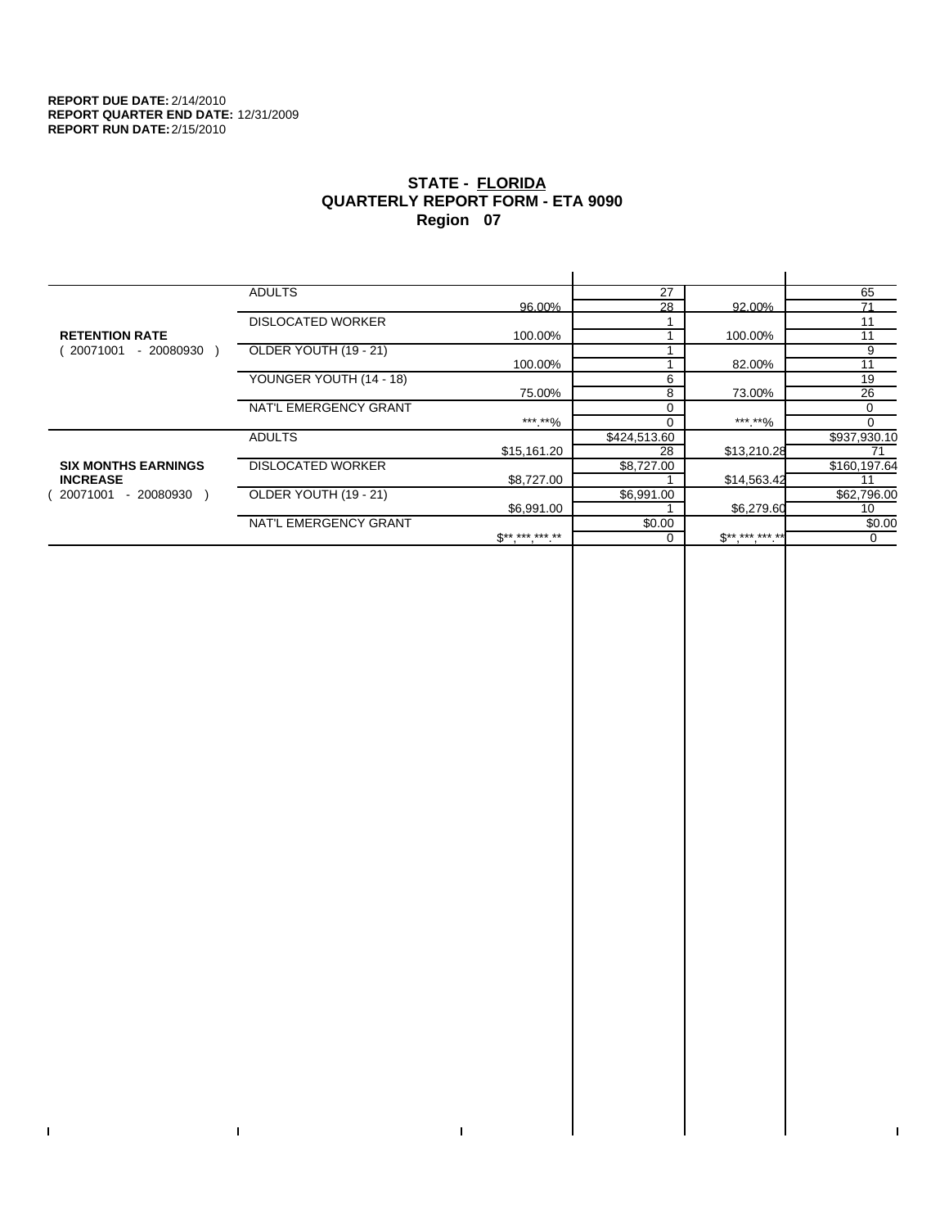$\bar{\Gamma}$ 

 $\mathbf{L}$ 

# **STATE - FLORIDA QUARTERLY REPORT FORM - ETA 9090 Region 07**

|                            | <b>ADULTS</b>            |                     | 27           |                     | 65           |
|----------------------------|--------------------------|---------------------|--------------|---------------------|--------------|
|                            |                          | 96.00%              | 28           | 92.00%              | 71           |
|                            | <b>DISLOCATED WORKER</b> |                     |              |                     | 11           |
| <b>RETENTION RATE</b>      |                          | 100.00%             |              | 100.00%             | 11           |
| 20071001<br>- 20080930     | OLDER YOUTH (19 - 21)    |                     |              |                     | 9            |
|                            |                          | 100.00%             |              | 82.00%              | 11           |
|                            | YOUNGER YOUTH (14 - 18)  |                     | 6            |                     | 19           |
|                            |                          | 75.00%              | 8            | 73.00%              | 26           |
|                            | NAT'L EMERGENCY GRANT    |                     | 0            |                     | 0            |
|                            |                          | *** **%             | 0            | *** **%             | 0            |
|                            | <b>ADULTS</b>            |                     | \$424,513.60 |                     | \$937,930.10 |
|                            |                          | \$15,161.20         | 28           | \$13,210.28         |              |
| <b>SIX MONTHS EARNINGS</b> | <b>DISLOCATED WORKER</b> |                     | \$8,727.00   |                     | \$160,197.64 |
| <b>INCREASE</b>            |                          | \$8,727.00          |              | \$14,563.42         | 11           |
| - 20080930 )<br>20071001   | OLDER YOUTH (19 - 21)    |                     | \$6,991.00   |                     | \$62,796.00  |
|                            |                          | \$6,991.00          |              | \$6,279.60          | 10           |
|                            | NAT'L EMERGENCY GRANT    |                     | \$0.00       |                     | \$0.00       |
|                            |                          | $S^{**}$ *** *** ** | 0            | $S^{**}$ *** *** ** | 0            |
|                            |                          |                     |              |                     |              |

 $\bar{\Gamma}$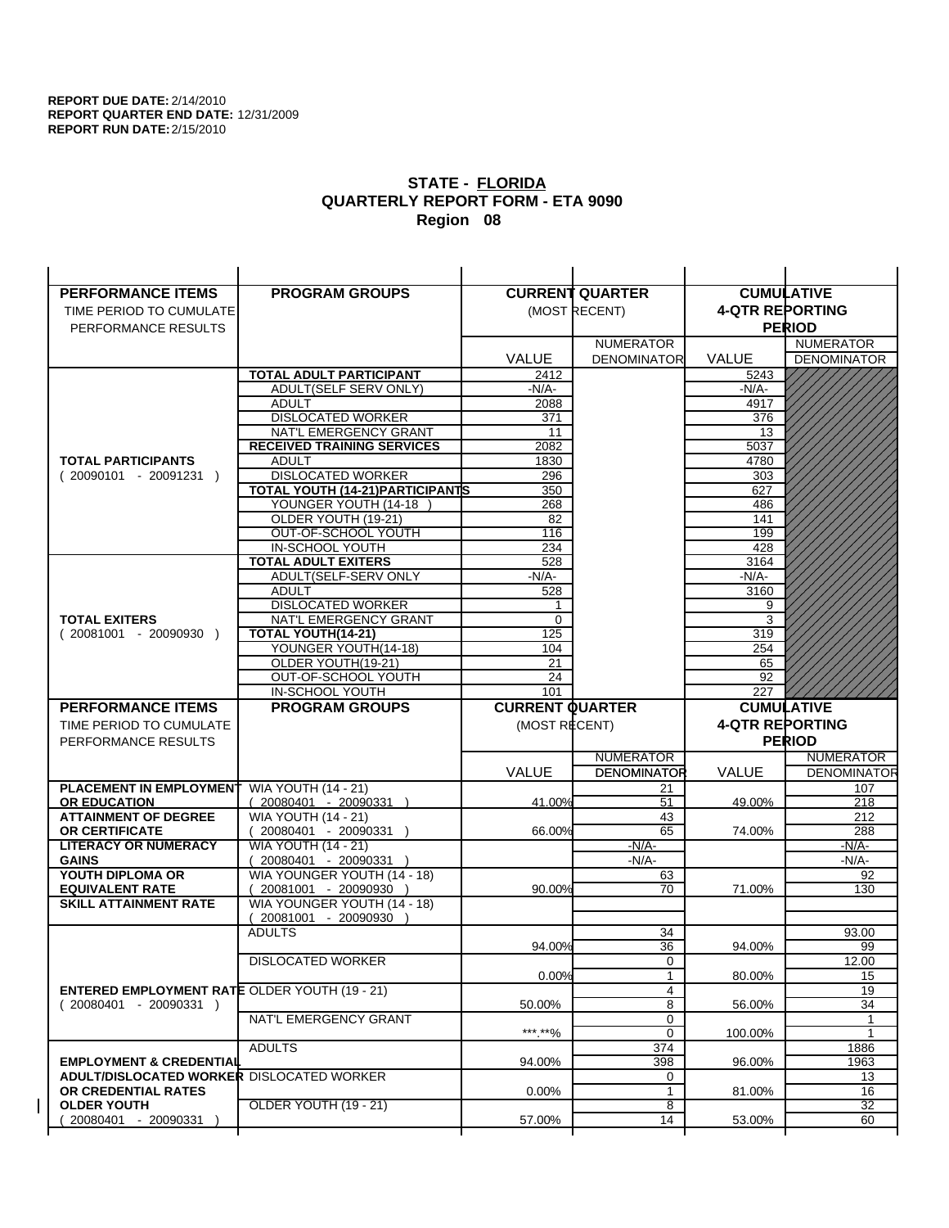| <b>PERFORMANCE ITEMS</b>                                                | <b>PROGRAM GROUPS</b>                                |                        | <b>CURRENT QUARTER</b> |                        | <b>CUMULATIVE</b>  |
|-------------------------------------------------------------------------|------------------------------------------------------|------------------------|------------------------|------------------------|--------------------|
| TIME PERIOD TO CUMULATE                                                 |                                                      |                        | (MOST RECENT)          | <b>4-QTR REPORTING</b> |                    |
| PERFORMANCE RESULTS                                                     |                                                      |                        |                        |                        | <b>PERIOD</b>      |
|                                                                         |                                                      |                        | <b>NUMERATOR</b>       |                        | <b>NUMERATOR</b>   |
|                                                                         |                                                      | <b>VALUE</b>           | <b>DENOMINATOR</b>     | <b>VALUE</b>           | <b>DENOMINATOR</b> |
|                                                                         | <b>TOTAL ADULT PARTICIPANT</b>                       | 2412                   |                        | 5243                   |                    |
|                                                                         | ADULT(SELF SERV ONLY)                                | -N/A-                  |                        | -N/A-                  |                    |
|                                                                         | <b>ADULT</b>                                         | 2088                   |                        | 4917                   |                    |
|                                                                         | <b>DISLOCATED WORKER</b>                             | 371                    |                        | 376                    |                    |
|                                                                         | NAT'L EMERGENCY GRANT                                | 11                     |                        | 13                     |                    |
|                                                                         | <b>RECEIVED TRAINING SERVICES</b>                    | 2082                   |                        | 5037                   |                    |
| <b>TOTAL PARTICIPANTS</b>                                               | <b>ADULT</b>                                         | 1830                   |                        | 4780                   |                    |
| $(20090101 - 20091231)$                                                 | <b>DISLOCATED WORKER</b>                             | 296                    |                        | 303                    |                    |
|                                                                         | TOTAL YOUTH (14-21) PARTICIPANTS                     | 350                    |                        | 627                    |                    |
|                                                                         | YOUNGER YOUTH (14-18                                 | 268                    |                        | 486                    |                    |
|                                                                         | OLDER YOUTH (19-21)                                  | 82<br>116              |                        | 141<br>199             |                    |
|                                                                         | OUT-OF-SCHOOL YOUTH<br>IN-SCHOOL YOUTH               | 234                    |                        | 428                    |                    |
|                                                                         | <b>TOTAL ADULT EXITERS</b>                           | 528                    |                        | 3164                   |                    |
|                                                                         | ADULT(SELF-SERV ONLY                                 | $-N/A-$                |                        | $-N/A-$                |                    |
|                                                                         | <b>ADULT</b>                                         | 528                    |                        | 3160                   |                    |
|                                                                         | <b>DISLOCATED WORKER</b>                             | 1                      |                        | 9                      |                    |
| <b>TOTAL EXITERS</b>                                                    | NAT'L EMERGENCY GRANT                                | 0                      |                        | 3                      |                    |
| $(20081001 - 20090930)$                                                 | TOTAL YOUTH(14-21)                                   | 125                    |                        | 319                    |                    |
|                                                                         | YOUNGER YOUTH(14-18)                                 | 104                    |                        | 254                    |                    |
|                                                                         | OLDER YOUTH(19-21)                                   | 21                     |                        | 65                     |                    |
|                                                                         | OUT-OF-SCHOOL YOUTH                                  | 24                     |                        | 92                     |                    |
|                                                                         | IN-SCHOOL YOUTH                                      | 101                    |                        | 227                    |                    |
|                                                                         |                                                      |                        |                        |                        |                    |
| <b>PERFORMANCE ITEMS</b>                                                | <b>PROGRAM GROUPS</b>                                | <b>CURRENT QUARTER</b> |                        |                        | <b>CUMULATIVE</b>  |
| TIME PERIOD TO CUMULATE                                                 |                                                      | (MOST RECENT)          |                        | <b>4-QTR REPORTING</b> |                    |
| PERFORMANCE RESULTS                                                     |                                                      |                        |                        |                        | <b>PERIOD</b>      |
|                                                                         |                                                      |                        | <b>NUMERATOR</b>       |                        | <b>NUMERATOR</b>   |
|                                                                         |                                                      | <b>VALUE</b>           | <b>DENOMINATOR</b>     | <b>VALUE</b>           | <b>DENOMINATOR</b> |
| PLACEMENT IN EMPLOYMENT                                                 | <b>WIA YOUTH (14 - 21)</b>                           |                        | 21                     |                        | 107                |
| <b>OR EDUCATION</b>                                                     | $(20080401 - 20090331)$                              | 41.00%                 | 51                     | 49.00%                 | 218                |
| <b>ATTAINMENT OF DEGREE</b>                                             | <b>WIA YOUTH (14 - 21)</b>                           |                        | 43                     |                        | 212                |
| <b>OR CERTIFICATE</b>                                                   | $(20080401 - 20090331)$                              | 66.00%                 | 65                     | 74.00%                 | 288                |
| <b>LITERACY OR NUMERACY</b>                                             | <b>WIA YOUTH (14 - 21)</b>                           |                        | $-N/A-$                |                        | -N/A-              |
| <b>GAINS</b>                                                            | 20080401 - 20090331                                  |                        | $-N/A-$                |                        | $-N/A-$            |
| YOUTH DIPLOMA OR                                                        | WIA YOUNGER YOUTH (14 - 18)                          | 90.00%                 | 63                     |                        | 92                 |
| <b>EQUIVALENT RATE</b><br><b>SKILL ATTAINMENT RATE</b>                  | 20081001 - 20090930 )<br>WIA YOUNGER YOUTH (14 - 18) |                        | 70                     | 71.00%                 | 130                |
|                                                                         | (20081001 - 20090930                                 |                        |                        |                        |                    |
|                                                                         | <b>ADULTS</b>                                        |                        | 34                     |                        | 93.00              |
|                                                                         |                                                      | 94.00%                 | 36                     | 94.00%                 | 99                 |
|                                                                         | <b>DISLOCATED WORKER</b>                             |                        | $\overline{0}$         |                        | 12.00              |
|                                                                         |                                                      | 0.00%                  | $\mathbf{1}$           | 80.00%                 | 15                 |
| <b>ENTERED EMPLOYMENT RATE OLDER YOUTH (19 - 21)</b>                    |                                                      |                        | 4                      |                        | 19                 |
| $(20080401 - 20090331)$                                                 |                                                      | 50.00%                 | 8                      | 56.00%                 | 34                 |
|                                                                         | NAT'L EMERGENCY GRANT                                |                        | 0                      |                        | 1                  |
|                                                                         |                                                      | ***.**%                | 0                      | 100.00%                | $\mathbf{1}$       |
|                                                                         | <b>ADULTS</b>                                        |                        | 374                    |                        | 1886               |
| <b>EMPLOYMENT &amp; CREDENTIAL</b>                                      |                                                      | 94.00%                 | 398                    | 96.00%                 | 1963               |
| <b>ADULT/DISLOCATED WORKER DISLOCATED WORKER</b><br>OR CREDENTIAL RATES |                                                      | $0.00\%$               | 0<br>$\mathbf{1}$      |                        | 13<br>16           |
| <b>OLDER YOUTH</b>                                                      | OLDER YOUTH (19 - 21)                                |                        | 8                      | 81.00%                 | 32                 |
| 20080401 - 20090331                                                     |                                                      | 57.00%                 | 14                     | 53.00%                 | 60                 |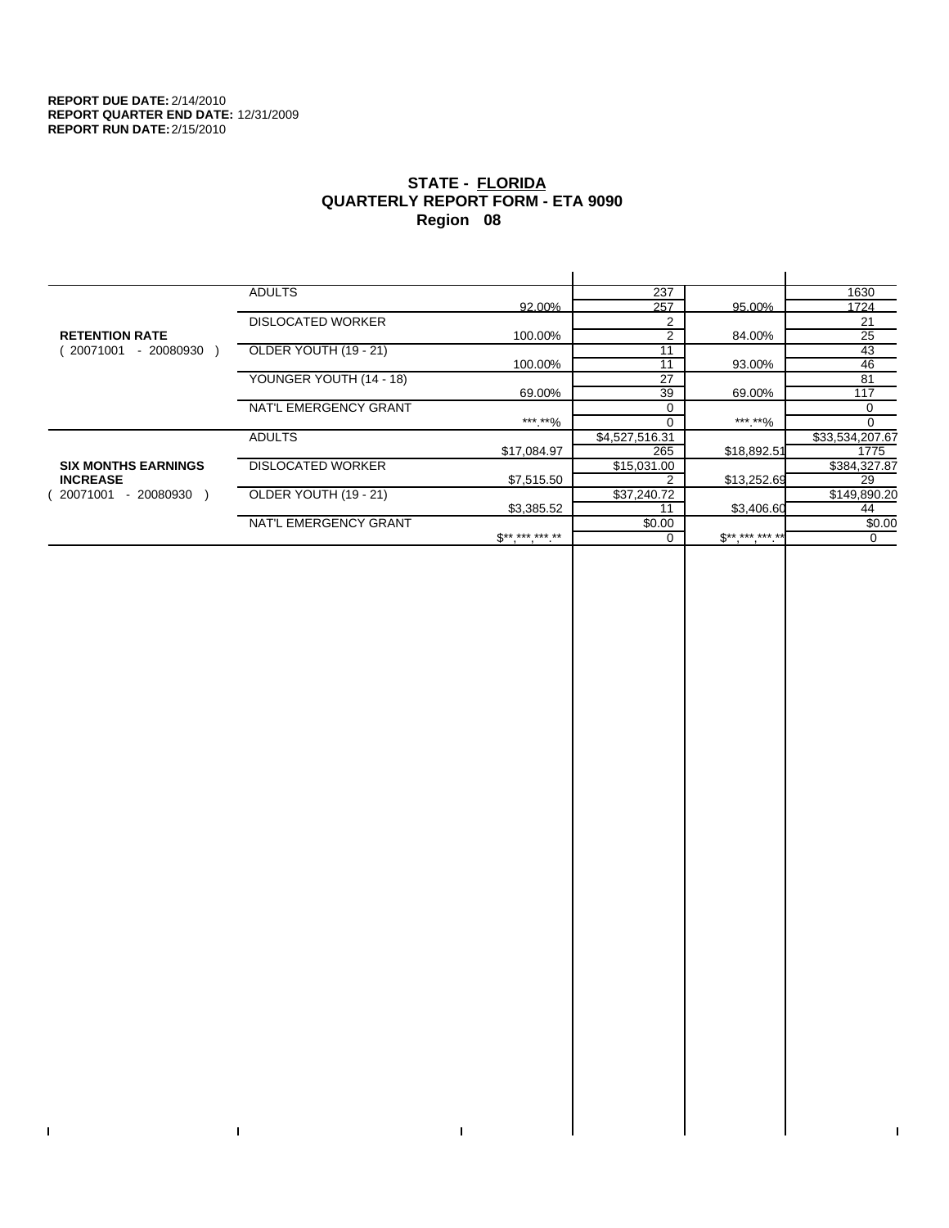$\bar{\Gamma}$ 

 $\mathbf{L}$ 

# **STATE - FLORIDA QUARTERLY REPORT FORM - ETA 9090 Region 08**

|                            | <b>ADULTS</b>            |              | 237            |             | 1630            |
|----------------------------|--------------------------|--------------|----------------|-------------|-----------------|
|                            |                          | 92.00%       | 257            | 95.00%      | 1724            |
|                            | <b>DISLOCATED WORKER</b> |              | 2              |             | 21              |
| <b>RETENTION RATE</b>      |                          | 100.00%      | 2              | 84.00%      | 25              |
| 20071001<br>- 20080930     | OLDER YOUTH (19 - 21)    |              | 11             |             | 43              |
|                            |                          | 100.00%      | 11             | 93.00%      | 46              |
|                            | YOUNGER YOUTH (14 - 18)  |              | 27             |             | 81              |
|                            |                          | 69.00%       | 39             | 69.00%      | 117             |
|                            | NAT'L EMERGENCY GRANT    |              | $\Omega$       |             | 0               |
|                            |                          | ***.**%      |                | ***.**%     | $\Omega$        |
|                            | <b>ADULTS</b>            |              | \$4,527,516.31 |             | \$33,534,207.67 |
|                            |                          | \$17,084.97  | 265            | \$18,892.51 | 1775            |
| <b>SIX MONTHS EARNINGS</b> | <b>DISLOCATED WORKER</b> |              | \$15,031.00    |             | \$384,327.87    |
| <b>INCREASE</b>            |                          | \$7,515.50   |                | \$13,252.69 | 29              |
| $-20080930$<br>20071001    | OLDER YOUTH (19 - 21)    |              | \$37,240.72    |             | \$149,890.20    |
|                            |                          | \$3,385.52   | 11             | \$3,406.60  | 44              |
|                            | NAT'L EMERGENCY GRANT    |              | \$0.00         |             | \$0.00          |
|                            |                          | $S*********$ |                | $S********$ | 0               |
|                            |                          |              |                |             |                 |

 $\bar{\Gamma}$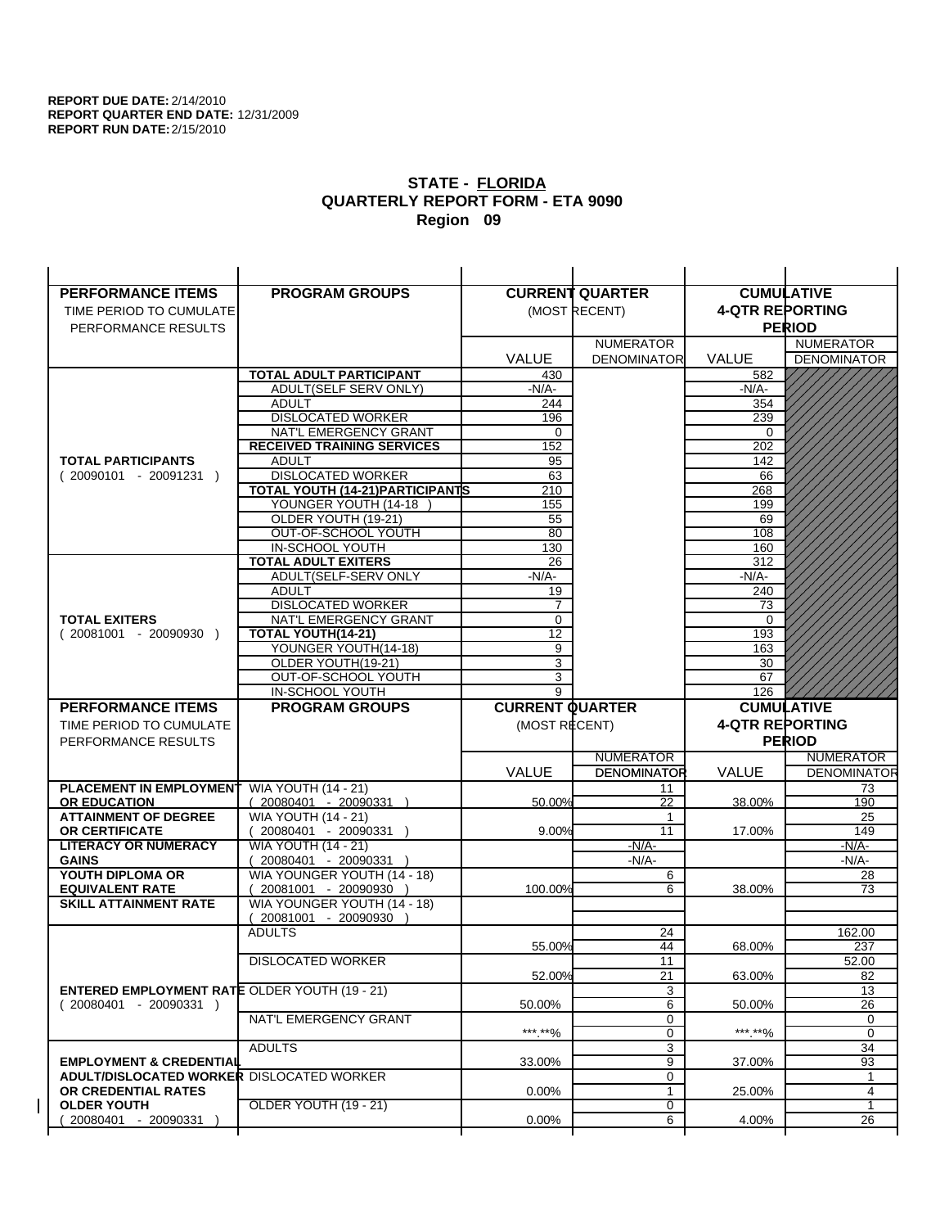| <b>PERFORMANCE ITEMS</b>                                                | <b>PROGRAM GROUPS</b>                                |                        | <b>CURRENT QUARTER</b> |                        | <b>CUMULATIVE</b>  |
|-------------------------------------------------------------------------|------------------------------------------------------|------------------------|------------------------|------------------------|--------------------|
| TIME PERIOD TO CUMULATE                                                 |                                                      |                        | (MOST RECENT)          | <b>4-QTR REPORTING</b> |                    |
| PERFORMANCE RESULTS                                                     |                                                      |                        |                        |                        | <b>PERIOD</b>      |
|                                                                         |                                                      |                        | <b>NUMERATOR</b>       |                        | <b>NUMERATOR</b>   |
|                                                                         |                                                      | <b>VALUE</b>           | <b>DENOMINATOR</b>     | VALUE                  | <b>DENOMINATOR</b> |
|                                                                         | <b>TOTAL ADULT PARTICIPANT</b>                       | 430                    |                        | 582                    |                    |
|                                                                         | ADULT(SELF SERV ONLY)                                | $-N/A-$                |                        | -N/A-                  |                    |
|                                                                         | <b>ADULT</b>                                         | 244                    |                        | 354                    |                    |
|                                                                         | <b>DISLOCATED WORKER</b>                             | 196                    |                        | 239                    |                    |
|                                                                         | NAT'L EMERGENCY GRANT                                | 0                      |                        | $\Omega$               |                    |
|                                                                         | <b>RECEIVED TRAINING SERVICES</b>                    | 152                    |                        | 202                    |                    |
| <b>TOTAL PARTICIPANTS</b>                                               | <b>ADULT</b>                                         | 95                     |                        | 142                    |                    |
| $(20090101 - 20091231)$                                                 | <b>DISLOCATED WORKER</b>                             | 63                     |                        | 66                     |                    |
|                                                                         | TOTAL YOUTH (14-21) PARTICIPANTS                     | 210                    |                        | 268                    |                    |
|                                                                         | YOUNGER YOUTH (14-18                                 | 155                    |                        | 199                    |                    |
|                                                                         | OLDER YOUTH (19-21)                                  | 55<br>80               |                        | 69<br>108              |                    |
|                                                                         | OUT-OF-SCHOOL YOUTH<br>IN-SCHOOL YOUTH               | 130                    |                        | 160                    |                    |
|                                                                         | <b>TOTAL ADULT EXITERS</b>                           | 26                     |                        | 312                    |                    |
|                                                                         | ADULT(SELF-SERV ONLY                                 | $-N/A-$                |                        | $-N/A-$                |                    |
|                                                                         | <b>ADULT</b>                                         | 19                     |                        | 240                    |                    |
|                                                                         | <b>DISLOCATED WORKER</b>                             | $\overline{7}$         |                        | 73                     |                    |
| <b>TOTAL EXITERS</b>                                                    | NAT'L EMERGENCY GRANT                                | 0                      |                        | 0                      |                    |
| $(20081001 - 20090930)$                                                 | TOTAL YOUTH(14-21)                                   | 12                     |                        | 193                    |                    |
|                                                                         | YOUNGER YOUTH(14-18)                                 | 9                      |                        | 163                    |                    |
|                                                                         | OLDER YOUTH(19-21)                                   | 3                      |                        | 30                     |                    |
|                                                                         | OUT-OF-SCHOOL YOUTH                                  | 3                      |                        | 67                     |                    |
|                                                                         | IN-SCHOOL YOUTH                                      | 9                      |                        | 126                    |                    |
|                                                                         |                                                      |                        |                        |                        |                    |
| <b>PERFORMANCE ITEMS</b>                                                | <b>PROGRAM GROUPS</b>                                | <b>CURRENT QUARTER</b> |                        |                        | <b>CUMULATIVE</b>  |
| TIME PERIOD TO CUMULATE                                                 |                                                      | (MOST RECENT)          |                        | <b>4-QTR REPORTING</b> |                    |
| PERFORMANCE RESULTS                                                     |                                                      |                        |                        |                        | <b>PERIOD</b>      |
|                                                                         |                                                      |                        | <b>NUMERATOR</b>       |                        | <b>NUMERATOR</b>   |
|                                                                         |                                                      | <b>VALUE</b>           | <b>DENOMINATOR</b>     | <b>VALUE</b>           | <b>DENOMINATOR</b> |
| PLACEMENT IN EMPLOYMENT                                                 | <b>WIA YOUTH (14 - 21)</b>                           |                        | 11                     |                        | 73                 |
| <b>OR EDUCATION</b>                                                     | $(20080401 - 20090331)$                              | 50.00%                 | 22                     | 38.00%                 | 190                |
| <b>ATTAINMENT OF DEGREE</b>                                             | <b>WIA YOUTH (14 - 21)</b>                           |                        | $\mathbf{1}$           |                        | 25                 |
| <b>OR CERTIFICATE</b>                                                   | $(20080401 - 20090331)$                              | 9.00%                  | 11                     | 17.00%                 | 149                |
| <b>LITERACY OR NUMERACY</b>                                             | <b>WIA YOUTH (14 - 21)</b>                           |                        | $-N/A-$                |                        | -N/A-              |
| <b>GAINS</b>                                                            | 20080401 - 20090331                                  |                        | $-N/A-$                |                        | $-N/A-$            |
| YOUTH DIPLOMA OR                                                        | WIA YOUNGER YOUTH (14 - 18)                          |                        | 6<br>6                 |                        | 28                 |
| <b>EQUIVALENT RATE</b><br><b>SKILL ATTAINMENT RATE</b>                  | 20081001 - 20090930 )<br>WIA YOUNGER YOUTH (14 - 18) | 100.00%                |                        | 38.00%                 | 73                 |
|                                                                         | (20081001 - 20090930                                 |                        |                        |                        |                    |
|                                                                         | <b>ADULTS</b>                                        |                        | 24                     |                        | 162.00             |
|                                                                         |                                                      | 55.00%                 | 44                     | 68.00%                 | 237                |
|                                                                         | <b>DISLOCATED WORKER</b>                             |                        | $\overline{11}$        |                        | 52.00              |
|                                                                         |                                                      | 52.00%                 | 21                     | 63.00%                 | 82                 |
| <b>ENTERED EMPLOYMENT RATE OLDER YOUTH (19 - 21)</b>                    |                                                      |                        | 3                      |                        | 13                 |
| $(20080401 - 20090331)$                                                 |                                                      | 50.00%                 | 6                      | 50.00%                 | 26                 |
|                                                                         | NAT'L EMERGENCY GRANT                                |                        | 0                      |                        | 0                  |
|                                                                         |                                                      | ***.**%                | 0                      | *** **%                | 0                  |
|                                                                         | <b>ADULTS</b>                                        |                        | 3                      |                        | 34                 |
| <b>EMPLOYMENT &amp; CREDENTIAL</b>                                      |                                                      | 33.00%                 | 9                      | 37.00%                 | 93                 |
| <b>ADULT/DISLOCATED WORKER DISLOCATED WORKER</b><br>OR CREDENTIAL RATES |                                                      |                        | 0<br>$\mathbf{1}$      |                        | 1<br>4             |
| <b>OLDER YOUTH</b>                                                      | OLDER YOUTH (19 - 21)                                | $0.00\%$               | 0                      | 25.00%                 | 1                  |
| 20080401 - 20090331                                                     |                                                      | 0.00%                  | 6                      | 4.00%                  | 26                 |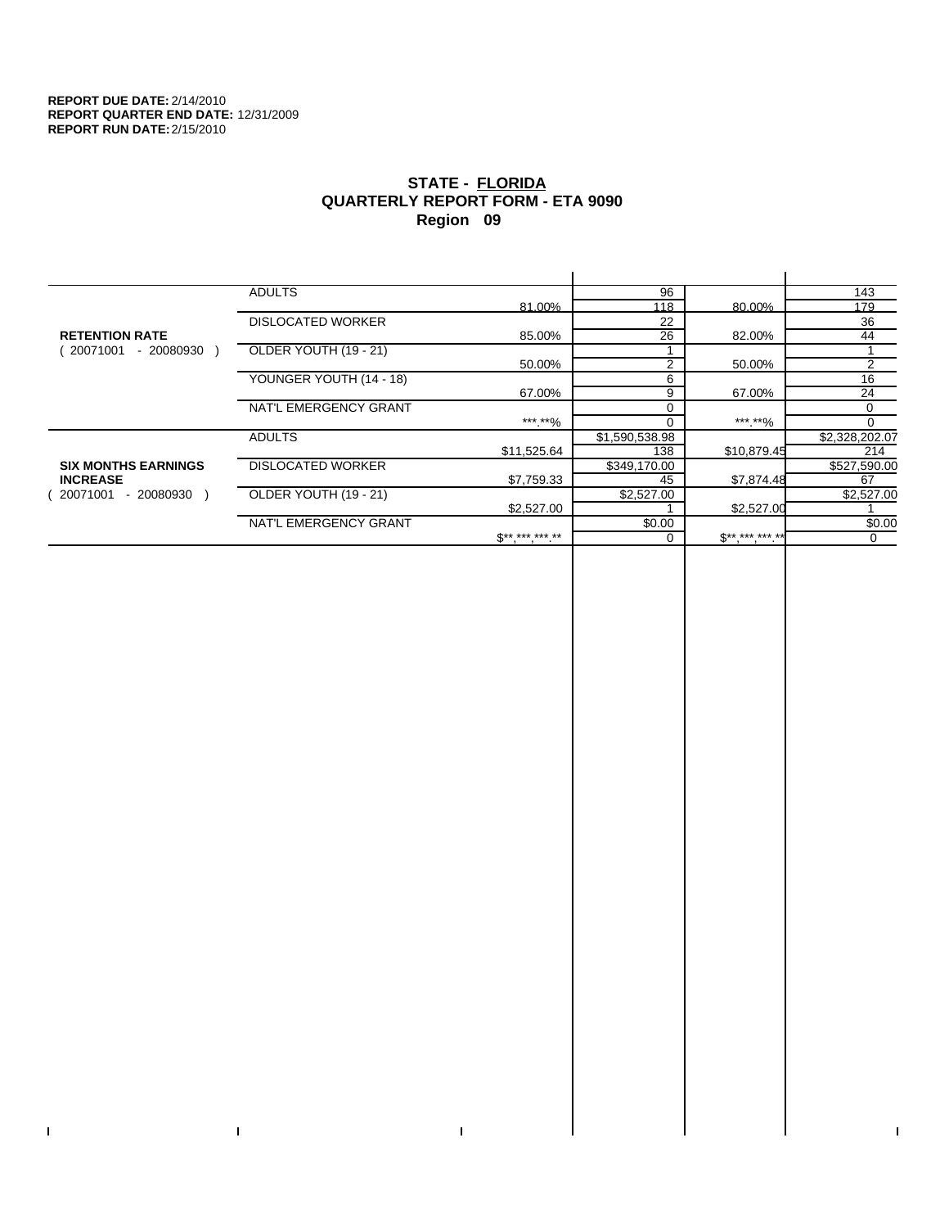$\bar{\Gamma}$ 

 $\mathbf{L}$ 

# **STATE - FLORIDA QUARTERLY REPORT FORM - ETA 9090 Region 09**

|                            | <b>ADULTS</b>            |              | 96             |             | 143            |
|----------------------------|--------------------------|--------------|----------------|-------------|----------------|
|                            |                          | 81.00%       | 118            | 80.00%      | 179            |
|                            | <b>DISLOCATED WORKER</b> |              | 22             |             | 36             |
| <b>RETENTION RATE</b>      |                          | 85.00%       | 26             | 82.00%      | 44             |
| 20071001<br>- 20080930     | OLDER YOUTH (19 - 21)    |              |                |             |                |
|                            |                          | 50.00%       | 2              | 50.00%      | 2              |
|                            | YOUNGER YOUTH (14 - 18)  |              | 6              |             | 16             |
|                            |                          | 67.00%       | 9              | 67.00%      | 24             |
|                            | NAT'L EMERGENCY GRANT    |              | $\Omega$       |             | 0              |
|                            |                          | ***.**%      |                | *** **%     | $\Omega$       |
|                            | <b>ADULTS</b>            |              | \$1,590,538.98 |             | \$2,328,202.07 |
|                            |                          | \$11,525.64  | 138            | \$10,879.45 | 214            |
| <b>SIX MONTHS EARNINGS</b> | <b>DISLOCATED WORKER</b> |              | \$349,170.00   |             | \$527,590.00   |
| <b>INCREASE</b>            |                          | \$7,759.33   | 45             | \$7,874.48  | 67             |
| - 20080930<br>20071001     | OLDER YOUTH (19 - 21)    |              | \$2,527.00     |             | \$2,527.00     |
|                            |                          | \$2,527.00   |                | \$2,527.00  |                |
|                            | NAT'L EMERGENCY GRANT    |              | \$0.00         |             | \$0.00         |
|                            |                          | $S*********$ |                | $$********$ | $\Omega$       |
|                            |                          |              |                |             |                |

 $\bar{\Gamma}$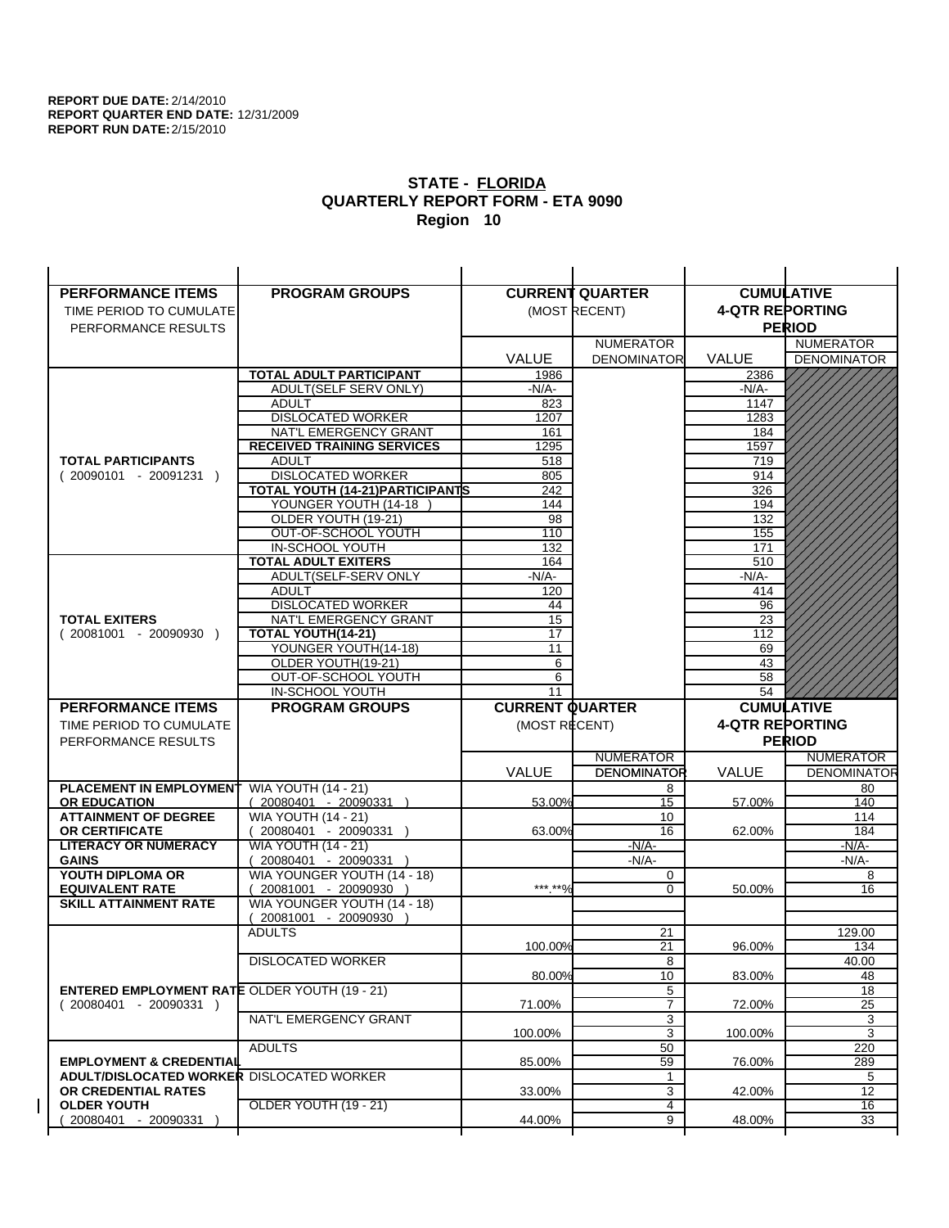| <b>PERFORMANCE ITEMS</b>                                                        | <b>PROGRAM GROUPS</b>                         |                        | <b>CURRENT QUARTER</b> |                        | <b>CUMULATIVE</b>  |
|---------------------------------------------------------------------------------|-----------------------------------------------|------------------------|------------------------|------------------------|--------------------|
| TIME PERIOD TO CUMULATE                                                         |                                               |                        | (MOST RECENT)          | <b>4-QTR REPORTING</b> |                    |
| PERFORMANCE RESULTS                                                             |                                               |                        |                        |                        | <b>PERIOD</b>      |
|                                                                                 |                                               |                        | <b>NUMERATOR</b>       |                        | <b>NUMERATOR</b>   |
|                                                                                 |                                               | <b>VALUE</b>           | <b>DENOMINATOR</b>     | <b>VALUE</b>           | <b>DENOMINATOR</b> |
|                                                                                 | TOTAL ADULT PARTICIPANT                       | 1986                   |                        | 2386                   |                    |
|                                                                                 | ADULT(SELF SERV ONLY)                         | $-N/A-$                |                        | -N/A-                  |                    |
|                                                                                 | <b>ADULT</b>                                  | 823                    |                        | 1147                   |                    |
|                                                                                 | <b>DISLOCATED WORKER</b>                      | 1207                   |                        | 1283                   |                    |
|                                                                                 | NAT'L EMERGENCY GRANT                         | 161                    |                        | 184                    |                    |
|                                                                                 | <b>RECEIVED TRAINING SERVICES</b>             | 1295                   |                        | 1597                   |                    |
| <b>TOTAL PARTICIPANTS</b>                                                       | <b>ADULT</b>                                  | 518                    |                        | 719                    |                    |
| $(20090101 - 20091231)$                                                         | <b>DISLOCATED WORKER</b>                      | 805                    |                        | 914                    |                    |
|                                                                                 | TOTAL YOUTH (14-21) PARTICIPANTS              | 242                    |                        | 326                    |                    |
|                                                                                 | YOUNGER YOUTH (14-18                          | 144                    |                        | 194                    |                    |
|                                                                                 | OLDER YOUTH (19-21)                           | 98                     |                        | 132                    |                    |
|                                                                                 | OUT-OF-SCHOOL YOUTH                           | 110                    |                        | 155                    |                    |
|                                                                                 | IN-SCHOOL YOUTH<br><b>TOTAL ADULT EXITERS</b> | 132<br>164             |                        | 171<br>510             |                    |
|                                                                                 | ADULT(SELF-SERV ONLY                          | $-N/A-$                |                        | $-N/A-$                |                    |
|                                                                                 | <b>ADULT</b>                                  | 120                    |                        | 414                    |                    |
|                                                                                 | <b>DISLOCATED WORKER</b>                      | 44                     |                        | 96                     |                    |
| <b>TOTAL EXITERS</b>                                                            | NAT'L EMERGENCY GRANT                         | 15                     |                        | 23                     |                    |
| $(20081001 - 20090930)$                                                         | TOTAL YOUTH(14-21)                            | 17                     |                        | 112                    |                    |
|                                                                                 | YOUNGER YOUTH(14-18)                          | 11                     |                        | 69                     |                    |
|                                                                                 | OLDER YOUTH(19-21)                            | 6                      |                        | 43                     |                    |
|                                                                                 | OUT-OF-SCHOOL YOUTH                           | 6                      |                        | 58                     |                    |
|                                                                                 | IN-SCHOOL YOUTH                               | 11                     |                        | 54                     |                    |
|                                                                                 |                                               |                        |                        |                        |                    |
| <b>PERFORMANCE ITEMS</b>                                                        | <b>PROGRAM GROUPS</b>                         | <b>CURRENT QUARTER</b> |                        |                        | <b>CUMULATIVE</b>  |
| TIME PERIOD TO CUMULATE                                                         |                                               | (MOST RECENT)          |                        | <b>4-QTR REPORTING</b> |                    |
| PERFORMANCE RESULTS                                                             |                                               |                        |                        |                        | <b>PERIOD</b>      |
|                                                                                 |                                               |                        | <b>NUMERATOR</b>       |                        | <b>NUMERATOR</b>   |
|                                                                                 |                                               | <b>VALUE</b>           | <b>DENOMINATOR</b>     | <b>VALUE</b>           | <b>DENOMINATOR</b> |
| PLACEMENT IN EMPLOYMENT                                                         | <b>WIA YOUTH (14 - 21)</b>                    |                        | 8                      |                        | 80                 |
| <b>OR EDUCATION</b>                                                             | $(20080401 - 20090331)$                       | 53.00%                 | 15                     | 57.00%                 | 140                |
| <b>ATTAINMENT OF DEGREE</b>                                                     | <b>WIA YOUTH (14 - 21)</b>                    |                        | 10                     |                        | 114                |
| <b>OR CERTIFICATE</b>                                                           | $(20080401 - 20090331)$                       | 63.00%                 | 16                     | 62.00%                 | 184                |
| <b>LITERACY OR NUMERACY</b>                                                     | <b>WIA YOUTH (14 - 21)</b>                    |                        | $-N/A-$                |                        | -N/A-              |
| <b>GAINS</b>                                                                    | 20080401 - 20090331                           |                        | $-N/A-$                |                        | $-N/A-$            |
| YOUTH DIPLOMA OR                                                                | WIA YOUNGER YOUTH (14 - 18)                   |                        | 0                      |                        | 8                  |
| <b>EQUIVALENT RATE</b>                                                          | 20081001 - 20090930 )                         | *** **%                | $\Omega$               | 50.00%                 | 16                 |
| <b>SKILL ATTAINMENT RATE</b>                                                    | WIA YOUNGER YOUTH (14 - 18)                   |                        |                        |                        |                    |
|                                                                                 | (20081001 - 20090930                          |                        |                        |                        |                    |
|                                                                                 | <b>ADULTS</b>                                 |                        | 21                     |                        | 129.00             |
|                                                                                 |                                               | 100.00%                | 21                     | 96.00%                 | 134                |
|                                                                                 | <b>DISLOCATED WORKER</b>                      |                        | $\overline{8}$         |                        | 40.00              |
|                                                                                 |                                               | 80.00%                 | 10<br>5                | 83.00%                 | 48<br>18           |
| <b>ENTERED EMPLOYMENT RATE OLDER YOUTH (19 - 21)</b><br>$(20080401 - 20090331)$ |                                               | 71.00%                 | $\overline{7}$         | 72.00%                 | 25                 |
|                                                                                 | NAT'L EMERGENCY GRANT                         |                        | 3                      |                        | 3                  |
|                                                                                 |                                               | 100.00%                | 3                      | 100.00%                | 3                  |
|                                                                                 | <b>ADULTS</b>                                 |                        | 50                     |                        | 220                |
| <b>EMPLOYMENT &amp; CREDENTIAL</b>                                              |                                               | 85.00%                 | 59                     | 76.00%                 | 289                |
| <b>ADULT/DISLOCATED WORKER DISLOCATED WORKER</b>                                |                                               |                        | 1                      |                        | 5                  |
| OR CREDENTIAL RATES                                                             |                                               | 33.00%                 | 3                      | 42.00%                 | 12                 |
| <b>OLDER YOUTH</b><br>20080401 - 20090331                                       | <b>OLDER YOUTH (19 - 21)</b>                  | 44.00%                 | 4<br>9                 | 48.00%                 | 16<br>33           |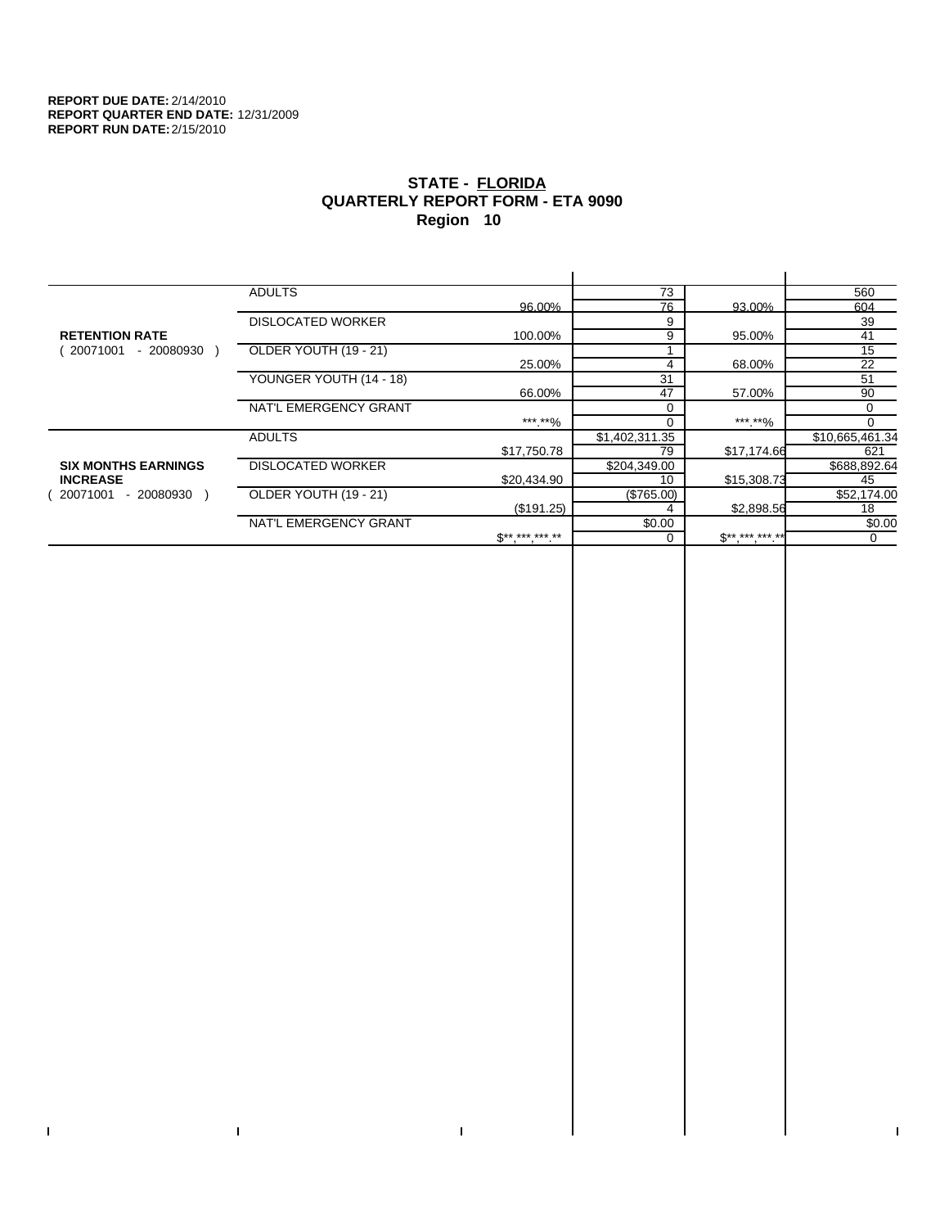$\bar{\Gamma}$ 

 $\mathbf{L}$ 

# **STATE - FLORIDA QUARTERLY REPORT FORM - ETA 9090 Region 10**

|                            | <b>ADULTS</b>            |              | 73             |              | 560             |
|----------------------------|--------------------------|--------------|----------------|--------------|-----------------|
|                            |                          | 96.00%       | 76             | 93.00%       | 604             |
|                            | <b>DISLOCATED WORKER</b> |              | 9              |              | 39              |
| <b>RETENTION RATE</b>      |                          | 100.00%      | 9              | 95.00%       | 41              |
| 20071001<br>- 20080930     | OLDER YOUTH (19 - 21)    |              |                |              | 15              |
|                            |                          | 25.00%       | 4              | 68.00%       | 22              |
|                            | YOUNGER YOUTH (14 - 18)  |              | 31             |              | 51              |
|                            |                          | 66.00%       | 47             | 57.00%       | 90              |
|                            | NAT'L EMERGENCY GRANT    |              | $\Omega$       |              | 0               |
|                            |                          | ***.**%      |                | *** **%      |                 |
|                            | <b>ADULTS</b>            |              | \$1,402,311.35 |              | \$10,665,461.34 |
|                            |                          | \$17,750.78  | 79             | \$17,174.66  | 621             |
| <b>SIX MONTHS EARNINGS</b> | <b>DISLOCATED WORKER</b> |              | \$204,349.00   |              | \$688,892.64    |
| <b>INCREASE</b>            |                          | \$20,434.90  | 10             | \$15,308.73  | 45              |
| 20071001<br>- 20080930     | OLDER YOUTH (19 - 21)    |              | (\$765.00)     |              | \$52,174.00     |
|                            |                          | (\$191.25)   |                | \$2,898.56   | 18              |
|                            | NAT'L EMERGENCY GRANT    |              | \$0.00         |              | \$0.00          |
|                            |                          | $S*********$ |                | $S*********$ | $\Omega$        |
|                            |                          |              |                |              |                 |

 $\bar{\Gamma}$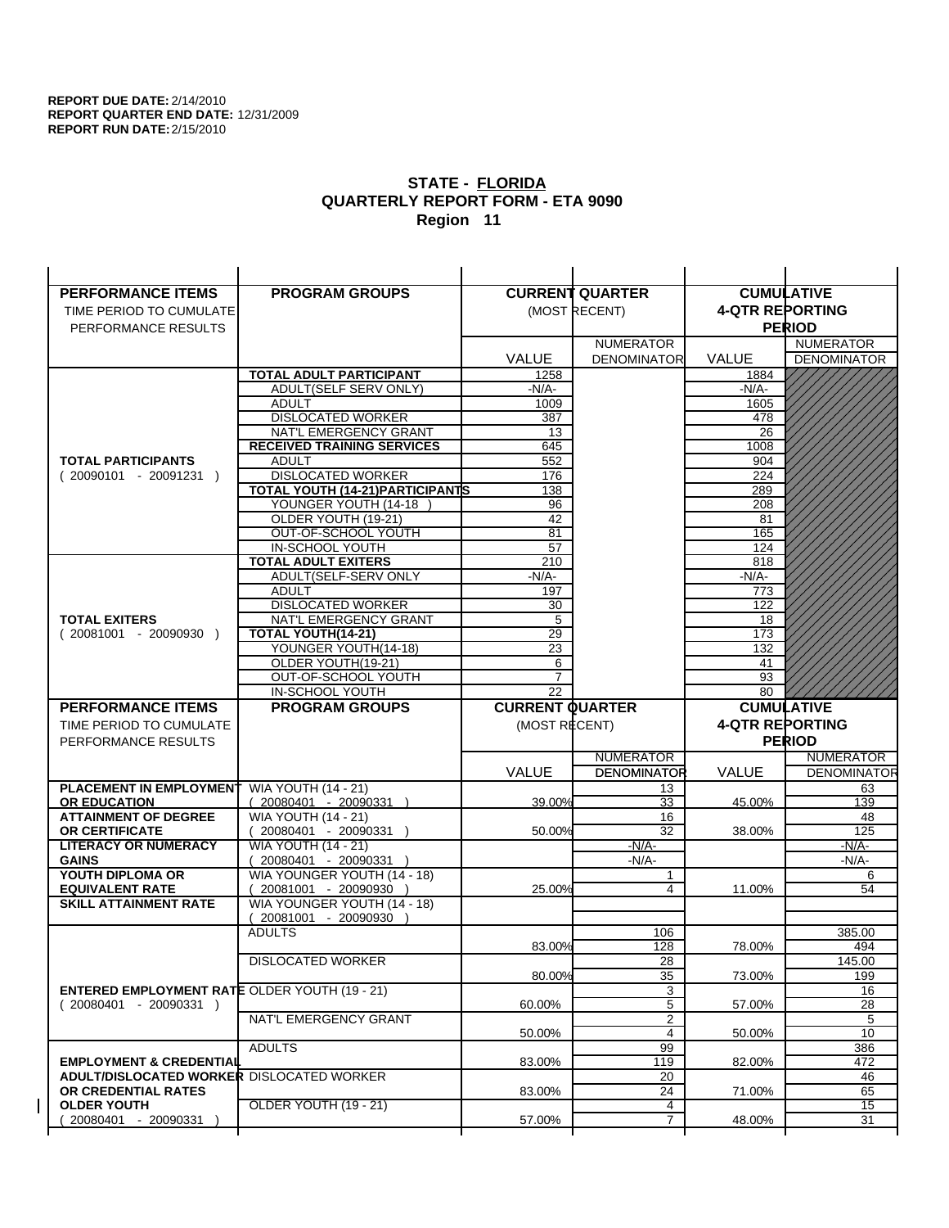| <b>PERFORMANCE ITEMS</b>                                                | <b>PROGRAM GROUPS</b>                                           |                        | <b>CURRENT QUARTER</b> | <b>CUMULATIVE</b>      |                       |
|-------------------------------------------------------------------------|-----------------------------------------------------------------|------------------------|------------------------|------------------------|-----------------------|
| TIME PERIOD TO CUMULATE                                                 |                                                                 |                        | (MOST RECENT)          | <b>4-QTR REPORTING</b> |                       |
| PERFORMANCE RESULTS                                                     |                                                                 |                        |                        |                        | <b>PERIOD</b>         |
|                                                                         |                                                                 |                        | <b>NUMERATOR</b>       |                        | <b>NUMERATOR</b>      |
|                                                                         |                                                                 | <b>VALUE</b>           | <b>DENOMINATOR</b>     | <b>VALUE</b>           | <b>DENOMINATOR</b>    |
|                                                                         | <b>TOTAL ADULT PARTICIPANT</b>                                  | 1258                   |                        | 1884                   |                       |
|                                                                         | ADULT(SELF SERV ONLY)                                           | $-N/A-$                |                        | -N/A-                  |                       |
|                                                                         | <b>ADULT</b>                                                    | 1009                   |                        | 1605                   |                       |
|                                                                         | <b>DISLOCATED WORKER</b>                                        | 387                    |                        | 478                    |                       |
|                                                                         | NAT'L EMERGENCY GRANT                                           | 13                     |                        | 26                     |                       |
|                                                                         | <b>RECEIVED TRAINING SERVICES</b>                               | 645                    |                        | 1008                   |                       |
| <b>TOTAL PARTICIPANTS</b>                                               | <b>ADULT</b>                                                    | 552                    |                        | 904                    |                       |
| $(20090101 - 20091231)$                                                 | <b>DISLOCATED WORKER</b>                                        | 176                    |                        | 224                    |                       |
|                                                                         | <b>TOTAL YOUTH (14-21) PARTICIPANTS</b><br>YOUNGER YOUTH (14-18 | 138<br>96              |                        | 289<br>208             |                       |
|                                                                         | OLDER YOUTH (19-21)                                             | 42                     |                        | 81                     |                       |
|                                                                         | OUT-OF-SCHOOL YOUTH                                             | $\overline{81}$        |                        | 165                    |                       |
|                                                                         | IN-SCHOOL YOUTH                                                 | 57                     |                        | 124                    |                       |
|                                                                         | <b>TOTAL ADULT EXITERS</b>                                      | 210                    |                        | 818                    |                       |
|                                                                         | ADULT(SELF-SERV ONLY                                            | $-N/A-$                |                        | $-N/A$ -               |                       |
|                                                                         | <b>ADULT</b>                                                    | 197                    |                        | 773                    |                       |
|                                                                         | <b>DISLOCATED WORKER</b>                                        | 30                     |                        | 122                    |                       |
| <b>TOTAL EXITERS</b>                                                    | NAT'L EMERGENCY GRANT                                           | 5                      |                        | 18                     |                       |
| $(20081001 - 20090930)$                                                 | TOTAL YOUTH(14-21)                                              | 29                     |                        | 173                    |                       |
|                                                                         | YOUNGER YOUTH(14-18)                                            | 23                     |                        | 132                    |                       |
|                                                                         | OLDER YOUTH(19-21)<br>OUT-OF-SCHOOL YOUTH                       | 6<br>$\overline{7}$    |                        | 41<br>93               |                       |
|                                                                         | IN-SCHOOL YOUTH                                                 | 22                     |                        | 80                     |                       |
|                                                                         |                                                                 |                        |                        |                        |                       |
| <b>PERFORMANCE ITEMS</b>                                                |                                                                 |                        |                        |                        |                       |
|                                                                         | <b>PROGRAM GROUPS</b>                                           | <b>CURRENT QUARTER</b> |                        |                        | <b>CUMULATIVE</b>     |
| TIME PERIOD TO CUMULATE                                                 |                                                                 | (MOST RECENT)          |                        | <b>4-QTR REPORTING</b> |                       |
| PERFORMANCE RESULTS                                                     |                                                                 |                        |                        |                        | <b>PERIOD</b>         |
|                                                                         |                                                                 |                        | <b>NUMERATOR</b>       |                        | <b>NUMERATOR</b>      |
|                                                                         |                                                                 | <b>VALUE</b>           | <b>DENOMINATOR</b>     | VALUE                  | <b>DENOMINATOR</b>    |
| PLACEMENT IN EMPLOYMENT<br><b>OR EDUCATION</b>                          | <b>WIA YOUTH (14 - 21)</b><br>$(20080401 - 20090331)$           | 39.00%                 | 13<br>33               | 45.00%                 | 63<br>139             |
| <b>ATTAINMENT OF DEGREE</b>                                             | <b>WIA YOUTH (14 - 21)</b>                                      |                        | 16                     |                        | 48                    |
| <b>OR CERTIFICATE</b>                                                   | 20080401 - 20090331 )                                           | 50.00%                 | 32                     | 38.00%                 | 125                   |
| <b>LITERACY OR NUMERACY</b>                                             | <b>WIA YOUTH (14 - 21)</b>                                      |                        | $-N/A-$                |                        | -N/A-                 |
| <b>GAINS</b>                                                            | 20080401 - 20090331 )                                           |                        | $-N/A$ -               |                        | -N/A-                 |
| YOUTH DIPLOMA OR                                                        | WIA YOUNGER YOUTH (14 - 18)                                     |                        | 1                      |                        | 6                     |
| <b>EQUIVALENT RATE</b>                                                  | 20081001 - 20090930                                             | 25.00%                 | 4                      | 11.00%                 | 54                    |
| <b>SKILL ATTAINMENT RATE</b>                                            | WIA YOUNGER YOUTH (14 - 18)                                     |                        |                        |                        |                       |
|                                                                         | (20081001 - 20090930                                            |                        |                        |                        |                       |
|                                                                         | <b>ADULTS</b>                                                   |                        | 106                    |                        | 385.00                |
|                                                                         |                                                                 | 83.00%                 | 128                    | 78.00%                 | 494                   |
|                                                                         | <b>DISLOCATED WORKER</b>                                        | 80.00%                 | $\overline{28}$<br>35  | 73.00%                 | 145.00<br>199         |
| <b>ENTERED EMPLOYMENT RATE OLDER YOUTH (19 - 21)</b>                    |                                                                 |                        | 3                      |                        | 16                    |
| $(20080401 - 20090331)$                                                 |                                                                 | 60.00%                 | 5                      | 57.00%                 | 28                    |
|                                                                         | NAT'L EMERGENCY GRANT                                           |                        | $\overline{2}$         |                        | 5                     |
|                                                                         |                                                                 | 50.00%                 | $\overline{4}$         | 50.00%                 | 10                    |
|                                                                         | <b>ADULTS</b>                                                   |                        | 99                     |                        | 386                   |
| <b>EMPLOYMENT &amp; CREDENTIAL</b>                                      |                                                                 | 83.00%                 | 119                    | 82.00%                 | 472                   |
| <b>ADULT/DISLOCATED WORKER DISLOCATED WORKER</b><br>OR CREDENTIAL RATES |                                                                 |                        | 20                     |                        | 46                    |
| <b>OLDER YOUTH</b>                                                      | <b>OLDER YOUTH (19 - 21)</b>                                    | 83.00%                 | 24<br>4                | 71.00%                 | 65<br>$\overline{15}$ |
| 20080401 - 20090331                                                     |                                                                 | 57.00%                 | $\overline{7}$         | 48.00%                 | 31                    |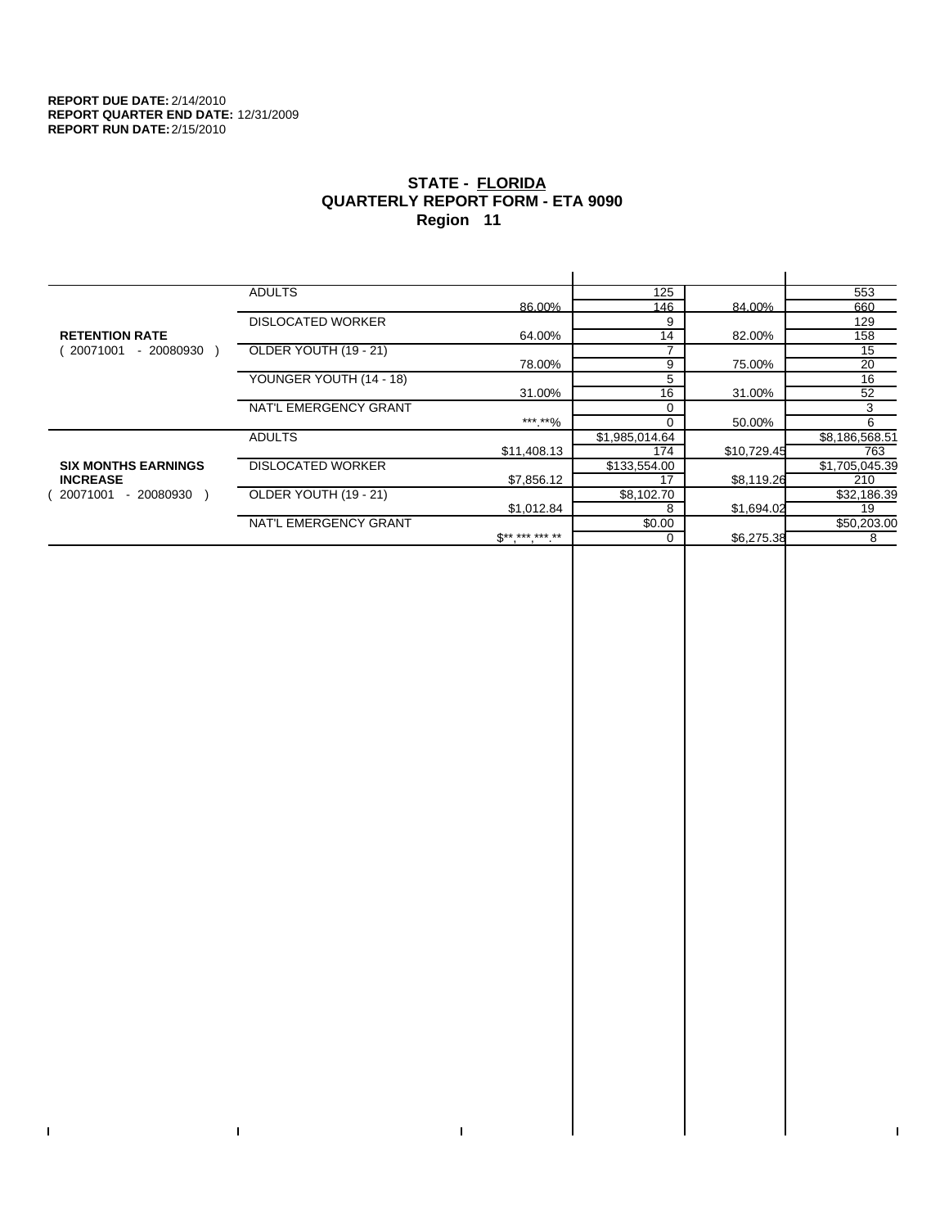$\bar{\Gamma}$ 

 $\mathbf{L}$ 

# **STATE - FLORIDA QUARTERLY REPORT FORM - ETA 9090 Region 11**

|                            | <b>ADULTS</b>            |              | 125            |             | 553            |
|----------------------------|--------------------------|--------------|----------------|-------------|----------------|
|                            |                          | 86.00%       | 146            | 84.00%      | 660            |
|                            | <b>DISLOCATED WORKER</b> |              | 9              |             | 129            |
| <b>RETENTION RATE</b>      |                          | 64.00%       | 14             | 82.00%      | 158            |
| 20071001<br>- 20080930     | OLDER YOUTH (19 - 21)    |              |                |             | 15             |
|                            |                          | 78.00%       | 9              | 75.00%      | 20             |
|                            | YOUNGER YOUTH (14 - 18)  |              | 5              |             | 16             |
|                            |                          | 31.00%       | 16             | 31.00%      | 52             |
|                            | NAT'L EMERGENCY GRANT    |              |                |             | 3              |
|                            |                          | ***.**%      |                | 50.00%      | 6              |
|                            | <b>ADULTS</b>            |              | \$1,985,014.64 |             | \$8,186,568.51 |
|                            |                          | \$11,408.13  | 174            | \$10,729.45 | 763            |
| <b>SIX MONTHS EARNINGS</b> | <b>DISLOCATED WORKER</b> |              | \$133,554.00   |             | \$1,705,045.39 |
| <b>INCREASE</b>            |                          | \$7,856.12   | 17             | \$8,119.26  | 210            |
| 20071001<br>- 20080930 )   | OLDER YOUTH (19 - 21)    |              | \$8,102.70     |             | \$32,186.39    |
|                            |                          | \$1,012.84   | 8              | \$1,694.02  | 19             |
|                            | NAT'L EMERGENCY GRANT    |              | \$0.00         |             | \$50,203.00    |
|                            |                          | $S*********$ | $\Omega$       | \$6,275.38  | 8              |
|                            |                          |              |                |             |                |

 $\bar{\Gamma}$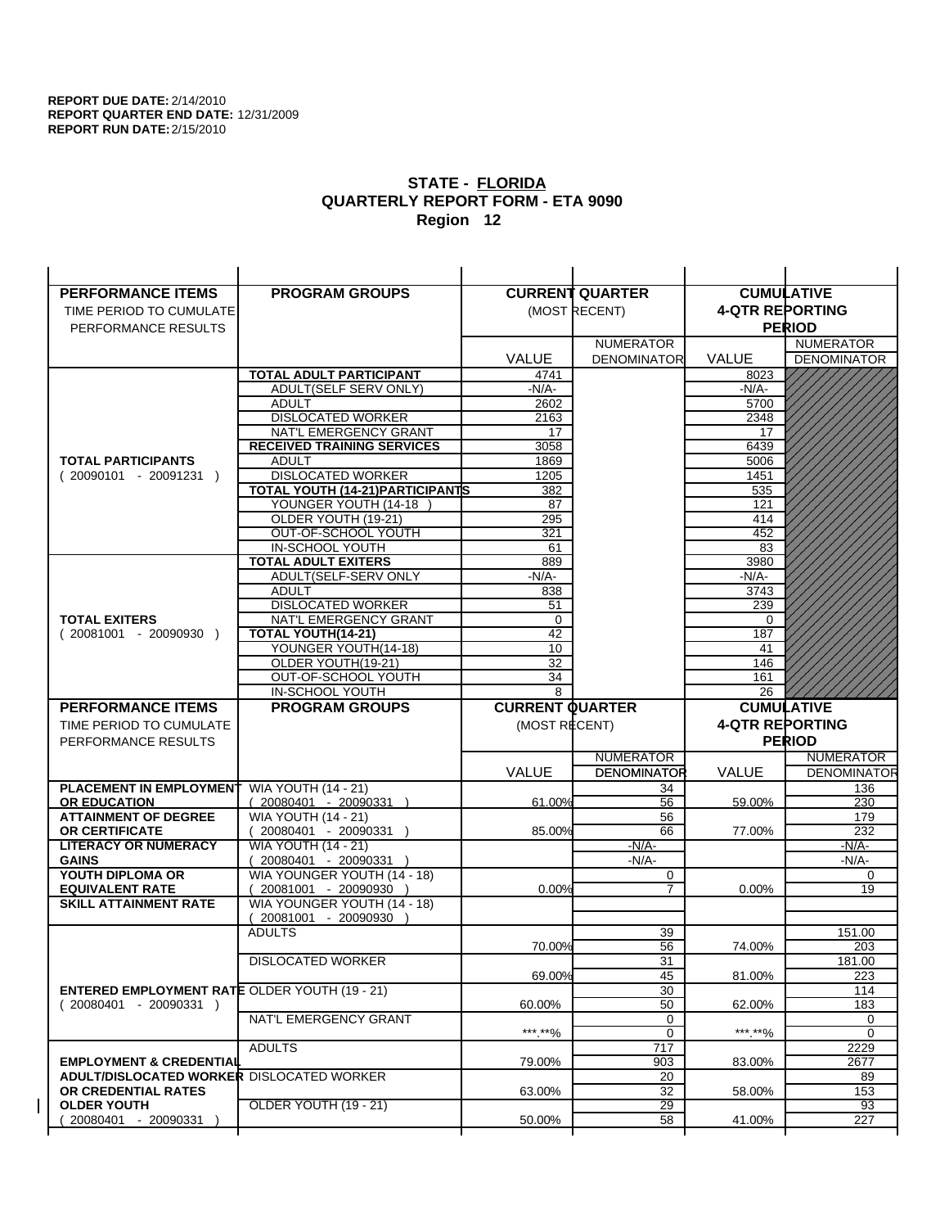| <b>PERFORMANCE ITEMS</b>                             | <b>PROGRAM GROUPS</b>                         |                        | <b>CURRENT QUARTER</b> |                        | <b>CUMULATIVE</b>  |
|------------------------------------------------------|-----------------------------------------------|------------------------|------------------------|------------------------|--------------------|
| TIME PERIOD TO CUMULATE                              |                                               |                        | (MOST RECENT)          | <b>4-QTR REPORTING</b> |                    |
| PERFORMANCE RESULTS                                  |                                               |                        |                        |                        | <b>PERIOD</b>      |
|                                                      |                                               |                        | <b>NUMERATOR</b>       |                        | <b>NUMERATOR</b>   |
|                                                      |                                               | <b>VALUE</b>           | <b>DENOMINATOR</b>     | <b>VALUE</b>           | <b>DENOMINATOR</b> |
|                                                      | TOTAL ADULT PARTICIPANT                       | 4741                   |                        | 8023                   |                    |
|                                                      | ADULT(SELF SERV ONLY)                         | $-N/A-$                |                        | -N/A-                  |                    |
|                                                      | <b>ADULT</b>                                  | 2602                   |                        | 5700                   |                    |
|                                                      | <b>DISLOCATED WORKER</b>                      | 2163                   |                        | 2348                   |                    |
|                                                      | NAT'L EMERGENCY GRANT                         | 17                     |                        | 17                     |                    |
|                                                      | <b>RECEIVED TRAINING SERVICES</b>             | 3058                   |                        | 6439                   |                    |
| <b>TOTAL PARTICIPANTS</b>                            | <b>ADULT</b>                                  | 1869                   |                        | 5006                   |                    |
| $(20090101 - 20091231)$                              | <b>DISLOCATED WORKER</b>                      | 1205                   |                        | 1451                   |                    |
|                                                      | <b>TOTAL YOUTH (14-21) PARTICIPANTS</b>       | 382                    |                        | 535                    |                    |
|                                                      | YOUNGER YOUTH (14-18                          | 87                     |                        | 121                    |                    |
|                                                      | OLDER YOUTH (19-21)                           | 295                    |                        | 414                    |                    |
|                                                      | OUT-OF-SCHOOL YOUTH                           | 321                    |                        | 452                    |                    |
|                                                      | IN-SCHOOL YOUTH<br><b>TOTAL ADULT EXITERS</b> | 61<br>889              |                        | 83<br>3980             |                    |
|                                                      | ADULT(SELF-SERV ONLY                          | $-N/A-$                |                        | $-N/A-$                |                    |
|                                                      | <b>ADULT</b>                                  | 838                    |                        | 3743                   |                    |
|                                                      | <b>DISLOCATED WORKER</b>                      | 51                     |                        | 239                    |                    |
| <b>TOTAL EXITERS</b>                                 | NAT'L EMERGENCY GRANT                         | $\mathbf 0$            |                        | 0                      |                    |
| $(20081001 - 20090930)$                              | TOTAL YOUTH(14-21)                            | 42                     |                        | 187                    |                    |
|                                                      | YOUNGER YOUTH(14-18)                          | 10                     |                        | 41                     |                    |
|                                                      | OLDER YOUTH(19-21)                            | 32                     |                        | 146                    |                    |
|                                                      | OUT-OF-SCHOOL YOUTH                           | 34                     |                        | 161                    |                    |
|                                                      | IN-SCHOOL YOUTH                               | 8                      |                        | 26                     |                    |
|                                                      |                                               |                        |                        |                        |                    |
| <b>PERFORMANCE ITEMS</b>                             | <b>PROGRAM GROUPS</b>                         | <b>CURRENT QUARTER</b> |                        |                        | <b>CUMULATIVE</b>  |
| TIME PERIOD TO CUMULATE                              |                                               | (MOST RECENT)          |                        | <b>4-QTR REPORTING</b> |                    |
| PERFORMANCE RESULTS                                  |                                               |                        |                        |                        | <b>PERIOD</b>      |
|                                                      |                                               |                        | <b>NUMERATOR</b>       |                        | <b>NUMERATOR</b>   |
|                                                      |                                               | <b>VALUE</b>           | <b>DENOMINATOR</b>     | <b>VALUE</b>           | <b>DENOMINATOR</b> |
| PLACEMENT IN EMPLOYMENT                              | <b>WIA YOUTH (14 - 21)</b>                    |                        | 34                     |                        | 136                |
| <b>OR EDUCATION</b>                                  | $(20080401 - 20090331)$                       | 61.00%                 | 56                     | 59.00%                 | 230                |
| <b>ATTAINMENT OF DEGREE</b>                          | <b>WIA YOUTH (14 - 21)</b>                    |                        | 56                     |                        | 179                |
| <b>OR CERTIFICATE</b>                                | $(20080401 - 20090331)$                       | 85.00%                 | 66                     | 77.00%                 | 232                |
| <b>LITERACY OR NUMERACY</b>                          | <b>WIA YOUTH (14 - 21)</b>                    |                        | $-N/A-$                |                        | -N/A-              |
| <b>GAINS</b>                                         | 20080401 - 20090331                           |                        | $-N/A-$                |                        | $-N/A-$            |
| YOUTH DIPLOMA OR                                     | WIA YOUNGER YOUTH (14 - 18)                   |                        | 0                      |                        | $\mathbf 0$        |
| <b>EQUIVALENT RATE</b>                               | 20081001 - 20090930 )                         | 0.00%                  | $\overline{7}$         | $0.00\%$               | 19                 |
| <b>SKILL ATTAINMENT RATE</b>                         | WIA YOUNGER YOUTH (14 - 18)                   |                        |                        |                        |                    |
|                                                      | (20081001 - 20090930                          |                        |                        |                        |                    |
|                                                      | <b>ADULTS</b>                                 |                        | 39                     |                        | 151.00             |
|                                                      |                                               | 70.00%                 | 56                     | 74.00%                 | 203                |
|                                                      | <b>DISLOCATED WORKER</b>                      | 69.00%                 | $\overline{31}$<br>45  | 81.00%                 | 181.00<br>223      |
| <b>ENTERED EMPLOYMENT RATE OLDER YOUTH (19 - 21)</b> |                                               |                        | 30                     |                        | 114                |
| $(20080401 - 20090331)$                              |                                               | 60.00%                 | 50                     | 62.00%                 | 183                |
|                                                      | NAT'L EMERGENCY GRANT                         |                        | 0                      |                        | 0                  |
|                                                      |                                               | ***.**%                | 0                      | ***.**%                | $\mathbf 0$        |
|                                                      | <b>ADULTS</b>                                 |                        | 717                    |                        | 2229               |
| <b>EMPLOYMENT &amp; CREDENTIAL</b>                   |                                               | 79.00%                 | 903                    | 83.00%                 | 2677               |
| <b>ADULT/DISLOCATED WORKER DISLOCATED WORKER</b>     |                                               |                        | 20                     |                        | 89                 |
| OR CREDENTIAL RATES                                  |                                               | 63.00%                 | 32                     | 58.00%                 | 153                |
| <b>OLDER YOUTH</b><br>20080401 - 20090331            | OLDER YOUTH (19 - 21)                         | 50.00%                 | $\overline{29}$<br>58  | 41.00%                 | 93<br>227          |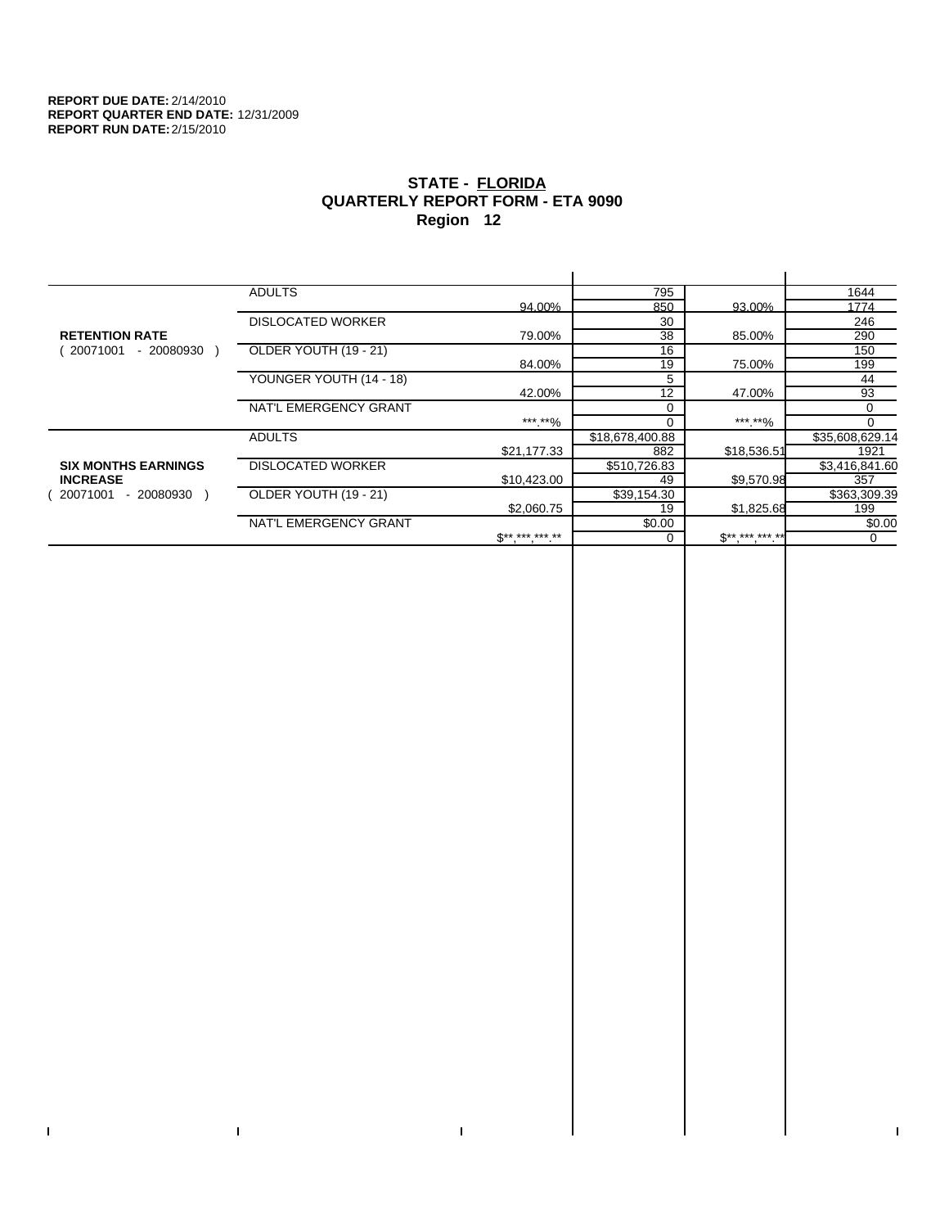$\bar{\Gamma}$ 

 $\mathbf{L}$ 

# **STATE - FLORIDA QUARTERLY REPORT FORM - ETA 9090 Region 12**

|                            | <b>ADULTS</b>            |              | 795             |              | 1644            |
|----------------------------|--------------------------|--------------|-----------------|--------------|-----------------|
|                            |                          | 94.00%       | 850             | 93.00%       | 1774            |
|                            | <b>DISLOCATED WORKER</b> |              | 30              |              | 246             |
| <b>RETENTION RATE</b>      |                          | 79.00%       | 38              | 85.00%       | 290             |
| 20071001<br>- 20080930     | OLDER YOUTH (19 - 21)    |              | 16              |              | 150             |
|                            |                          | 84.00%       | 19              | 75.00%       | 199             |
|                            | YOUNGER YOUTH (14 - 18)  |              | 5               |              | 44              |
|                            |                          | 42.00%       | 12              | 47.00%       | 93              |
|                            | NAT'L EMERGENCY GRANT    |              |                 |              | 0               |
|                            |                          | ***.**%      |                 | ***.**%      | $\Omega$        |
|                            | <b>ADULTS</b>            |              | \$18,678,400.88 |              | \$35,608,629.14 |
|                            |                          | \$21,177.33  | 882             | \$18,536.51  | 1921            |
| <b>SIX MONTHS EARNINGS</b> | <b>DISLOCATED WORKER</b> |              | \$510,726.83    |              | \$3,416,841.60  |
| <b>INCREASE</b>            |                          | \$10,423.00  | 49              | \$9,570.98   | 357             |
| - 20080930<br>20071001     | OLDER YOUTH (19 - 21)    |              | \$39,154.30     |              | \$363,309.39    |
|                            |                          | \$2,060.75   | 19              | \$1,825.68   | 199             |
|                            | NAT'L EMERGENCY GRANT    |              | \$0.00          |              | \$0.00          |
|                            |                          | $S*********$ |                 | $$********"$ | 0               |
|                            |                          |              |                 |              |                 |

 $\bar{\Gamma}$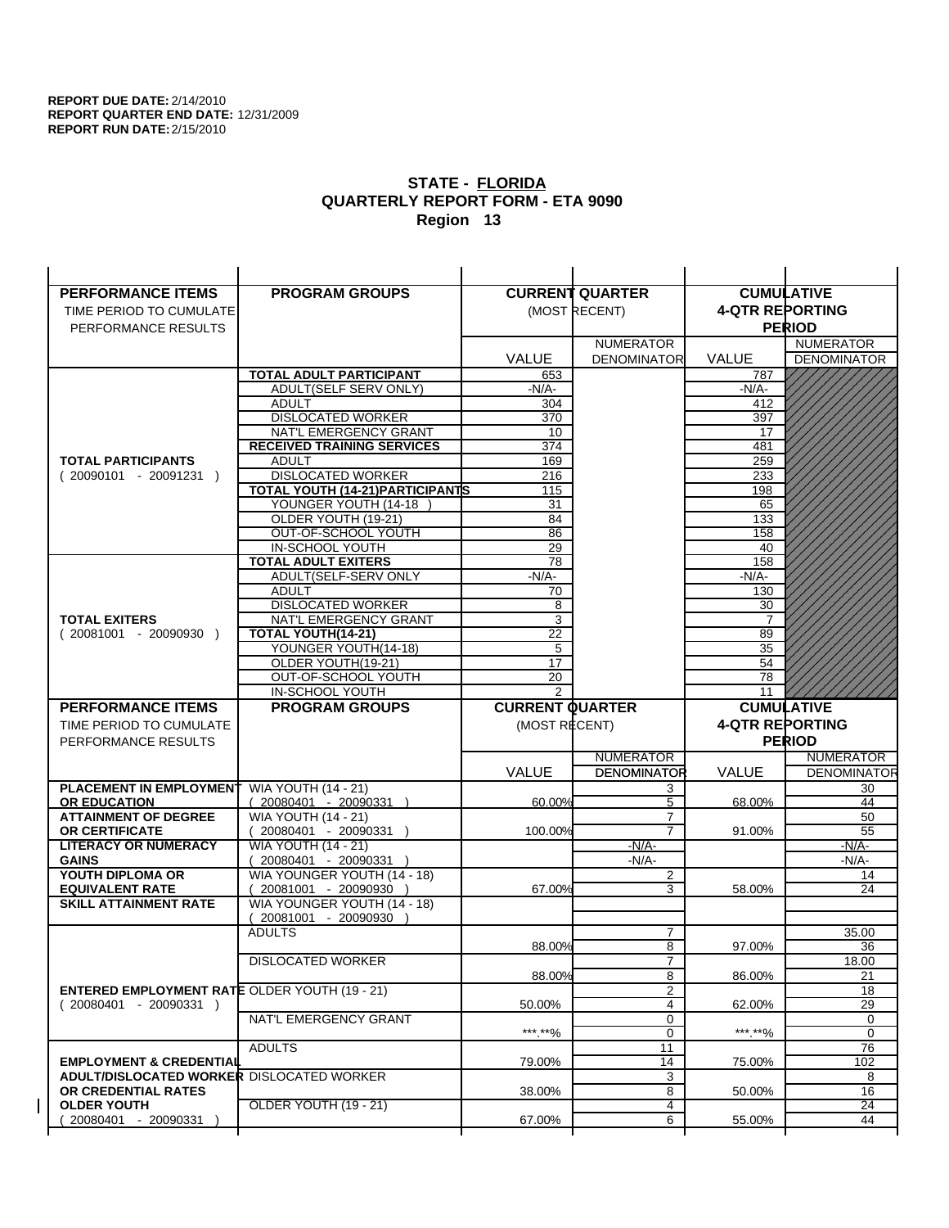| <b>PERFORMANCE ITEMS</b>                             | <b>PROGRAM GROUPS</b>                                |                        | <b>CURRENT QUARTER</b> |                        | <b>CUMULATIVE</b>        |
|------------------------------------------------------|------------------------------------------------------|------------------------|------------------------|------------------------|--------------------------|
| TIME PERIOD TO CUMULATE                              |                                                      |                        | (MOST RECENT)          | <b>4-QTR REPORTING</b> |                          |
| PERFORMANCE RESULTS                                  |                                                      |                        |                        |                        | <b>PERIOD</b>            |
|                                                      |                                                      |                        | <b>NUMERATOR</b>       |                        | <b>NUMERATOR</b>         |
|                                                      |                                                      | <b>VALUE</b>           | <b>DENOMINATOR</b>     | VALUE                  | <b>DENOMINATOR</b>       |
|                                                      | TOTAL ADULT PARTICIPANT                              | 653                    |                        | 787                    |                          |
|                                                      | ADULT(SELF SERV ONLY)                                | -N/A-                  |                        | -N/A-                  |                          |
|                                                      | <b>ADULT</b>                                         | 304                    |                        | 412                    |                          |
|                                                      | <b>DISLOCATED WORKER</b>                             | 370                    |                        | 397                    |                          |
|                                                      | NAT'L EMERGENCY GRANT                                | 10                     |                        | 17                     |                          |
|                                                      | <b>RECEIVED TRAINING SERVICES</b>                    | 374                    |                        | 481                    |                          |
| <b>TOTAL PARTICIPANTS</b>                            | <b>ADULT</b>                                         | 169                    |                        | 259                    |                          |
| $(20090101 - 20091231)$                              | <b>DISLOCATED WORKER</b>                             | 216                    |                        | 233                    |                          |
|                                                      | <b>TOTAL YOUTH (14-21) PARTICIPANTS</b>              | 115                    |                        | 198                    |                          |
|                                                      | YOUNGER YOUTH (14-18<br>OLDER YOUTH (19-21)          | 31                     |                        | 65                     |                          |
|                                                      | OUT-OF-SCHOOL YOUTH                                  | 84<br>86               |                        | 133<br>158             |                          |
|                                                      | IN-SCHOOL YOUTH                                      | 29                     |                        | 40                     |                          |
|                                                      | <b>TOTAL ADULT EXITERS</b>                           | 78                     |                        | 158                    |                          |
|                                                      | ADULT(SELF-SERV ONLY                                 | $-N/A$ -               |                        | $-N/A-$                |                          |
|                                                      | <b>ADULT</b>                                         | 70                     |                        | 130                    |                          |
|                                                      | <b>DISLOCATED WORKER</b>                             | 8                      |                        | 30                     |                          |
| <b>TOTAL EXITERS</b>                                 | NAT'L EMERGENCY GRANT                                | 3                      |                        | 7                      |                          |
| $(20081001 - 20090930)$                              | <b>TOTAL YOUTH(14-21)</b>                            | 22                     |                        | 89                     |                          |
|                                                      | YOUNGER YOUTH(14-18)                                 | 5                      |                        | 35                     |                          |
|                                                      | OLDER YOUTH(19-21)                                   | 17                     |                        | 54                     |                          |
|                                                      | OUT-OF-SCHOOL YOUTH                                  | 20<br>$\overline{2}$   |                        | 78                     |                          |
|                                                      | IN-SCHOOL YOUTH                                      |                        |                        | 11                     |                          |
|                                                      |                                                      |                        |                        |                        |                          |
| <b>PERFORMANCE ITEMS</b>                             | <b>PROGRAM GROUPS</b>                                | <b>CURRENT QUARTER</b> |                        |                        | <b>CUMULATIVE</b>        |
| TIME PERIOD TO CUMULATE                              |                                                      | (MOST RECENT)          |                        | <b>4-QTR REPORTING</b> |                          |
| PERFORMANCE RESULTS                                  |                                                      |                        |                        |                        | <b>PERIOD</b>            |
|                                                      |                                                      |                        | <b>NUMERATOR</b>       |                        | <b>NUMERATOR</b>         |
|                                                      |                                                      | <b>VALUE</b>           | <b>DENOMINATOR</b>     | <b>VALUE</b>           |                          |
| PLACEMENT IN EMPLOYMENT                              | <b>WIA YOUTH (14 - 21)</b>                           |                        | 3                      |                        | <b>DENOMINATOR</b><br>30 |
| <b>OR EDUCATION</b>                                  | $(20080401 - 20090331)$                              | 60.00%                 | 5                      | 68.00%                 | 44                       |
| <b>ATTAINMENT OF DEGREE</b>                          | <b>WIA YOUTH (14 - 21)</b>                           |                        | $\overline{7}$         |                        | 50                       |
| <b>OR CERTIFICATE</b>                                | $(20080401 - 20090331)$                              | 100.00%                | $\overline{7}$         | 91.00%                 | 55                       |
| <b>LITERACY OR NUMERACY</b>                          | <b>WIA YOUTH (14 - 21)</b>                           |                        | $-N/A-$                |                        | -N/A-                    |
| <b>GAINS</b>                                         | 20080401 - 20090331                                  |                        | $-N/A-$                |                        | $-N/A-$<br>14            |
| YOUTH DIPLOMA OR<br><b>EQUIVALENT RATE</b>           | WIA YOUNGER YOUTH (14 - 18)<br>20081001 - 20090930 ) | 67.00%                 | $\overline{2}$<br>3    | 58.00%                 | 24                       |
| <b>SKILL ATTAINMENT RATE</b>                         | WIA YOUNGER YOUTH (14 - 18)                          |                        |                        |                        |                          |
|                                                      | (20081001 - 20090930                                 |                        |                        |                        |                          |
|                                                      | <b>ADULTS</b>                                        |                        | 7                      |                        | 35.00                    |
|                                                      |                                                      | 88.00%                 | 8                      | 97.00%                 | 36                       |
|                                                      | <b>DISLOCATED WORKER</b>                             |                        | $\overline{7}$         |                        | 18.00                    |
|                                                      |                                                      | 88.00%                 | 8                      | 86.00%                 | 21                       |
| <b>ENTERED EMPLOYMENT RATE OLDER YOUTH (19 - 21)</b> |                                                      |                        | 2                      |                        | 18                       |
| $(20080401 - 20090331)$                              |                                                      | 50.00%                 | 4                      | 62.00%                 | 29                       |
|                                                      | NAT'L EMERGENCY GRANT                                |                        | 0                      |                        | 0<br>0                   |
|                                                      | <b>ADULTS</b>                                        | ***.**%                | 0<br>11                | *** **%                | 76                       |
| <b>EMPLOYMENT &amp; CREDENTIAL</b>                   |                                                      | 79.00%                 | 14                     | 75.00%                 | 102                      |
| <b>ADULT/DISLOCATED WORKER DISLOCATED WORKER</b>     |                                                      |                        | 3                      |                        | 8                        |
| OR CREDENTIAL RATES                                  |                                                      | 38.00%                 | 8                      | 50.00%                 | 16                       |
| <b>OLDER YOUTH</b>                                   | <b>OLDER YOUTH (19 - 21)</b>                         |                        | 4                      |                        | 24                       |
| 20080401 - 20090331                                  |                                                      | 67.00%                 | 6                      | 55.00%                 | 44                       |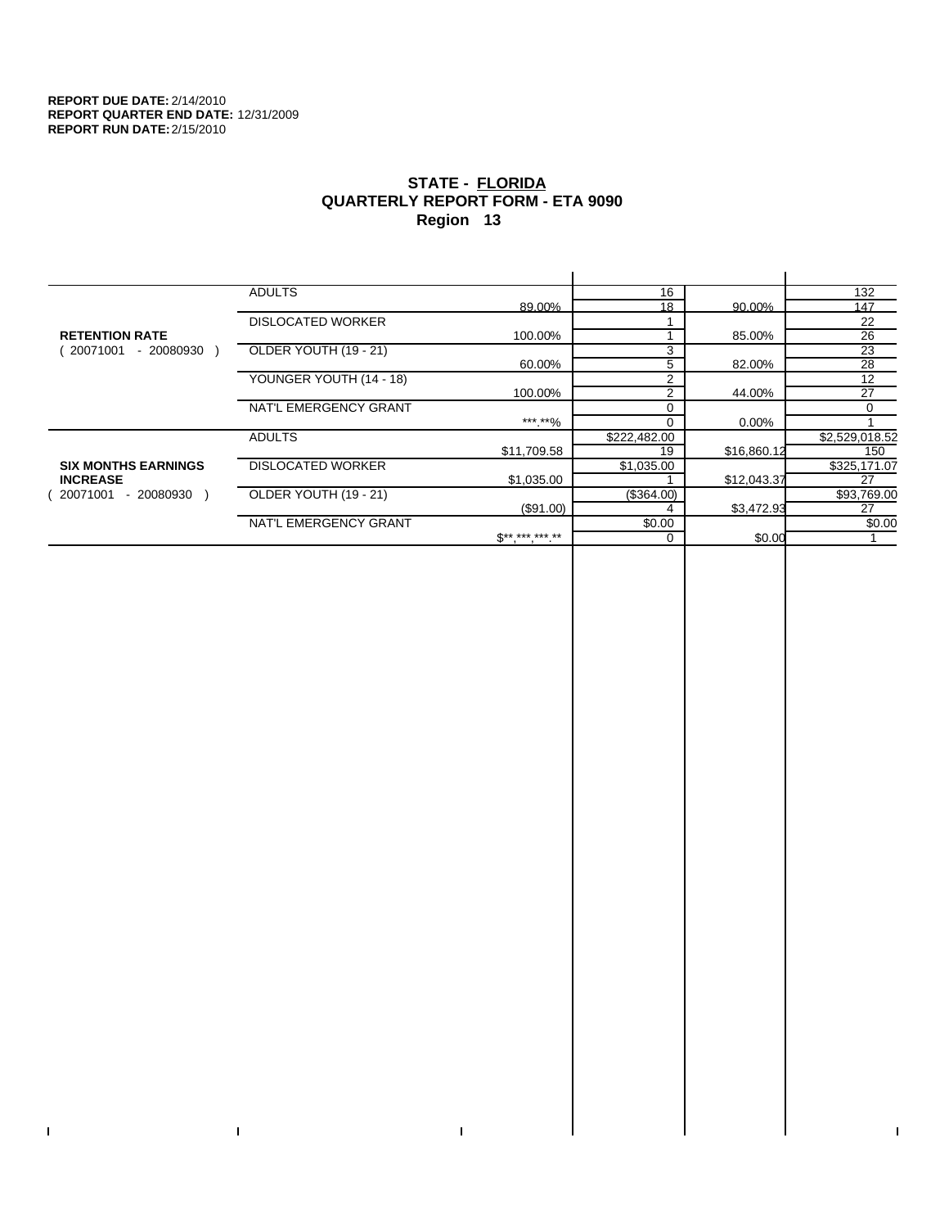$\bar{\Gamma}$ 

 $\mathbf{L}$ 

# **STATE - FLORIDA QUARTERLY REPORT FORM - ETA 9090 Region 13**

|                            | <b>ADULTS</b>            |              | 16             |             | 132             |
|----------------------------|--------------------------|--------------|----------------|-------------|-----------------|
|                            |                          | 89.00%       | 18             | 90.00%      | 147             |
|                            | <b>DISLOCATED WORKER</b> |              |                |             | 22              |
| <b>RETENTION RATE</b>      |                          | 100.00%      |                | 85.00%      | 26              |
| - 20080930<br>20071001     | OLDER YOUTH (19 - 21)    |              | 3              |             | $\overline{23}$ |
|                            |                          | 60.00%       | 5              | 82.00%      | 28              |
|                            | YOUNGER YOUTH (14 - 18)  |              | $\overline{2}$ |             | 12              |
|                            |                          | 100.00%      | 2              | 44.00%      | 27              |
|                            | NAT'L EMERGENCY GRANT    |              |                |             | $\Omega$        |
|                            |                          | ***.**%      | $\Omega$       | 0.00%       |                 |
|                            | <b>ADULTS</b>            |              | \$222,482.00   |             | \$2,529,018.52  |
|                            |                          | \$11,709.58  | 19             | \$16,860.12 | 150             |
| <b>SIX MONTHS EARNINGS</b> | <b>DISLOCATED WORKER</b> |              | \$1,035.00     |             | \$325,171.07    |
| <b>INCREASE</b>            |                          | \$1,035.00   |                | \$12,043.37 | 27              |
| - 20080930<br>20071001     | OLDER YOUTH (19 - 21)    |              | (\$364.00)     |             | \$93,769.00     |
|                            |                          | (\$91.00)    |                | \$3,472.93  | 27              |
|                            | NAT'L EMERGENCY GRANT    |              | \$0.00         |             | \$0.00          |
|                            |                          | $S*********$ |                | \$0.00      |                 |
|                            |                          |              |                |             |                 |

 $\bar{\Gamma}$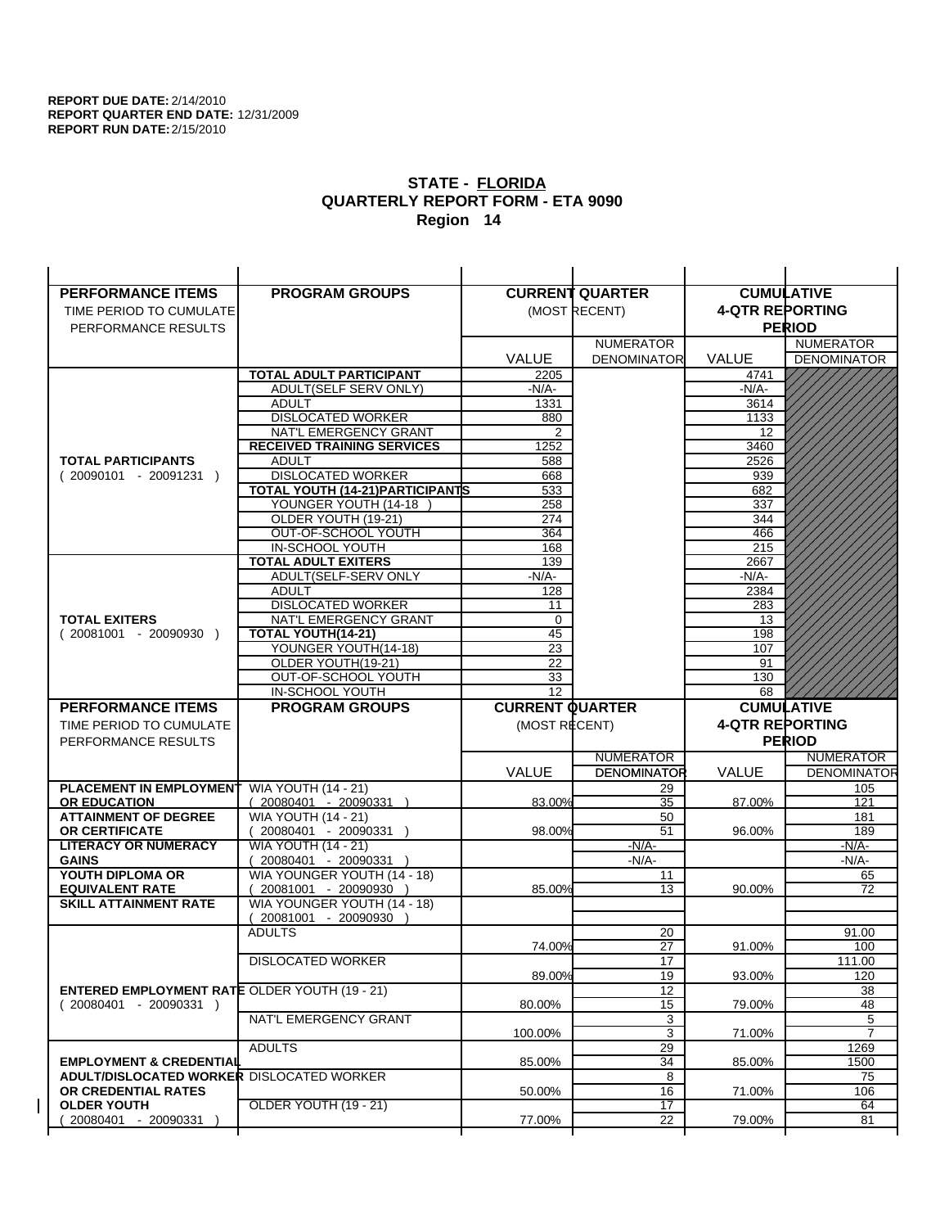| <b>PERFORMANCE ITEMS</b>                                                        | <b>PROGRAM GROUPS</b>                         |                        | <b>CURRENT QUARTER</b> |                        | <b>CUMULATIVE</b>  |
|---------------------------------------------------------------------------------|-----------------------------------------------|------------------------|------------------------|------------------------|--------------------|
| TIME PERIOD TO CUMULATE                                                         |                                               |                        | (MOST RECENT)          | <b>4-QTR REPORTING</b> |                    |
| PERFORMANCE RESULTS                                                             |                                               |                        |                        |                        | <b>PERIOD</b>      |
|                                                                                 |                                               |                        | <b>NUMERATOR</b>       |                        | <b>NUMERATOR</b>   |
|                                                                                 |                                               | <b>VALUE</b>           | <b>DENOMINATOR</b>     | <b>VALUE</b>           | <b>DENOMINATOR</b> |
|                                                                                 | TOTAL ADULT PARTICIPANT                       | 2205                   |                        | 4741                   |                    |
|                                                                                 | ADULT(SELF SERV ONLY)                         | -N/A-                  |                        | -N/A-                  |                    |
|                                                                                 | <b>ADULT</b>                                  | 1331                   |                        | 3614                   |                    |
|                                                                                 | <b>DISLOCATED WORKER</b>                      | 880                    |                        | 1133                   |                    |
|                                                                                 | NAT'L EMERGENCY GRANT                         | 2                      |                        | 12                     |                    |
|                                                                                 | <b>RECEIVED TRAINING SERVICES</b>             | 1252                   |                        | 3460                   |                    |
| <b>TOTAL PARTICIPANTS</b>                                                       | <b>ADULT</b>                                  | 588                    |                        | 2526                   |                    |
| $(20090101 - 20091231)$                                                         | <b>DISLOCATED WORKER</b>                      | 668                    |                        | 939                    |                    |
|                                                                                 | <b>TOTAL YOUTH (14-21) PARTICIPANTS</b>       | 533                    |                        | 682                    |                    |
|                                                                                 | YOUNGER YOUTH (14-18                          | 258                    |                        | 337                    |                    |
|                                                                                 | OLDER YOUTH (19-21)                           | 274                    |                        | 344                    |                    |
|                                                                                 | OUT-OF-SCHOOL YOUTH                           | 364                    |                        | 466                    |                    |
|                                                                                 | IN-SCHOOL YOUTH<br><b>TOTAL ADULT EXITERS</b> | 168<br>139             |                        | 215<br>2667            |                    |
|                                                                                 | ADULT(SELF-SERV ONLY                          | $-N/A-$                |                        | $-N/A-$                |                    |
|                                                                                 | <b>ADULT</b>                                  | 128                    |                        | 2384                   |                    |
|                                                                                 | <b>DISLOCATED WORKER</b>                      | 11                     |                        | 283                    |                    |
| <b>TOTAL EXITERS</b>                                                            | NAT'L EMERGENCY GRANT                         | $\mathbf 0$            |                        | 13                     |                    |
| $(20081001 - 20090930)$                                                         | TOTAL YOUTH(14-21)                            | 45                     |                        | 198                    |                    |
|                                                                                 | YOUNGER YOUTH(14-18)                          | 23                     |                        | 107                    |                    |
|                                                                                 | OLDER YOUTH(19-21)                            | 22                     |                        | 91                     |                    |
|                                                                                 | OUT-OF-SCHOOL YOUTH                           | 33                     |                        | 130                    |                    |
|                                                                                 | IN-SCHOOL YOUTH                               | $\overline{12}$        |                        | 68                     |                    |
|                                                                                 |                                               |                        |                        |                        |                    |
| <b>PERFORMANCE ITEMS</b>                                                        | <b>PROGRAM GROUPS</b>                         | <b>CURRENT QUARTER</b> |                        |                        | <b>CUMULATIVE</b>  |
| TIME PERIOD TO CUMULATE                                                         |                                               | (MOST RECENT)          |                        | <b>4-QTR REPORTING</b> |                    |
| PERFORMANCE RESULTS                                                             |                                               |                        |                        |                        | <b>PERIOD</b>      |
|                                                                                 |                                               |                        | <b>NUMERATOR</b>       |                        | <b>NUMERATOR</b>   |
|                                                                                 |                                               | <b>VALUE</b>           | <b>DENOMINATOR</b>     | <b>VALUE</b>           | <b>DENOMINATOR</b> |
| PLACEMENT IN EMPLOYMENT                                                         | <b>WIA YOUTH (14 - 21)</b>                    |                        | 29                     |                        | 105                |
| <b>OR EDUCATION</b>                                                             | $(20080401 - 20090331)$                       | 83.00%                 | 35                     | 87.00%                 | 121                |
| <b>ATTAINMENT OF DEGREE</b>                                                     | <b>WIA YOUTH (14 - 21)</b>                    |                        | 50                     |                        | 181                |
| <b>OR CERTIFICATE</b>                                                           | $(20080401 - 20090331)$                       | 98.00%                 | 51                     | 96.00%                 | 189                |
| <b>LITERACY OR NUMERACY</b>                                                     | <b>WIA YOUTH (14 - 21)</b>                    |                        | $-N/A-$                |                        | -N/A-              |
| <b>GAINS</b>                                                                    | 20080401 - 20090331                           |                        | $-N/A-$                |                        | $-N/A-$            |
| YOUTH DIPLOMA OR                                                                | WIA YOUNGER YOUTH (14 - 18)                   |                        | 11                     |                        | 65                 |
| <b>EQUIVALENT RATE</b>                                                          | 20081001 - 20090930 )                         | 85.00%                 | 13                     | 90.00%                 | 72                 |
| <b>SKILL ATTAINMENT RATE</b>                                                    | WIA YOUNGER YOUTH (14 - 18)                   |                        |                        |                        |                    |
|                                                                                 | (20081001 - 20090930                          |                        |                        |                        |                    |
|                                                                                 | <b>ADULTS</b>                                 |                        | 20                     |                        | 91.00              |
|                                                                                 |                                               | 74.00%                 | 27                     | 91.00%                 | 100                |
|                                                                                 | <b>DISLOCATED WORKER</b>                      | 89.00%                 | $\overline{17}$<br>19  | 93.00%                 | 111.00<br>120      |
|                                                                                 |                                               |                        | 12                     |                        | 38                 |
| <b>ENTERED EMPLOYMENT RATE OLDER YOUTH (19 - 21)</b><br>$(20080401 - 20090331)$ |                                               | 80.00%                 | 15                     | 79.00%                 | 48                 |
|                                                                                 | NAT'L EMERGENCY GRANT                         |                        | 3                      |                        | 5                  |
|                                                                                 |                                               | 100.00%                | 3                      | 71.00%                 | $\overline{7}$     |
|                                                                                 | <b>ADULTS</b>                                 |                        | 29                     |                        | 1269               |
| <b>EMPLOYMENT &amp; CREDENTIAL</b>                                              |                                               | 85.00%                 | 34                     | 85.00%                 | 1500               |
| <b>ADULT/DISLOCATED WORKER DISLOCATED WORKER</b>                                |                                               |                        | 8                      |                        | 75                 |
| OR CREDENTIAL RATES                                                             |                                               | 50.00%                 | 16                     | 71.00%                 | 106                |
| <b>OLDER YOUTH</b><br>20080401 - 20090331                                       | <b>OLDER YOUTH (19 - 21)</b>                  | 77.00%                 | 17<br>22               | 79.00%                 | 64<br>81           |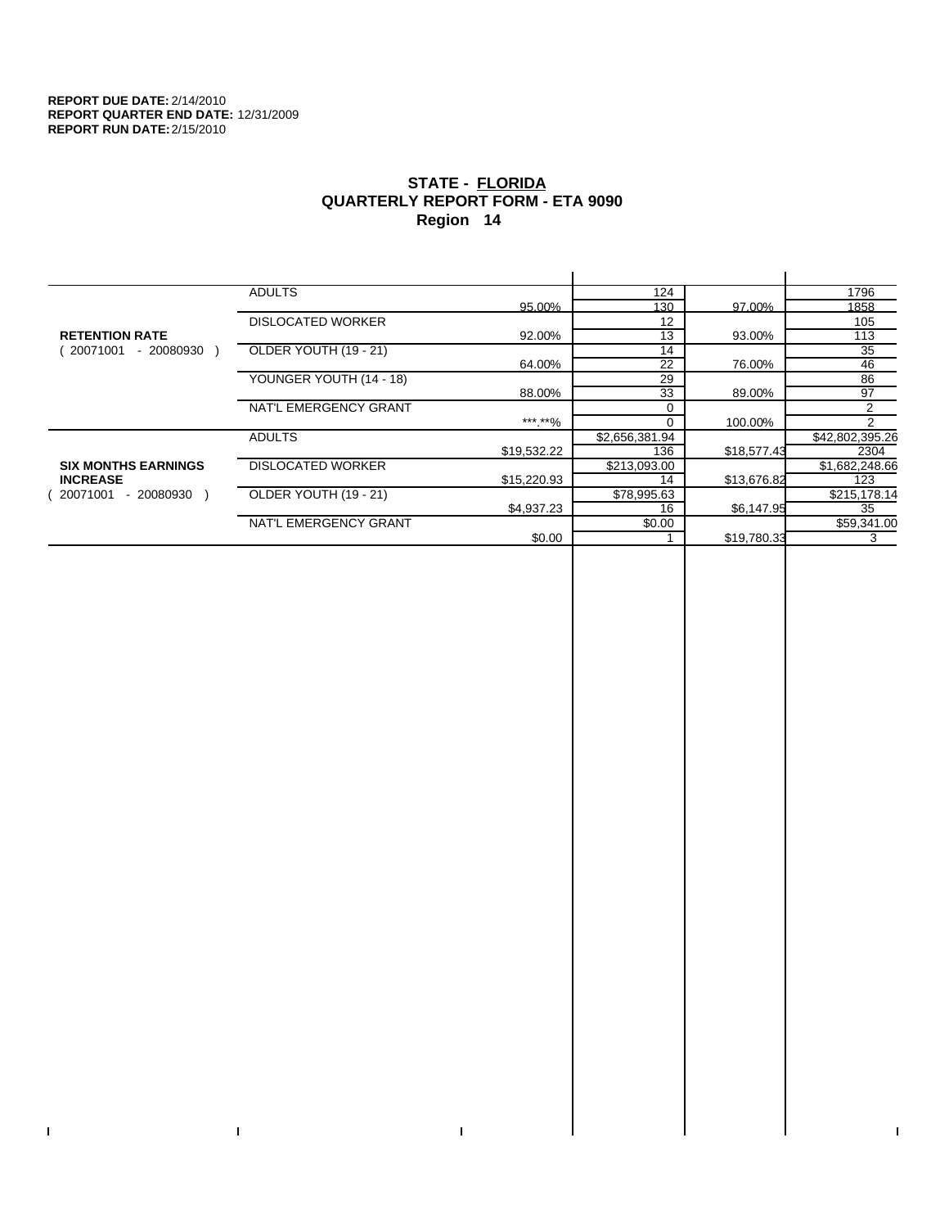$\bar{\Gamma}$ 

 $\mathbf{L}$ 

# **STATE - FLORIDA QUARTERLY REPORT FORM - ETA 9090 Region 14**

|                            | <b>ADULTS</b>            |             | 124            |             | 1796            |
|----------------------------|--------------------------|-------------|----------------|-------------|-----------------|
|                            |                          | 95.00%      | 130            | 97.00%      | 1858            |
|                            | <b>DISLOCATED WORKER</b> |             | 12             |             | 105             |
| <b>RETENTION RATE</b>      |                          | 92.00%      | 13             | 93.00%      | 113             |
| 20071001<br>$-20080930$    | OLDER YOUTH (19 - 21)    |             | 14             |             | 35              |
|                            |                          | 64.00%      | 22             | 76.00%      | 46              |
|                            | YOUNGER YOUTH (14 - 18)  |             | 29             |             | 86              |
|                            |                          | 88.00%      | 33             | 89.00%      | 97              |
|                            | NAT'L EMERGENCY GRANT    |             |                |             | 2               |
|                            |                          | ***.**%     | $\Omega$       | 100.00%     | 2               |
|                            | <b>ADULTS</b>            |             | \$2,656,381.94 |             | \$42,802,395.26 |
|                            |                          | \$19,532.22 | 136            | \$18,577.43 | 2304            |
| <b>SIX MONTHS EARNINGS</b> | <b>DISLOCATED WORKER</b> |             | \$213,093.00   |             | \$1,682,248.66  |
| <b>INCREASE</b>            |                          | \$15,220.93 | 14             | \$13,676.82 | 123             |
| 20071001<br>$-20080930$    | OLDER YOUTH (19 - 21)    |             | \$78,995.63    |             | \$215,178.14    |
|                            |                          | \$4,937.23  | 16             | \$6,147.95  | 35              |
|                            | NAT'L EMERGENCY GRANT    |             | \$0.00         |             | \$59,341.00     |
|                            |                          | \$0.00      |                | \$19,780.33 | 3               |
|                            |                          |             |                |             |                 |

 $\bar{\Gamma}$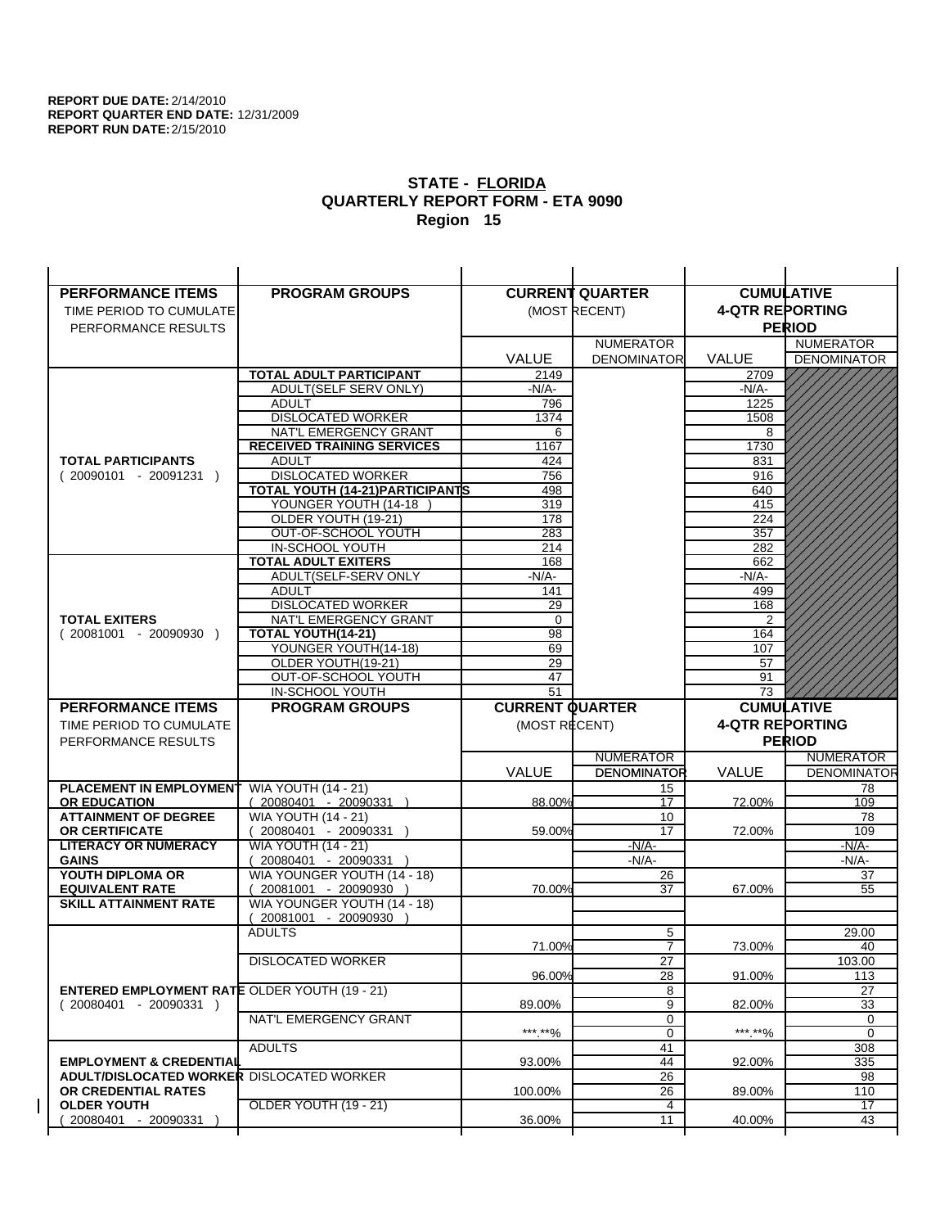| <b>PERFORMANCE ITEMS</b>                             | <b>PROGRAM GROUPS</b>             |                        | <b>CURRENT QUARTER</b> | <b>CUMULATIVE</b>      |                       |
|------------------------------------------------------|-----------------------------------|------------------------|------------------------|------------------------|-----------------------|
| TIME PERIOD TO CUMULATE                              |                                   |                        | (MOST RECENT)          | <b>4-QTR REPORTING</b> |                       |
| PERFORMANCE RESULTS                                  |                                   |                        |                        |                        | <b>PERIOD</b>         |
|                                                      |                                   |                        | <b>NUMERATOR</b>       |                        | <b>NUMERATOR</b>      |
|                                                      |                                   | <b>VALUE</b>           | <b>DENOMINATOR</b>     | <b>VALUE</b>           | <b>DENOMINATOR</b>    |
|                                                      | <b>TOTAL ADULT PARTICIPANT</b>    | 2149                   |                        | 2709                   |                       |
|                                                      | ADULT(SELF SERV ONLY)             | $-N/A-$                |                        | -N/A-                  |                       |
|                                                      | <b>ADULT</b>                      | 796                    |                        | 1225                   |                       |
|                                                      | <b>DISLOCATED WORKER</b>          | 1374                   |                        | 1508                   |                       |
|                                                      | NAT'L EMERGENCY GRANT             | 6                      |                        | 8                      |                       |
|                                                      | <b>RECEIVED TRAINING SERVICES</b> | 1167                   |                        | 1730                   |                       |
| <b>TOTAL PARTICIPANTS</b>                            | <b>ADULT</b>                      | 424                    |                        | 831                    |                       |
| $(20090101 - 20091231)$                              | <b>DISLOCATED WORKER</b>          | 756                    |                        | 916                    |                       |
|                                                      | TOTAL YOUTH (14-21) PARTICIPANTS  | 498                    |                        | 640                    |                       |
|                                                      | YOUNGER YOUTH (14-18              | 319                    |                        | 415                    |                       |
|                                                      | OLDER YOUTH (19-21)               | 178                    |                        | 224                    |                       |
|                                                      | OUT-OF-SCHOOL YOUTH               | 283                    |                        | 357                    |                       |
|                                                      | IN-SCHOOL YOUTH                   | 214                    |                        | 282                    |                       |
|                                                      | <b>TOTAL ADULT EXITERS</b>        | 168                    |                        | 662                    |                       |
|                                                      | ADULT(SELF-SERV ONLY              | -N/A-                  |                        | -N/A-                  |                       |
|                                                      | <b>ADULT</b>                      | 141                    |                        | 499                    |                       |
|                                                      | <b>DISLOCATED WORKER</b>          | 29                     |                        | 168                    |                       |
| <b>TOTAL EXITERS</b>                                 | NAT'L EMERGENCY GRANT             | 0                      |                        | 2                      |                       |
| $(20081001 - 20090930)$                              | <b>TOTAL YOUTH(14-21)</b>         | 98                     |                        | 164                    |                       |
|                                                      | YOUNGER YOUTH(14-18)              | 69                     |                        | 107                    |                       |
|                                                      | OLDER YOUTH(19-21)                | 29                     |                        | 57                     |                       |
|                                                      | OUT-OF-SCHOOL YOUTH               | 47                     |                        | 91                     |                       |
|                                                      | IN-SCHOOL YOUTH                   | $\overline{51}$        |                        | 73                     |                       |
|                                                      |                                   |                        |                        |                        |                       |
| <b>PERFORMANCE ITEMS</b>                             | <b>PROGRAM GROUPS</b>             | <b>CURRENT QUARTER</b> |                        |                        | <b>CUMULATIVE</b>     |
| TIME PERIOD TO CUMULATE                              |                                   | (MOST RECENT)          |                        | <b>4-QTR REPORTING</b> |                       |
| PERFORMANCE RESULTS                                  |                                   |                        |                        |                        | <b>PERIOD</b>         |
|                                                      |                                   |                        | <b>NUMERATOR</b>       |                        | <b>NUMERATOR</b>      |
|                                                      |                                   | <b>VALUE</b>           | <b>DENOMINATOR</b>     | VALUE                  | <b>DENOMINATOR</b>    |
| PLACEMENT IN EMPLOYMENT                              | <b>WIA YOUTH (14 - 21)</b>        |                        | 15                     |                        | 78                    |
| <b>OR EDUCATION</b>                                  | $(20080401 - 20090331)$           | 88.00%                 | 17                     | 72.00%                 | 109                   |
| <b>ATTAINMENT OF DEGREE</b>                          | <b>WIA YOUTH (14 - 21)</b>        |                        | 10                     |                        | 78                    |
| <b>OR CERTIFICATE</b>                                | 20080401 - 20090331 )             | 59.00%                 | 17                     | 72.00%                 | 109                   |
| <b>LITERACY OR NUMERACY</b>                          | <b>WIA YOUTH (14 - 21)</b>        |                        | $-N/A-$                |                        | $-N/A$ -              |
| <b>GAINS</b>                                         | 20080401 - 20090331 )             |                        | $-N/A-$                |                        | -N/A-                 |
| YOUTH DIPLOMA OR                                     | WIA YOUNGER YOUTH (14 - 18)       |                        | 26                     |                        | 37                    |
| <b>EQUIVALENT RATE</b>                               | 20081001 - 20090930               | 70.00%                 | 37                     | 67.00%                 | 55                    |
| <b>SKILL ATTAINMENT RATE</b>                         | WIA YOUNGER YOUTH (14 - 18)       |                        |                        |                        |                       |
|                                                      | (20081001 - 20090930              |                        |                        |                        |                       |
|                                                      | <b>ADULTS</b>                     |                        | 5                      |                        | 29.00                 |
|                                                      |                                   | 71.00%                 | $\overline{7}$         | 73.00%                 | 40                    |
|                                                      | <b>DISLOCATED WORKER</b>          |                        | $\overline{27}$        |                        | 103.00                |
|                                                      |                                   | 96.00%                 | 28                     | 91.00%                 | 113                   |
| <b>ENTERED EMPLOYMENT RATE OLDER YOUTH (19 - 21)</b> |                                   |                        | 8                      |                        | 27                    |
| $(20080401 - 20090331)$                              |                                   | 89.00%                 | 9                      | 82.00%                 | 33                    |
|                                                      | NAT'L EMERGENCY GRANT             |                        | 0                      |                        | 0                     |
|                                                      |                                   | ***.**%                | 0                      | ***.**%                | $\mathbf 0$           |
|                                                      | <b>ADULTS</b>                     |                        | 41                     |                        | 308                   |
| <b>EMPLOYMENT &amp; CREDENTIAL</b>                   |                                   | 93.00%                 | 44                     | 92.00%                 | 335                   |
| <b>ADULT/DISLOCATED WORKER DISLOCATED WORKER</b>     |                                   |                        | 26                     |                        | 98                    |
| OR CREDENTIAL RATES                                  |                                   | 100.00%                | 26                     | 89.00%                 | 110                   |
| <b>OLDER YOUTH</b><br>20080401 - 20090331            | OLDER YOUTH (19 - 21)             | 36.00%                 | 4<br>11                | 40.00%                 | $\overline{17}$<br>43 |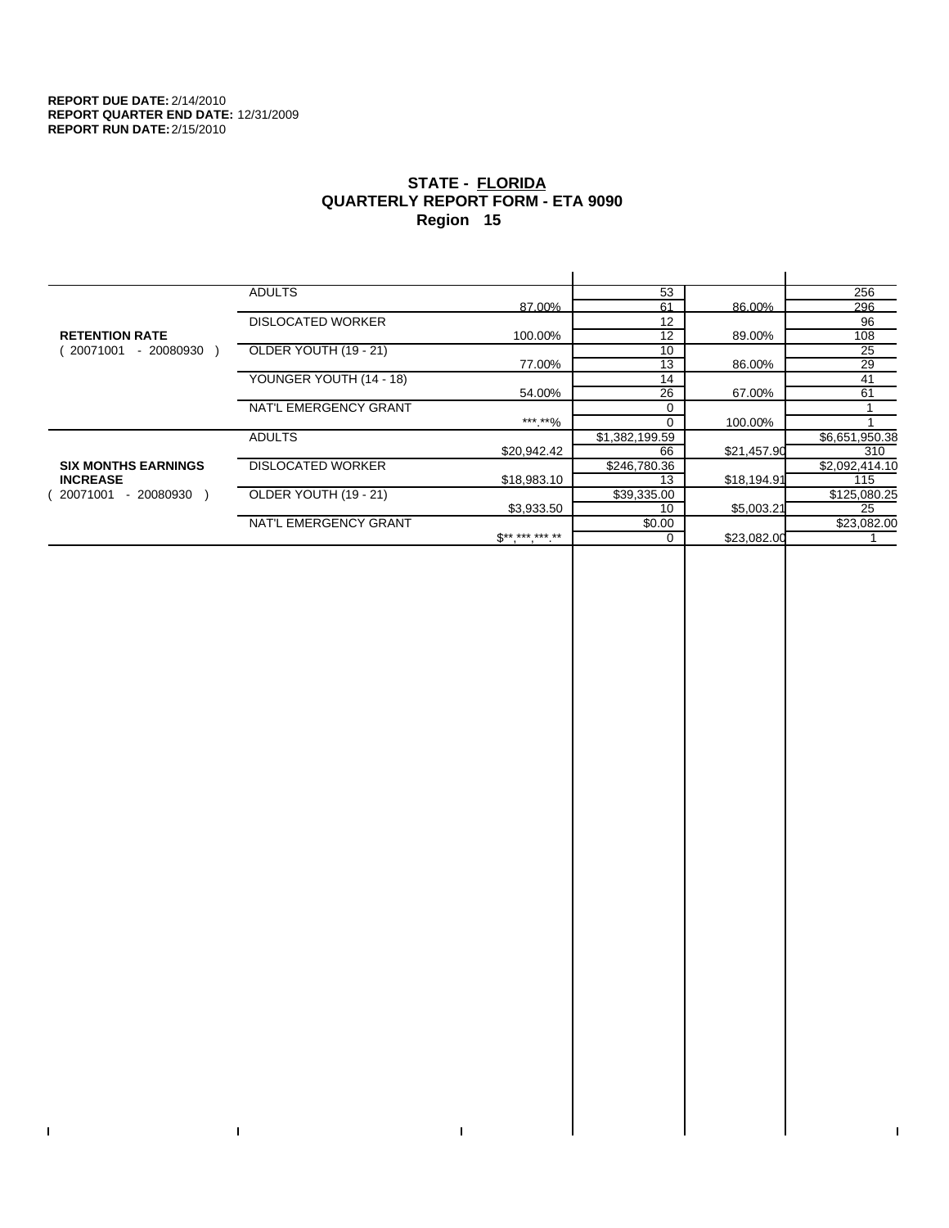$\bar{\Gamma}$ 

 $\mathbf{L}$ 

# **STATE - FLORIDA QUARTERLY REPORT FORM - ETA 9090 Region 15**

|                            | <b>ADULTS</b>            |              | 53             |             | 256            |
|----------------------------|--------------------------|--------------|----------------|-------------|----------------|
|                            |                          | 87.00%       | 61             | 86.00%      | 296            |
|                            | <b>DISLOCATED WORKER</b> |              | 12             |             | 96             |
| <b>RETENTION RATE</b>      |                          | 100.00%      | 12             | 89.00%      | 108            |
| - 20080930<br>20071001     | OLDER YOUTH (19 - 21)    |              | 10             |             | 25             |
|                            |                          | 77.00%       | 13             | 86.00%      | 29             |
|                            | YOUNGER YOUTH (14 - 18)  |              | 14             |             | 41             |
|                            |                          | 54.00%       | 26             | 67.00%      | 61             |
|                            | NAT'L EMERGENCY GRANT    |              | 0              |             |                |
|                            |                          | *** **%      | $\Omega$       | 100.00%     |                |
|                            | <b>ADULTS</b>            |              | \$1,382,199.59 |             | \$6,651,950.38 |
|                            |                          | \$20,942.42  | 66             | \$21,457.90 | 310            |
| <b>SIX MONTHS EARNINGS</b> | <b>DISLOCATED WORKER</b> |              | \$246,780.36   |             | \$2,092,414.10 |
| <b>INCREASE</b>            |                          | \$18,983.10  | 13             | \$18,194.91 | 115            |
| 20071001<br>- 20080930     | OLDER YOUTH (19 - 21)    |              | \$39,335.00    |             | \$125,080.25   |
|                            |                          | \$3,933.50   | 10             | \$5,003.21  | 25             |
|                            | NAT'L EMERGENCY GRANT    |              | \$0.00         |             | \$23,082.00    |
|                            |                          | $S*********$ | 0              | \$23,082.00 |                |
|                            |                          |              |                |             |                |

 $\bar{\Gamma}$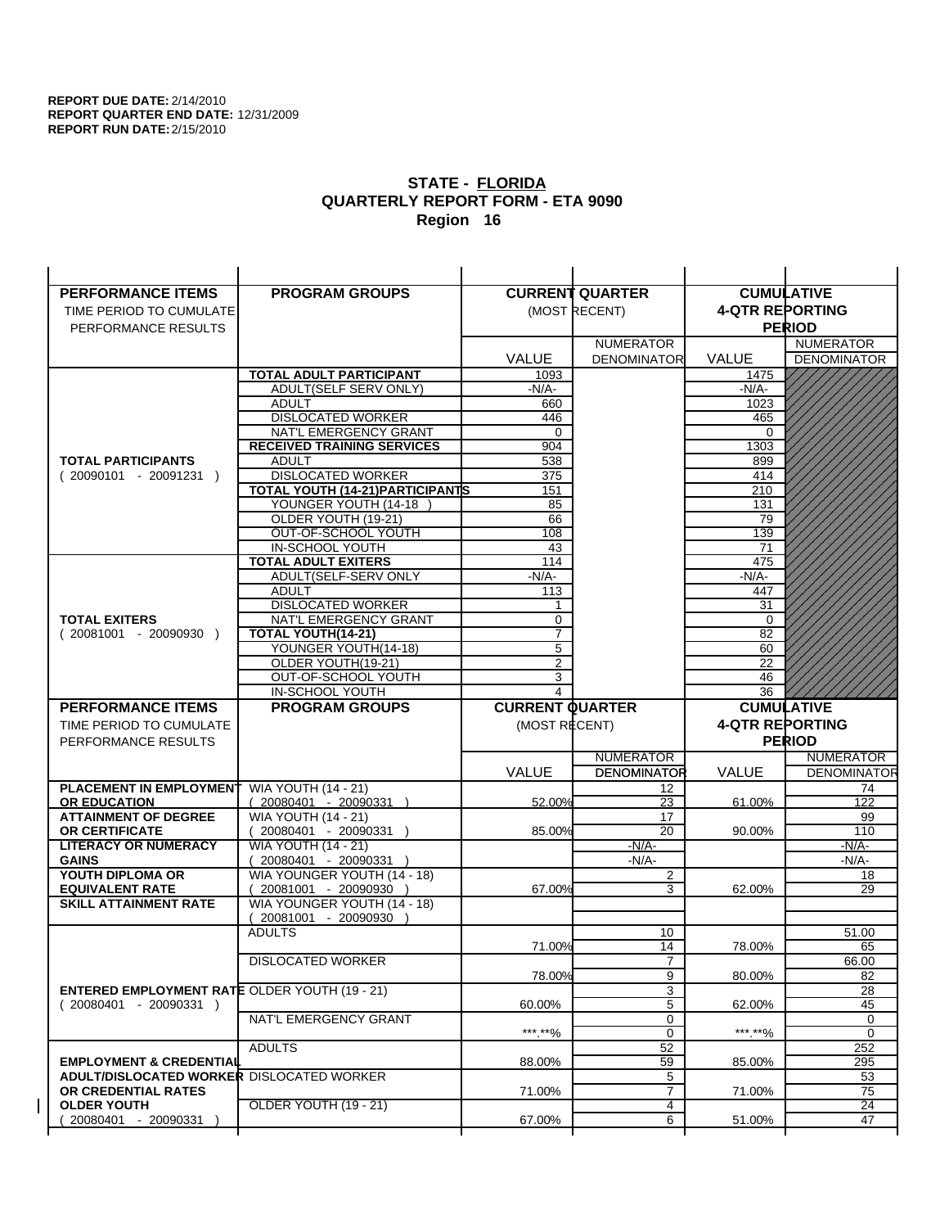| <b>PERFORMANCE ITEMS</b>                             | <b>PROGRAM GROUPS</b>                                |                        | <b>CURRENT QUARTER</b> |                        | <b>CUMULATIVE</b>  |
|------------------------------------------------------|------------------------------------------------------|------------------------|------------------------|------------------------|--------------------|
| TIME PERIOD TO CUMULATE                              |                                                      |                        | (MOST RECENT)          | <b>4-QTR REPORTING</b> |                    |
| PERFORMANCE RESULTS                                  |                                                      |                        |                        |                        | <b>PERIOD</b>      |
|                                                      |                                                      |                        | <b>NUMERATOR</b>       |                        | <b>NUMERATOR</b>   |
|                                                      |                                                      | <b>VALUE</b>           | <b>DENOMINATOR</b>     | <b>VALUE</b>           | <b>DENOMINATOR</b> |
|                                                      | TOTAL ADULT PARTICIPANT                              | 1093                   |                        | 1475                   |                    |
|                                                      | ADULT(SELF SERV ONLY)                                | $-N/A-$                |                        | -N/A-                  |                    |
|                                                      | <b>ADULT</b>                                         | 660                    |                        | 1023                   |                    |
|                                                      | <b>DISLOCATED WORKER</b>                             | 446                    |                        | 465                    |                    |
|                                                      | NAT'L EMERGENCY GRANT                                | 0                      |                        | $\Omega$               |                    |
|                                                      | <b>RECEIVED TRAINING SERVICES</b>                    | 904                    |                        | 1303                   |                    |
| <b>TOTAL PARTICIPANTS</b>                            | <b>ADULT</b>                                         | 538                    |                        | 899                    |                    |
| $(20090101 - 20091231)$                              | <b>DISLOCATED WORKER</b>                             | 375                    |                        | 414                    |                    |
|                                                      | <b>TOTAL YOUTH (14-21) PARTICIPANTS</b>              | 151                    |                        | 210                    |                    |
|                                                      | YOUNGER YOUTH (14-18                                 | 85                     |                        | 131                    |                    |
|                                                      | OLDER YOUTH (19-21)<br>OUT-OF-SCHOOL YOUTH           | 66<br>108              |                        | 79<br>139              |                    |
|                                                      | IN-SCHOOL YOUTH                                      | 43                     |                        | 71                     |                    |
|                                                      | <b>TOTAL ADULT EXITERS</b>                           | 114                    |                        | 475                    |                    |
|                                                      | ADULT(SELF-SERV ONLY                                 | $-N/A-$                |                        | $-N/A-$                |                    |
|                                                      | <b>ADULT</b>                                         | 113                    |                        | 447                    |                    |
|                                                      | <b>DISLOCATED WORKER</b>                             | 1                      |                        | 31                     |                    |
| <b>TOTAL EXITERS</b>                                 | NAT'L EMERGENCY GRANT                                | 0                      |                        | 0                      |                    |
| $(20081001 - 20090930)$                              | <b>TOTAL YOUTH(14-21)</b>                            | $\overline{7}$         |                        | 82                     |                    |
|                                                      | YOUNGER YOUTH(14-18)                                 | 5                      |                        | 60                     |                    |
|                                                      | OLDER YOUTH(19-21)                                   | $\overline{2}$         |                        | 22                     |                    |
|                                                      | OUT-OF-SCHOOL YOUTH                                  | 3                      |                        | 46                     |                    |
|                                                      | IN-SCHOOL YOUTH                                      | 4                      |                        | 36                     |                    |
|                                                      |                                                      |                        |                        |                        |                    |
| <b>PERFORMANCE ITEMS</b>                             | <b>PROGRAM GROUPS</b>                                | <b>CURRENT QUARTER</b> |                        |                        | <b>CUMULATIVE</b>  |
| TIME PERIOD TO CUMULATE                              |                                                      | (MOST RECENT)          |                        | <b>4-QTR REPORTING</b> |                    |
| PERFORMANCE RESULTS                                  |                                                      |                        |                        |                        | <b>PERIOD</b>      |
|                                                      |                                                      |                        | <b>NUMERATOR</b>       |                        | <b>NUMERATOR</b>   |
|                                                      |                                                      | <b>VALUE</b>           | <b>DENOMINATOR</b>     | <b>VALUE</b>           | <b>DENOMINATOR</b> |
| PLACEMENT IN EMPLOYMENT                              | <b>WIA YOUTH (14 - 21)</b>                           |                        | 12                     |                        | 74                 |
| <b>OR EDUCATION</b>                                  | (20080401 - 20090331 )                               | 52.00%                 | 23                     | 61.00%                 | 122                |
| <b>ATTAINMENT OF DEGREE</b>                          | <b>WIA YOUTH (14 - 21)</b>                           |                        | 17                     |                        | 99                 |
| <b>OR CERTIFICATE</b>                                | $(20080401 - 20090331)$                              | 85.00%                 | 20                     | 90.00%                 | 110                |
| <b>LITERACY OR NUMERACY</b>                          | <b>WIA YOUTH (14 - 21)</b>                           |                        | $-N/A-$                |                        | -N/A-              |
| <b>GAINS</b>                                         | 20080401 - 20090331                                  |                        | $-N/A-$                |                        | $-N/A-$            |
| YOUTH DIPLOMA OR<br><b>EQUIVALENT RATE</b>           | WIA YOUNGER YOUTH (14 - 18)<br>20081001 - 20090930 ) | 67.00%                 | $\overline{2}$<br>3    | 62.00%                 | 18<br>29           |
| <b>SKILL ATTAINMENT RATE</b>                         | WIA YOUNGER YOUTH (14 - 18)                          |                        |                        |                        |                    |
|                                                      | (20081001 - 20090930                                 |                        |                        |                        |                    |
|                                                      | <b>ADULTS</b>                                        |                        | 10                     |                        | 51.00              |
|                                                      |                                                      | 71.00%                 | 14                     | 78.00%                 | 65                 |
|                                                      | <b>DISLOCATED WORKER</b>                             |                        | $\overline{7}$         |                        | 66.00              |
|                                                      |                                                      | 78.00%                 | 9                      | 80.00%                 | 82                 |
| <b>ENTERED EMPLOYMENT RATE OLDER YOUTH (19 - 21)</b> |                                                      |                        | 3                      |                        | 28                 |
| $(20080401 - 20090331)$                              |                                                      | 60.00%                 | 5                      | 62.00%                 | 45                 |
|                                                      | NAT'L EMERGENCY GRANT                                |                        | 0                      |                        | 0                  |
|                                                      |                                                      | ***.**%                | $\mathbf 0$            | ***.**%                | 0                  |
| <b>EMPLOYMENT &amp; CREDENTIAL</b>                   | <b>ADULTS</b>                                        | 88.00%                 | 52<br>59               | 85.00%                 | 252<br>295         |
| <b>ADULT/DISLOCATED WORKER DISLOCATED WORKER</b>     |                                                      |                        | 5                      |                        | 53                 |
| OR CREDENTIAL RATES                                  |                                                      | 71.00%                 | $\overline{7}$         | 71.00%                 | 75                 |
| <b>OLDER YOUTH</b>                                   | <b>OLDER YOUTH (19 - 21)</b>                         |                        | 4                      |                        | 24                 |
| 20080401 - 20090331                                  |                                                      | 67.00%                 | 6                      | 51.00%                 | 47                 |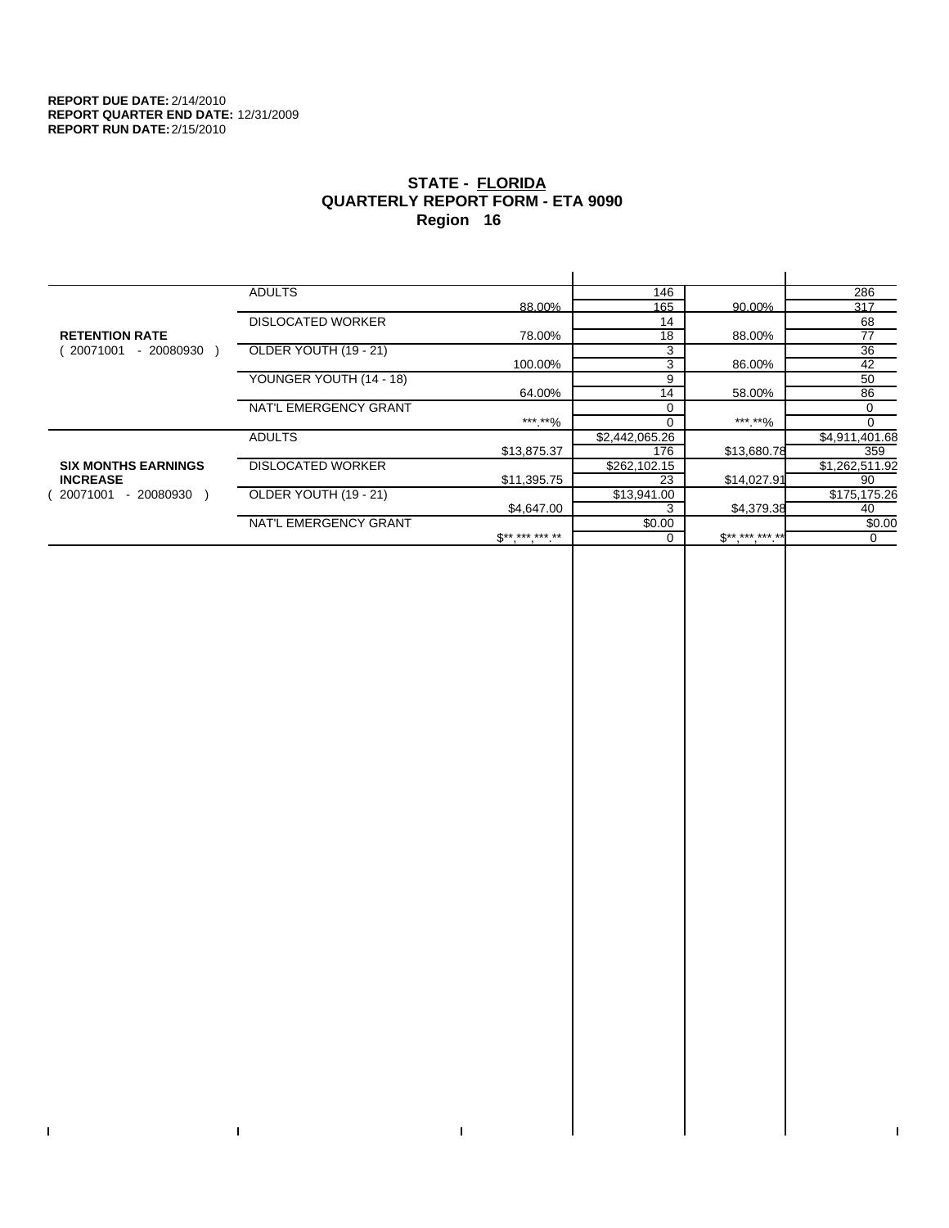$\bar{\Gamma}$ 

 $\mathbf{I}$ 

# **STATE - FLORIDA QUARTERLY REPORT FORM - ETA 9090 Region 16**

|                            | <b>ADULTS</b>            |                            | 146            |             | 286            |
|----------------------------|--------------------------|----------------------------|----------------|-------------|----------------|
|                            |                          | 88.00%                     | 165            | 90.00%      | 317            |
|                            | <b>DISLOCATED WORKER</b> |                            | 14             |             | 68             |
| <b>RETENTION RATE</b>      |                          | 78.00%                     | 18             | 88.00%      | 77             |
| - 20080930<br>20071001     | OLDER YOUTH (19 - 21)    |                            | 3              |             | 36             |
|                            |                          | 100.00%                    | 3              | 86.00%      | 42             |
|                            | YOUNGER YOUTH (14 - 18)  |                            | 9              |             | 50             |
|                            |                          | 64.00%                     | 14             | 58.00%      | 86             |
|                            | NAT'L EMERGENCY GRANT    |                            | $\Omega$       |             | 0              |
|                            |                          | ***.**%                    |                | ***.**%     |                |
|                            | <b>ADULTS</b>            |                            | \$2,442,065.26 |             | \$4,911,401.68 |
|                            |                          | \$13,875.37                | 176            | \$13,680.78 | 359            |
| <b>SIX MONTHS EARNINGS</b> | <b>DISLOCATED WORKER</b> |                            | \$262,102.15   |             | \$1,262,511.92 |
| <b>INCREASE</b>            |                          | \$11,395.75                | 23             | \$14,027.91 | 90             |
| - 20080930<br>20071001     | OLDER YOUTH (19 - 21)    |                            | \$13,941.00    |             | \$175,175.26   |
|                            |                          | \$4,647.00                 |                | \$4,379.38  | 40             |
|                            | NAT'L EMERGENCY GRANT    |                            | \$0.00         |             | \$0.00         |
|                            |                          | $\mathbb{S}$ ** *** *** ** |                | $S********$ | 0              |
|                            |                          |                            |                |             |                |

 $\bar{\Gamma}$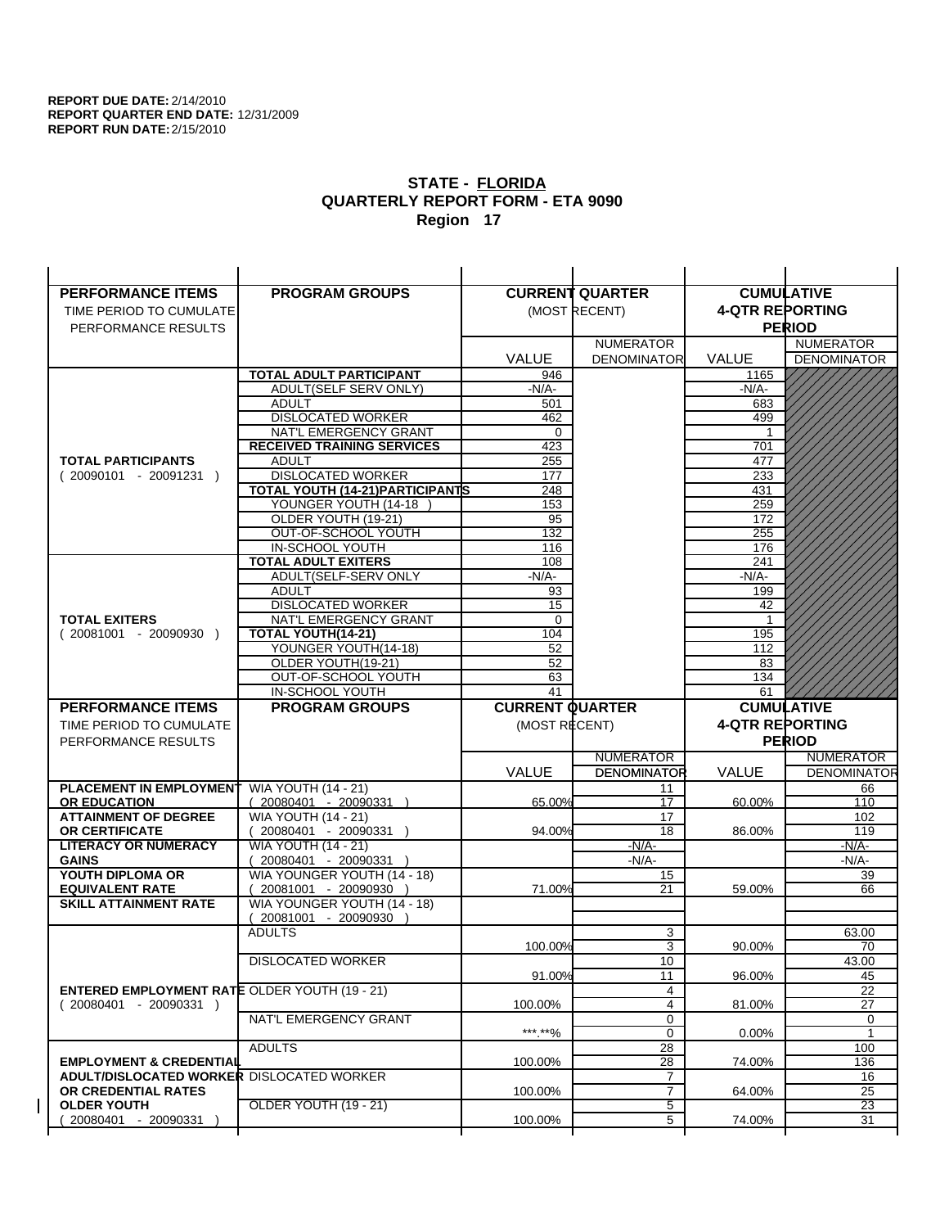| <b>PERFORMANCE ITEMS</b>                             | <b>PROGRAM GROUPS</b>                             |                        | <b>CURRENT QUARTER</b> |                        | <b>CUMULATIVE</b>  |
|------------------------------------------------------|---------------------------------------------------|------------------------|------------------------|------------------------|--------------------|
| TIME PERIOD TO CUMULATE                              |                                                   |                        | (MOST RECENT)          | <b>4-QTR REPORTING</b> |                    |
| PERFORMANCE RESULTS                                  |                                                   |                        |                        |                        | <b>PERIOD</b>      |
|                                                      |                                                   |                        | <b>NUMERATOR</b>       |                        | <b>NUMERATOR</b>   |
|                                                      |                                                   | <b>VALUE</b>           | <b>DENOMINATOR</b>     | <b>VALUE</b>           | <b>DENOMINATOR</b> |
|                                                      | TOTAL ADULT PARTICIPANT                           | 946                    |                        | 1165                   |                    |
|                                                      | ADULT(SELF SERV ONLY)                             | -N/A-                  |                        | -N/A-                  |                    |
|                                                      | <b>ADULT</b>                                      | 501                    |                        | 683                    |                    |
|                                                      | <b>DISLOCATED WORKER</b>                          | 462                    |                        | 499                    |                    |
|                                                      | NAT'L EMERGENCY GRANT                             | 0                      |                        |                        |                    |
|                                                      | <b>RECEIVED TRAINING SERVICES</b>                 | 423                    |                        | 701                    |                    |
| <b>TOTAL PARTICIPANTS</b>                            | <b>ADULT</b>                                      | 255                    |                        | 477                    |                    |
| $(20090101 - 20091231)$                              | <b>DISLOCATED WORKER</b>                          | 177                    |                        | 233                    |                    |
|                                                      | <b>TOTAL YOUTH (14-21) PARTICIPANTS</b>           | 248                    |                        | 431                    |                    |
|                                                      | YOUNGER YOUTH (14-18                              | 153                    |                        | 259                    |                    |
|                                                      | OLDER YOUTH (19-21)                               | 95                     |                        | 172                    |                    |
|                                                      | OUT-OF-SCHOOL YOUTH                               | 132                    |                        | 255                    |                    |
|                                                      | IN-SCHOOL YOUTH                                   | 116                    |                        | 176                    |                    |
|                                                      | <b>TOTAL ADULT EXITERS</b>                        | 108                    |                        | 241                    |                    |
|                                                      | ADULT(SELF-SERV ONLY                              | $-N/A-$                |                        | $-N/A-$                |                    |
|                                                      | <b>ADULT</b>                                      | 93                     |                        | 199                    |                    |
| <b>TOTAL EXITERS</b>                                 | <b>DISLOCATED WORKER</b><br>NAT'L EMERGENCY GRANT | 15<br>0                |                        | 42<br>-1               |                    |
| $(20081001 - 20090930)$                              | TOTAL YOUTH(14-21)                                | 104                    |                        | 195                    |                    |
|                                                      | YOUNGER YOUTH(14-18)                              | 52                     |                        | 112                    |                    |
|                                                      | OLDER YOUTH(19-21)                                | 52                     |                        | 83                     |                    |
|                                                      | OUT-OF-SCHOOL YOUTH                               | 63                     |                        | 134                    |                    |
|                                                      | IN-SCHOOL YOUTH                                   | 41                     |                        | 61                     |                    |
|                                                      |                                                   |                        |                        |                        |                    |
|                                                      |                                                   |                        |                        |                        | <b>CUMULATIVE</b>  |
| <b>PERFORMANCE ITEMS</b>                             | <b>PROGRAM GROUPS</b>                             | <b>CURRENT QUARTER</b> |                        |                        |                    |
| TIME PERIOD TO CUMULATE                              |                                                   | (MOST RECENT)          |                        | <b>4-QTR REPORTING</b> |                    |
| PERFORMANCE RESULTS                                  |                                                   |                        |                        |                        | <b>PERIOD</b>      |
|                                                      |                                                   |                        | <b>NUMERATOR</b>       |                        | <b>NUMERATOR</b>   |
|                                                      |                                                   | <b>VALUE</b>           | <b>DENOMINATOR</b>     | <b>VALUE</b>           | <b>DENOMINATOR</b> |
| PLACEMENT IN EMPLOYMENT                              | <b>WIA YOUTH (14 - 21)</b>                        |                        | 11                     |                        | 66                 |
| <b>OR EDUCATION</b>                                  | (20080401 - 20090331 )                            | 65.00%                 | 17                     | 60.00%                 | 110                |
| <b>ATTAINMENT OF DEGREE</b><br><b>OR CERTIFICATE</b> | <b>WIA YOUTH (14 - 21)</b>                        | 94.00%                 | 17<br>18               | 86.00%                 | 102<br>119         |
| <b>LITERACY OR NUMERACY</b>                          | $(20080401 - 20090331)$                           |                        | $-N/A-$                |                        | -N/A-              |
| <b>GAINS</b>                                         | <b>WIA YOUTH (14 - 21)</b><br>20080401 - 20090331 |                        | $-N/A-$                |                        | $-N/A-$            |
| YOUTH DIPLOMA OR                                     | WIA YOUNGER YOUTH (14 - 18)                       |                        | 15                     |                        | 39                 |
| <b>EQUIVALENT RATE</b>                               | 20081001 - 20090930 )                             | 71.00%                 | 21                     | 59.00%                 | 66                 |
| <b>SKILL ATTAINMENT RATE</b>                         | WIA YOUNGER YOUTH (14 - 18)                       |                        |                        |                        |                    |
|                                                      | (20081001 - 20090930                              |                        |                        |                        |                    |
|                                                      | <b>ADULTS</b>                                     |                        | 3                      |                        | 63.00              |
|                                                      |                                                   | 100.00%                | 3                      | 90.00%                 | 70                 |
|                                                      | <b>DISLOCATED WORKER</b>                          |                        | 10                     |                        | 43.00              |
|                                                      |                                                   | 91.00%                 | 11                     | 96.00%                 | 45                 |
| <b>ENTERED EMPLOYMENT RATE OLDER YOUTH (19 - 21)</b> |                                                   |                        | 4                      |                        | 22                 |
| $(20080401 - 20090331)$                              |                                                   | 100.00%                | $\overline{4}$         | 81.00%                 | 27                 |
|                                                      | NAT'L EMERGENCY GRANT                             |                        | 0                      |                        | 0                  |
|                                                      |                                                   | ***.**%                | 0                      | 0.00%                  | $\mathbf{1}$       |
|                                                      | <b>ADULTS</b>                                     |                        | 28                     |                        | 100                |
| <b>EMPLOYMENT &amp; CREDENTIAL</b>                   |                                                   | 100.00%                | 28                     | 74.00%                 | 136                |
| <b>ADULT/DISLOCATED WORKER DISLOCATED WORKER</b>     |                                                   |                        | 7                      |                        | 16                 |
| OR CREDENTIAL RATES                                  |                                                   | 100.00%                | $\overline{7}$         | 64.00%                 | 25                 |
| <b>OLDER YOUTH</b><br>20080401 - 20090331            | <b>OLDER YOUTH (19 - 21)</b>                      | 100.00%                | 5<br>5                 | 74.00%                 | 23<br>31           |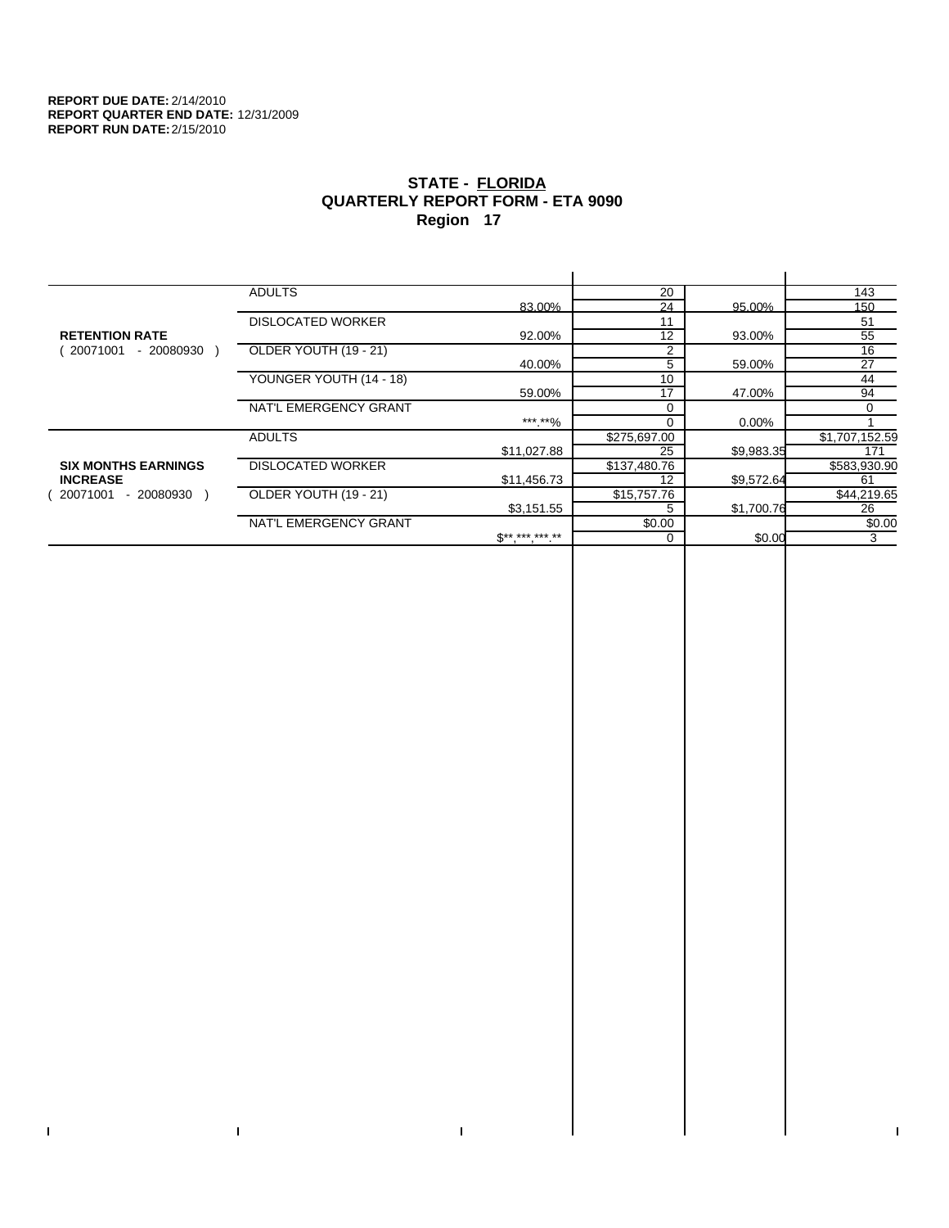$\bar{\Gamma}$ 

 $\mathbf{I}$ 

# **STATE - FLORIDA QUARTERLY REPORT FORM - ETA 9090 Region 17**

|                            | <b>ADULTS</b>            |                 | 20           |            | 143            |
|----------------------------|--------------------------|-----------------|--------------|------------|----------------|
|                            |                          | 83.00%          | 24           | 95.00%     | 150            |
|                            | <b>DISLOCATED WORKER</b> |                 | 11           |            | 51             |
| <b>RETENTION RATE</b>      |                          | 92.00%          | 12           | 93.00%     | 55             |
| 20071001<br>- 20080930     | OLDER YOUTH (19 - 21)    |                 | 2            |            | 16             |
|                            |                          | 40.00%          | 5            | 59.00%     | 27             |
|                            | YOUNGER YOUTH (14 - 18)  |                 | 10           |            | 44             |
|                            |                          | 59.00%          | 17           | 47.00%     | 94             |
|                            | NAT'L EMERGENCY GRANT    |                 |              |            | 0              |
|                            |                          | *** **%         |              | 0.00%      |                |
|                            | <b>ADULTS</b>            |                 | \$275,697.00 |            | \$1,707,152.59 |
|                            |                          | \$11,027.88     | 25           | \$9,983.35 | 171            |
| <b>SIX MONTHS EARNINGS</b> | <b>DISLOCATED WORKER</b> |                 | \$137,480.76 |            | \$583,930.90   |
| <b>INCREASE</b>            |                          | \$11,456.73     | 12           | \$9,572.64 | 61             |
| - 20080930<br>20071001     | OLDER YOUTH (19 - 21)    |                 | \$15,757.76  |            | \$44,219.65    |
|                            |                          | \$3,151.55      | 5            | \$1,700.76 | 26             |
|                            | NAT'L EMERGENCY GRANT    |                 | \$0.00       |            | \$0.00         |
|                            |                          | $S^{*********}$ | 0            | \$0.00     | 3              |
|                            |                          |                 |              |            |                |

 $\bar{\Gamma}$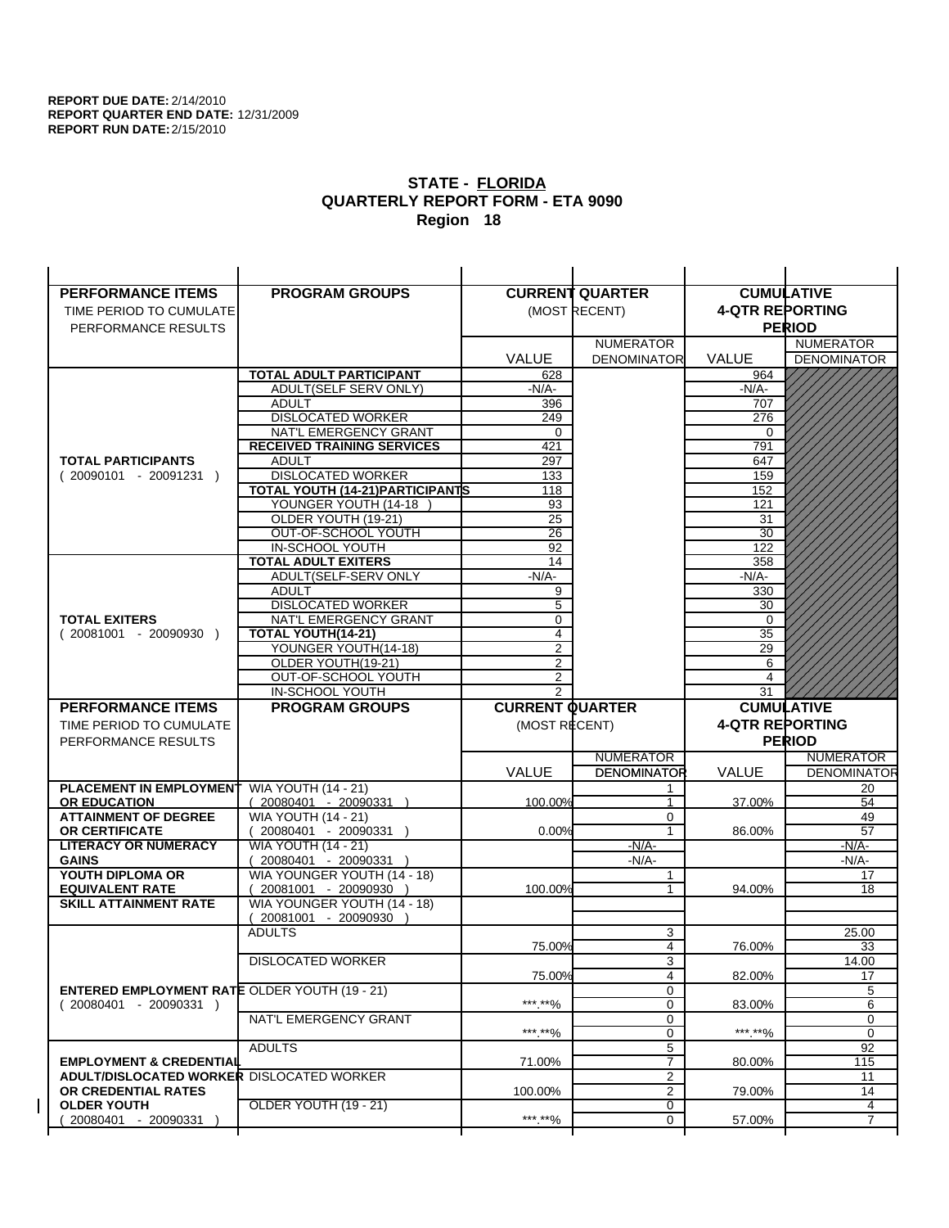| <b>PERFORMANCE ITEMS</b>                             | <b>PROGRAM GROUPS</b>                                 |                        | <b>CURRENT QUARTER</b>                 |                        | <b>CUMULATIVE</b>                      |
|------------------------------------------------------|-------------------------------------------------------|------------------------|----------------------------------------|------------------------|----------------------------------------|
| TIME PERIOD TO CUMULATE                              |                                                       |                        | (MOST RECENT)                          | <b>4-QTR REPORTING</b> |                                        |
| PERFORMANCE RESULTS                                  |                                                       |                        |                                        |                        | <b>PERIOD</b>                          |
|                                                      |                                                       |                        | <b>NUMERATOR</b>                       |                        | <b>NUMERATOR</b>                       |
|                                                      |                                                       | <b>VALUE</b>           | <b>DENOMINATOR</b>                     | <b>VALUE</b>           | <b>DENOMINATOR</b>                     |
|                                                      | TOTAL ADULT PARTICIPANT                               | 628                    |                                        | 964                    |                                        |
|                                                      | ADULT(SELF SERV ONLY)                                 | -N/A-                  |                                        | $-N/A-$                |                                        |
|                                                      | <b>ADULT</b>                                          | 396                    |                                        | 707                    |                                        |
|                                                      | <b>DISLOCATED WORKER</b>                              | 249                    |                                        | 276                    |                                        |
|                                                      | NAT'L EMERGENCY GRANT                                 | 0                      |                                        | $\Omega$               |                                        |
|                                                      | <b>RECEIVED TRAINING SERVICES</b>                     | 421                    |                                        | 791                    |                                        |
| <b>TOTAL PARTICIPANTS</b>                            | <b>ADULT</b>                                          | 297                    |                                        | 647                    |                                        |
| $(20090101 - 20091231)$                              | <b>DISLOCATED WORKER</b>                              | 133                    |                                        | 159                    |                                        |
|                                                      | <b>TOTAL YOUTH (14-21) PARTICIPANTS</b>               | 118                    |                                        | 152                    |                                        |
|                                                      | YOUNGER YOUTH (14-18                                  | 93                     |                                        | 121                    |                                        |
|                                                      | OLDER YOUTH (19-21)                                   | 25                     |                                        | 31                     |                                        |
|                                                      | OUT-OF-SCHOOL YOUTH                                   | $\overline{26}$        |                                        | $\overline{30}$        |                                        |
|                                                      | IN-SCHOOL YOUTH                                       | 92                     |                                        | 122                    |                                        |
|                                                      | <b>TOTAL ADULT EXITERS</b>                            | 14                     |                                        | 358                    |                                        |
|                                                      | ADULT(SELF-SERV ONLY                                  | $-N/A-$                |                                        | $-N/A-$                |                                        |
|                                                      | <b>ADULT</b><br><b>DISLOCATED WORKER</b>              | 9<br>5                 |                                        | 330<br>30              |                                        |
| <b>TOTAL EXITERS</b>                                 | NAT'L EMERGENCY GRANT                                 | 0                      |                                        | 0                      |                                        |
| $(20081001 - 20090930)$                              | <b>TOTAL YOUTH(14-21)</b>                             | $\overline{4}$         |                                        | 35                     |                                        |
|                                                      | YOUNGER YOUTH(14-18)                                  | 2                      |                                        | 29                     |                                        |
|                                                      | OLDER YOUTH(19-21)                                    | $\overline{2}$         |                                        | 6                      |                                        |
|                                                      | OUT-OF-SCHOOL YOUTH                                   | $\overline{2}$         |                                        | $\overline{4}$         |                                        |
|                                                      | IN-SCHOOL YOUTH                                       | $\overline{2}$         |                                        | 31                     |                                        |
|                                                      |                                                       |                        |                                        |                        |                                        |
| <b>PERFORMANCE ITEMS</b>                             | <b>PROGRAM GROUPS</b>                                 | <b>CURRENT QUARTER</b> |                                        |                        | <b>CUMULATIVE</b>                      |
| TIME PERIOD TO CUMULATE                              |                                                       |                        |                                        |                        |                                        |
|                                                      |                                                       | (MOST RECENT)          |                                        | <b>4-QTR REPORTING</b> |                                        |
| PERFORMANCE RESULTS                                  |                                                       |                        |                                        |                        | <b>PERIOD</b>                          |
|                                                      |                                                       |                        | <b>NUMERATOR</b><br><b>DENOMINATOR</b> | <b>VALUE</b>           | <b>NUMERATOR</b><br><b>DENOMINATOR</b> |
|                                                      |                                                       | <b>VALUE</b>           |                                        |                        |                                        |
| PLACEMENT IN EMPLOYMENT<br><b>OR EDUCATION</b>       | <b>WIA YOUTH (14 - 21)</b><br>(20080401 - 20090331 )  | 100.00%                | $\mathbf{1}$                           | 37.00%                 | 20<br>54                               |
| <b>ATTAINMENT OF DEGREE</b>                          |                                                       |                        | 0                                      |                        | 49                                     |
| <b>OR CERTIFICATE</b>                                | <b>WIA YOUTH (14 - 21)</b><br>$(20080401 - 20090331)$ | 0.00%                  | $\mathbf{1}$                           | 86.00%                 | 57                                     |
| <b>LITERACY OR NUMERACY</b>                          | <b>WIA YOUTH (14 - 21)</b>                            |                        | $-N/A-$                                |                        | -N/A-                                  |
| <b>GAINS</b>                                         | 20080401 - 20090331                                   |                        | $-N/A-$                                |                        | $-N/A-$                                |
| YOUTH DIPLOMA OR                                     | WIA YOUNGER YOUTH (14 - 18)                           |                        | 1                                      |                        | 17                                     |
| <b>EQUIVALENT RATE</b>                               | 20081001 - 20090930 )                                 | 100.00%                | 1                                      | 94.00%                 | 18                                     |
| <b>SKILL ATTAINMENT RATE</b>                         | WIA YOUNGER YOUTH (14 - 18)                           |                        |                                        |                        |                                        |
|                                                      | (20081001 - 20090930                                  |                        |                                        |                        |                                        |
|                                                      | <b>ADULTS</b>                                         |                        | 3                                      |                        | 25.00                                  |
|                                                      |                                                       | 75.00%                 | 4                                      | 76.00%                 | 33                                     |
|                                                      | <b>DISLOCATED WORKER</b>                              |                        | $\overline{3}$                         |                        | 14.00                                  |
|                                                      |                                                       | 75.00%                 | 4                                      | 82.00%                 | 17                                     |
| <b>ENTERED EMPLOYMENT RATE OLDER YOUTH (19 - 21)</b> |                                                       |                        | 0                                      |                        | 5                                      |
| $(20080401 - 20090331)$                              |                                                       | ***.**%                | 0                                      | 83.00%                 | 6                                      |
|                                                      | NAT'L EMERGENCY GRANT                                 |                        | 0                                      |                        | 0                                      |
|                                                      |                                                       | ***.**%                | 0                                      | *** **%                | 0                                      |
| <b>EMPLOYMENT &amp; CREDENTIAL</b>                   | <b>ADULTS</b>                                         | 71.00%                 | 5<br>$\overline{7}$                    | 80.00%                 | 92                                     |
| <b>ADULT/DISLOCATED WORKER DISLOCATED WORKER</b>     |                                                       |                        | 2                                      |                        | 115                                    |
| OR CREDENTIAL RATES                                  |                                                       | 100.00%                | $\overline{2}$                         | 79.00%                 | 11<br>14                               |
| <b>OLDER YOUTH</b>                                   | OLDER YOUTH (19 - 21)                                 |                        | 0                                      |                        | 4                                      |
| 20080401 - 20090331                                  |                                                       | ***.**%                | 0                                      | 57.00%                 | $\overline{7}$                         |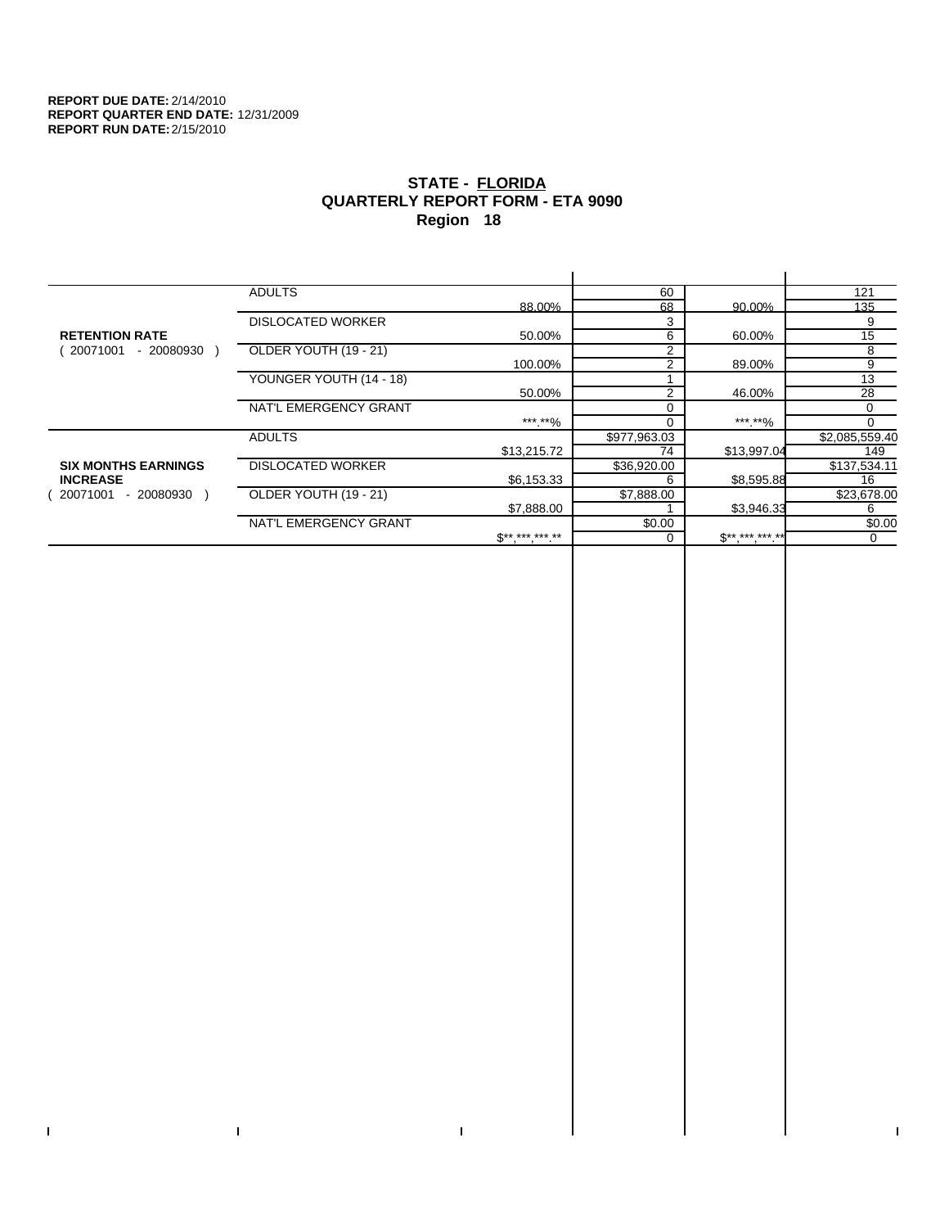$\bar{\Gamma}$ 

 $\mathbf{L}$ 

# **STATE - FLORIDA QUARTERLY REPORT FORM - ETA 9090 Region 18**

|                            | <b>ADULTS</b>            |                     | 60             |             | 121            |
|----------------------------|--------------------------|---------------------|----------------|-------------|----------------|
|                            |                          | 88.00%              | 68             | 90.00%      | 135            |
|                            | <b>DISLOCATED WORKER</b> |                     | 3              |             | 9              |
| <b>RETENTION RATE</b>      |                          | 50.00%              | 6              | 60.00%      | 15             |
| 20071001<br>- 20080930     | OLDER YOUTH (19 - 21)    |                     | 2              |             | 8              |
|                            |                          | 100.00%             | $\overline{2}$ | 89.00%      | 9              |
|                            | YOUNGER YOUTH (14 - 18)  |                     |                |             | 13             |
|                            |                          | 50.00%              | $\overline{2}$ | 46.00%      | 28             |
|                            | NAT'L EMERGENCY GRANT    |                     | 0              |             | 0              |
|                            |                          | *** **%             | O              | ***.**%     | 0              |
|                            | <b>ADULTS</b>            |                     | \$977,963.03   |             | \$2,085,559.40 |
|                            |                          | \$13,215.72         | 74             | \$13,997.04 | 149            |
| <b>SIX MONTHS EARNINGS</b> | <b>DISLOCATED WORKER</b> |                     | \$36,920.00    |             | \$137,534.11   |
| <b>INCREASE</b>            |                          | \$6,153.33          | 6              | \$8,595.88  | 16             |
| - 20080930 )<br>20071001   | OLDER YOUTH (19 - 21)    |                     | \$7,888.00     |             | \$23,678.00    |
|                            |                          | \$7,888.00          |                | \$3,946.33  | 6              |
|                            | NAT'L EMERGENCY GRANT    |                     | \$0.00         |             | \$0.00         |
|                            |                          | $S^{**}$ *** *** ** | 0              | $S********$ | 0              |
|                            |                          |                     |                |             |                |

 $\bar{\Gamma}$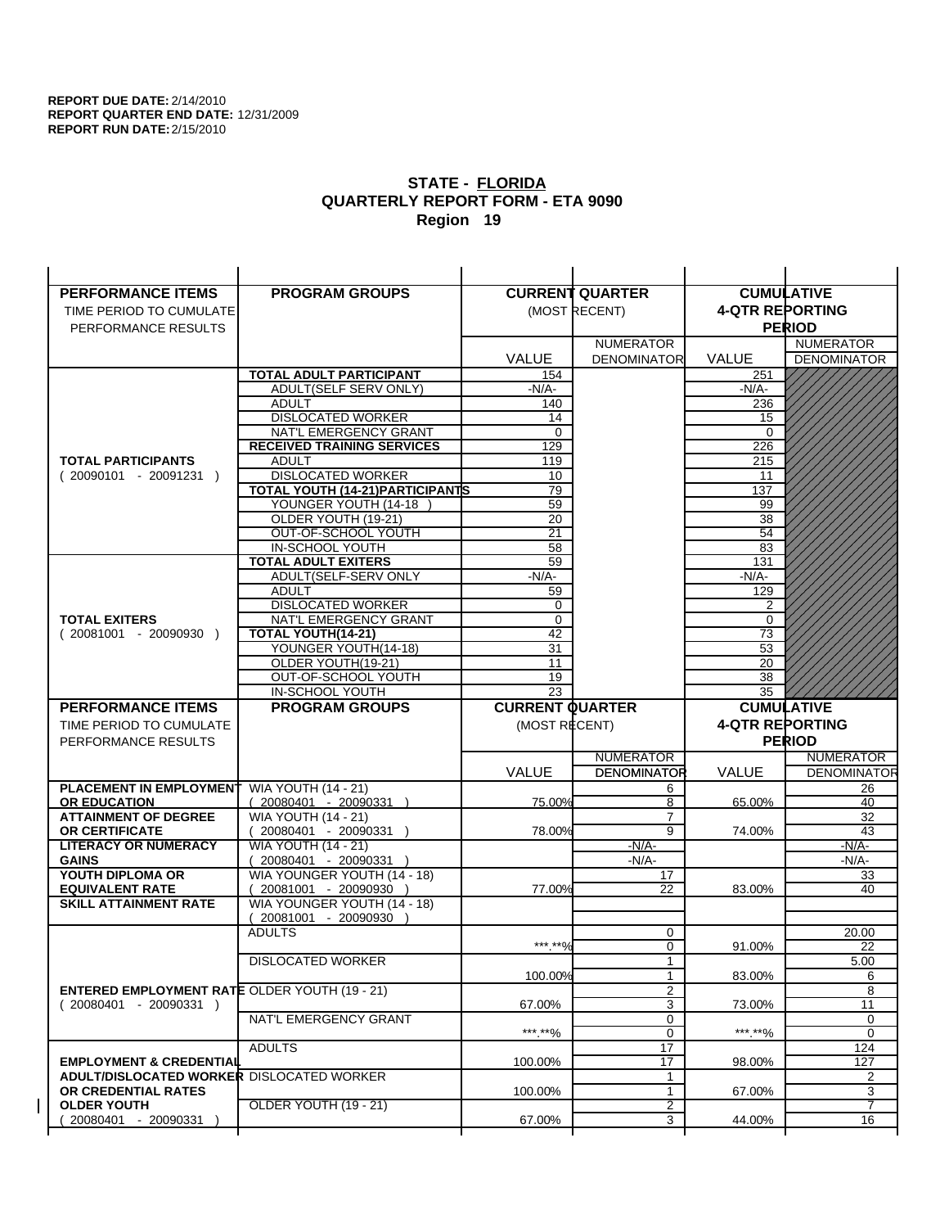| <b>PERFORMANCE ITEMS</b>                             | <b>PROGRAM GROUPS</b>                              |                        | <b>CURRENT QUARTER</b> |                        | <b>CUMULATIVE</b>  |
|------------------------------------------------------|----------------------------------------------------|------------------------|------------------------|------------------------|--------------------|
| TIME PERIOD TO CUMULATE                              |                                                    |                        | (MOST RECENT)          | <b>4-QTR REPORTING</b> |                    |
| PERFORMANCE RESULTS                                  |                                                    |                        |                        |                        | <b>PERIOD</b>      |
|                                                      |                                                    |                        | <b>NUMERATOR</b>       |                        | <b>NUMERATOR</b>   |
|                                                      |                                                    | <b>VALUE</b>           | <b>DENOMINATOR</b>     | <b>VALUE</b>           | <b>DENOMINATOR</b> |
|                                                      | <b>TOTAL ADULT PARTICIPANT</b>                     | 154                    |                        | 251                    |                    |
|                                                      | ADULT(SELF SERV ONLY)                              | -N/A-                  |                        | $-N/A-$                |                    |
|                                                      | <b>ADULT</b>                                       | 140                    |                        | 236                    |                    |
|                                                      | <b>DISLOCATED WORKER</b>                           | 14                     |                        | 15                     |                    |
|                                                      | NAT'L EMERGENCY GRANT                              | $\mathbf 0$            |                        | $\Omega$               |                    |
|                                                      | <b>RECEIVED TRAINING SERVICES</b>                  | 129                    |                        | 226                    |                    |
| <b>TOTAL PARTICIPANTS</b>                            | <b>ADULT</b>                                       | 119                    |                        | 215                    |                    |
| $(20090101 - 20091231)$                              | <b>DISLOCATED WORKER</b>                           | 10                     |                        | 11                     |                    |
|                                                      | TOTAL YOUTH (14-21) PARTICIPANTS                   | 79                     |                        | 137                    |                    |
|                                                      | YOUNGER YOUTH (14-18<br>OLDER YOUTH (19-21)        | 59                     |                        | 99                     |                    |
|                                                      | OUT-OF-SCHOOL YOUTH                                | 20<br>$\overline{21}$  |                        | 38<br>54               |                    |
|                                                      | IN-SCHOOL YOUTH                                    | 58                     |                        | 83                     |                    |
|                                                      | <b>TOTAL ADULT EXITERS</b>                         | 59                     |                        | 131                    |                    |
|                                                      | ADULT(SELF-SERV ONLY                               | $-N/A$ -               |                        | $-N/A-$                |                    |
|                                                      | <b>ADULT</b>                                       | 59                     |                        | 129                    |                    |
|                                                      | <b>DISLOCATED WORKER</b>                           | 0                      |                        | $\overline{2}$         |                    |
| <b>TOTAL EXITERS</b>                                 | NAT'L EMERGENCY GRANT                              | 0                      |                        | 0                      |                    |
| $(20081001 - 20090930)$                              | <b>TOTAL YOUTH(14-21)</b>                          | 42                     |                        | 73                     |                    |
|                                                      | YOUNGER YOUTH(14-18)                               | 31                     |                        | 53                     |                    |
|                                                      | OLDER YOUTH(19-21)                                 | 11                     |                        | 20                     |                    |
|                                                      | OUT-OF-SCHOOL YOUTH                                | 19<br>$\overline{23}$  |                        | 38                     |                    |
|                                                      | IN-SCHOOL YOUTH                                    |                        |                        | 35                     |                    |
|                                                      |                                                    |                        |                        |                        |                    |
| <b>PERFORMANCE ITEMS</b>                             | <b>PROGRAM GROUPS</b>                              | <b>CURRENT QUARTER</b> |                        |                        | <b>CUMULATIVE</b>  |
| TIME PERIOD TO CUMULATE                              |                                                    | (MOST RECENT)          |                        | <b>4-QTR REPORTING</b> |                    |
| PERFORMANCE RESULTS                                  |                                                    |                        |                        |                        | <b>PERIOD</b>      |
|                                                      |                                                    |                        | <b>NUMERATOR</b>       |                        | <b>NUMERATOR</b>   |
|                                                      |                                                    | <b>VALUE</b>           | <b>DENOMINATOR</b>     | <b>VALUE</b>           | <b>DENOMINATOR</b> |
| PLACEMENT IN EMPLOYMENT                              | <b>WIA YOUTH (14 - 21)</b>                         |                        | 6                      |                        | 26                 |
| <b>OR EDUCATION</b>                                  | $(20080401 - 20090331)$                            | 75.00%                 | 8                      | 65.00%                 | 40                 |
| <b>ATTAINMENT OF DEGREE</b>                          | <b>WIA YOUTH (14 - 21)</b>                         |                        | $\overline{7}$         |                        | 32                 |
| <b>OR CERTIFICATE</b>                                | $(20080401 - 20090331)$                            | 78.00%                 | $\overline{9}$         | 74.00%                 | 43                 |
| <b>LITERACY OR NUMERACY</b>                          | <b>WIA YOUTH (14 - 21)</b>                         |                        | $-N/A$ -               |                        | -N/A-              |
| <b>GAINS</b>                                         | 20080401 - 20090331<br>WIA YOUNGER YOUTH (14 - 18) |                        | $-N/A-$<br>17          |                        | $-N/A-$<br>33      |
| YOUTH DIPLOMA OR<br><b>EQUIVALENT RATE</b>           | 20081001 - 20090930 )                              | 77.00%                 | 22                     | 83.00%                 | 40                 |
| <b>SKILL ATTAINMENT RATE</b>                         | WIA YOUNGER YOUTH (14 - 18)                        |                        |                        |                        |                    |
|                                                      | (20081001 - 20090930                               |                        |                        |                        |                    |
|                                                      | <b>ADULTS</b>                                      |                        | 0                      |                        | 20.00              |
|                                                      |                                                    | ***.**%                | 0                      | 91.00%                 | 22                 |
|                                                      | <b>DISLOCATED WORKER</b>                           |                        | $\mathbf{1}$           |                        | 5.00               |
|                                                      |                                                    | 100.00%                | $\mathbf{1}$           | 83.00%                 | 6                  |
| <b>ENTERED EMPLOYMENT RATE OLDER YOUTH (19 - 21)</b> |                                                    |                        | $\overline{2}$         |                        | 8                  |
| $(20080401 - 20090331)$                              |                                                    | 67.00%                 | 3                      | 73.00%                 | 11                 |
|                                                      | NAT'L EMERGENCY GRANT                              |                        | 0                      |                        | 0<br>0             |
|                                                      | <b>ADULTS</b>                                      | ***.**%                | 0<br>17                | *** **%                | 124                |
| <b>EMPLOYMENT &amp; CREDENTIAL</b>                   |                                                    | 100.00%                | $\overline{17}$        | 98.00%                 | 127                |
| <b>ADULT/DISLOCATED WORKER DISLOCATED WORKER</b>     |                                                    |                        | 1                      |                        | 2                  |
| OR CREDENTIAL RATES                                  |                                                    | 100.00%                | $\mathbf{1}$           | 67.00%                 | 3                  |
| <b>OLDER YOUTH</b><br>20080401 - 20090331            | <b>OLDER YOUTH (19 - 21)</b>                       | 67.00%                 | 2<br>3                 | 44.00%                 | 7<br>16            |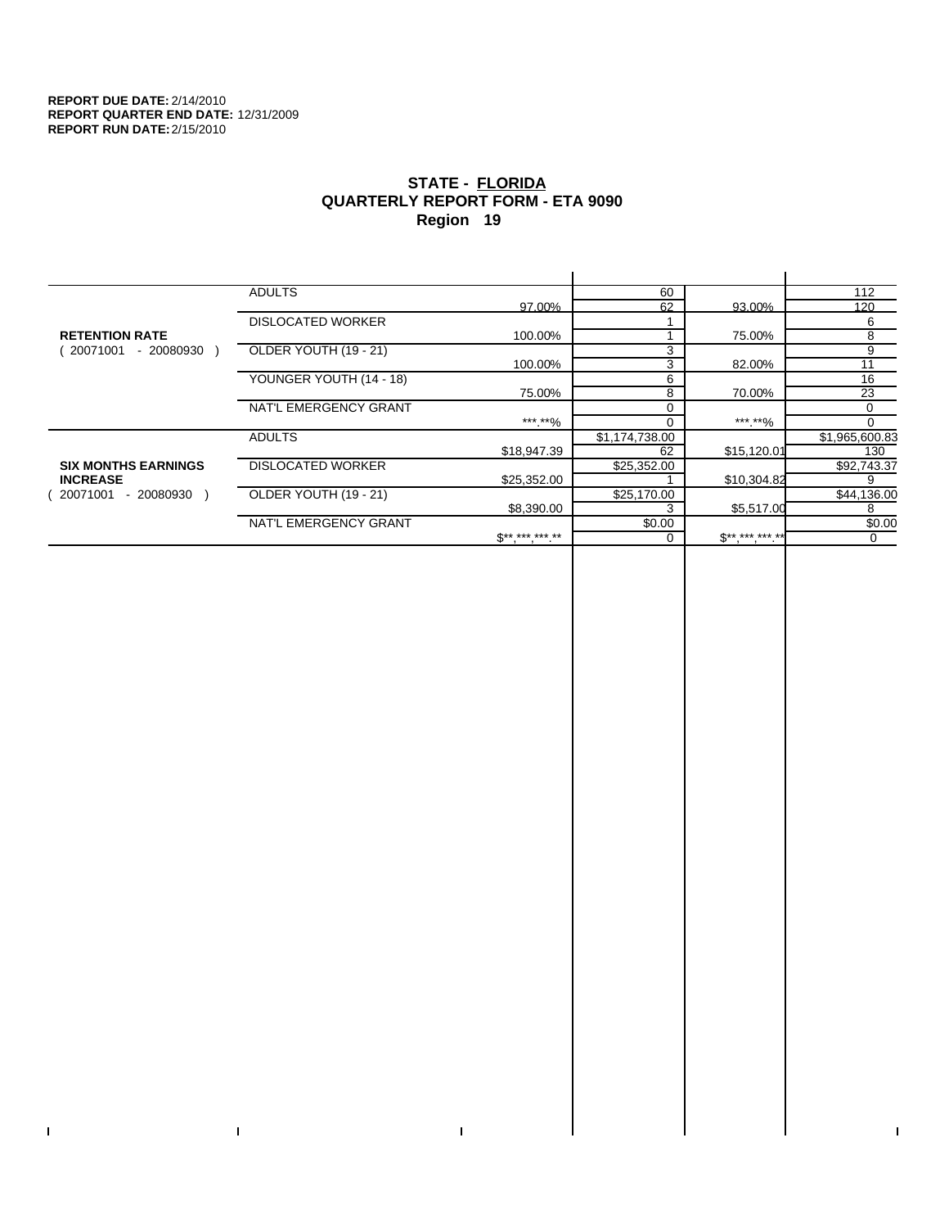$\bar{\Gamma}$ 

 $\mathbf{L}$ 

# **STATE - FLORIDA QUARTERLY REPORT FORM - ETA 9090 Region 19**

|                            | <b>ADULTS</b>            |              | 60             |              | 112            |
|----------------------------|--------------------------|--------------|----------------|--------------|----------------|
|                            |                          | 97.00%       | 62             | 93.00%       | 120            |
|                            | <b>DISLOCATED WORKER</b> |              |                |              | 6              |
| <b>RETENTION RATE</b>      |                          | 100.00%      |                | 75.00%       | 8              |
| 20071001<br>- 20080930     | OLDER YOUTH (19 - 21)    |              | 3              |              | 9              |
|                            |                          | 100.00%      | 3              | 82.00%       | 11             |
|                            | YOUNGER YOUTH (14 - 18)  |              | 6              |              | 16             |
|                            |                          | 75.00%       | 8              | 70.00%       | 23             |
|                            | NAT'L EMERGENCY GRANT    |              |                |              | 0              |
|                            |                          | ***.**%      |                | *** **%      |                |
|                            | <b>ADULTS</b>            |              | \$1,174,738.00 |              | \$1,965,600.83 |
|                            |                          | \$18,947.39  | 62             | \$15,120.01  | 130            |
| <b>SIX MONTHS EARNINGS</b> | <b>DISLOCATED WORKER</b> |              | \$25,352.00    |              | \$92,743.37    |
| <b>INCREASE</b>            |                          | \$25,352.00  |                | \$10,304.82  | 9              |
| 20071001<br>- 20080930     | OLDER YOUTH (19 - 21)    |              | \$25,170.00    |              | \$44,136.00    |
|                            |                          | \$8,390.00   |                | \$5,517.00   | 8              |
|                            | NAT'L EMERGENCY GRANT    |              | \$0.00         |              | \$0.00         |
|                            |                          | $S*********$ |                | $S*********$ | $\Omega$       |
|                            |                          |              |                |              |                |

 $\bar{\Gamma}$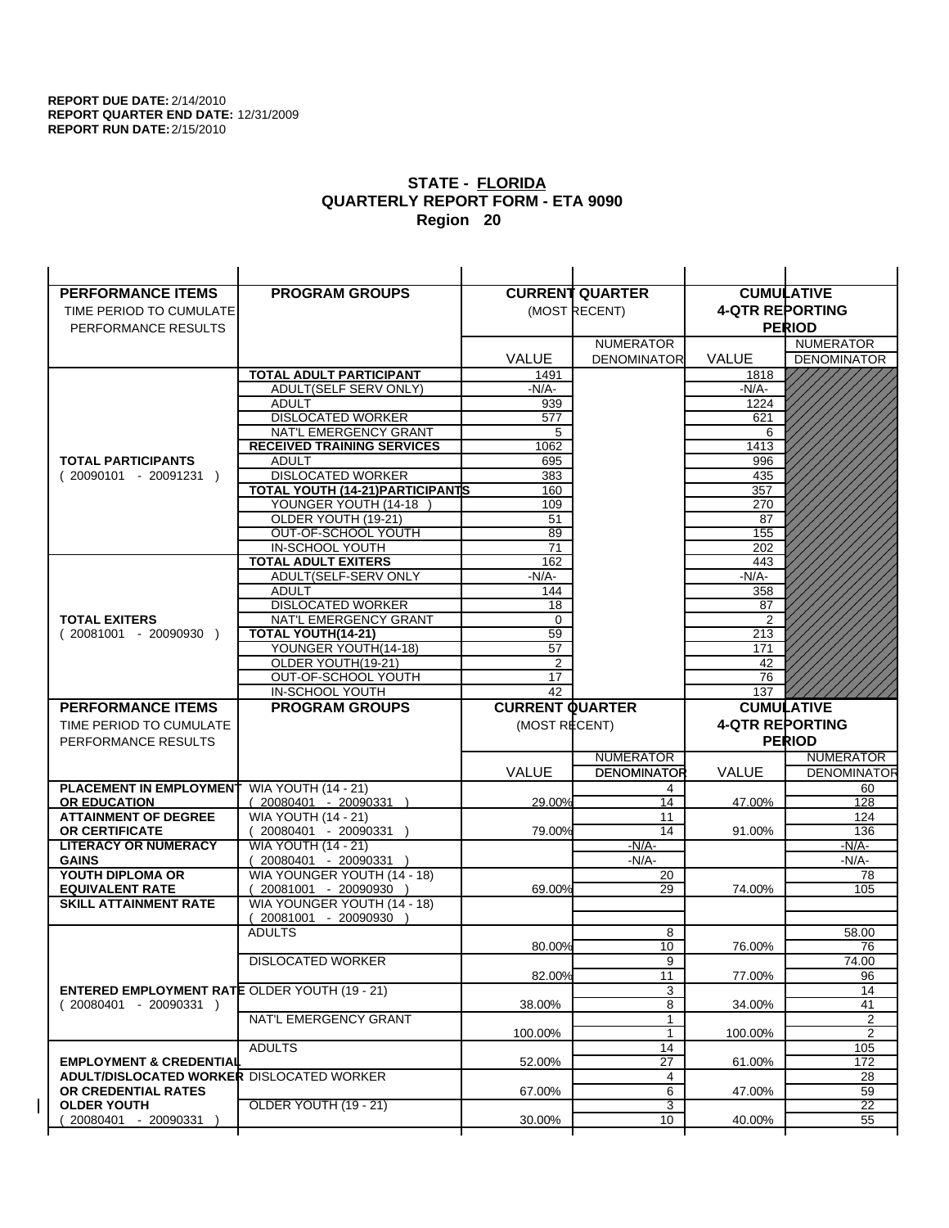| <b>PERFORMANCE ITEMS</b>                             | <b>PROGRAM GROUPS</b>                                |                        | <b>CURRENT QUARTER</b> |                        | <b>CUMULATIVE</b>  |
|------------------------------------------------------|------------------------------------------------------|------------------------|------------------------|------------------------|--------------------|
| TIME PERIOD TO CUMULATE                              |                                                      |                        | (MOST RECENT)          | <b>4-QTR REPORTING</b> |                    |
| PERFORMANCE RESULTS                                  |                                                      |                        |                        |                        | <b>PERIOD</b>      |
|                                                      |                                                      |                        | <b>NUMERATOR</b>       |                        | <b>NUMERATOR</b>   |
|                                                      |                                                      | <b>VALUE</b>           | <b>DENOMINATOR</b>     | <b>VALUE</b>           | <b>DENOMINATOR</b> |
|                                                      | TOTAL ADULT PARTICIPANT                              | 1491                   |                        | 1818                   |                    |
|                                                      | ADULT(SELF SERV ONLY)                                | $-N/A-$                |                        | -N/A-                  |                    |
|                                                      | <b>ADULT</b>                                         | 939                    |                        | 1224                   |                    |
|                                                      | <b>DISLOCATED WORKER</b>                             | 577                    |                        | 621                    |                    |
|                                                      | NAT'L EMERGENCY GRANT                                | 5                      |                        | 6                      |                    |
|                                                      | <b>RECEIVED TRAINING SERVICES</b>                    | 1062                   |                        | 1413                   |                    |
| <b>TOTAL PARTICIPANTS</b>                            | <b>ADULT</b>                                         | 695                    |                        | 996                    |                    |
| $(20090101 - 20091231)$                              | <b>DISLOCATED WORKER</b>                             | 383                    |                        | 435                    |                    |
|                                                      | <b>TOTAL YOUTH (14-21) PARTICIPANTS</b>              | 160                    |                        | 357                    |                    |
|                                                      | YOUNGER YOUTH (14-18                                 | 109                    |                        | 270                    |                    |
|                                                      | OLDER YOUTH (19-21)<br>OUT-OF-SCHOOL YOUTH           | 51<br>89               |                        | 87<br>155              |                    |
|                                                      | IN-SCHOOL YOUTH                                      | 71                     |                        | 202                    |                    |
|                                                      | <b>TOTAL ADULT EXITERS</b>                           | 162                    |                        | 443                    |                    |
|                                                      | ADULT(SELF-SERV ONLY                                 | $-N/A-$                |                        | $-N/A-$                |                    |
|                                                      | <b>ADULT</b>                                         | 144                    |                        | 358                    |                    |
|                                                      | <b>DISLOCATED WORKER</b>                             | 18                     |                        | 87                     |                    |
| <b>TOTAL EXITERS</b>                                 | NAT'L EMERGENCY GRANT                                | 0                      |                        | $\overline{2}$         |                    |
| $(20081001 - 20090930)$                              | <b>TOTAL YOUTH(14-21)</b>                            | 59                     |                        | 213                    |                    |
|                                                      | YOUNGER YOUTH(14-18)                                 | 57                     |                        | 171                    |                    |
|                                                      | OLDER YOUTH(19-21)                                   | 2                      |                        | 42                     |                    |
|                                                      | OUT-OF-SCHOOL YOUTH                                  | 17                     |                        | 76                     |                    |
|                                                      | IN-SCHOOL YOUTH                                      | $\overline{42}$        |                        | 137                    |                    |
|                                                      |                                                      |                        |                        |                        |                    |
| <b>PERFORMANCE ITEMS</b>                             | <b>PROGRAM GROUPS</b>                                | <b>CURRENT QUARTER</b> |                        |                        | <b>CUMULATIVE</b>  |
| TIME PERIOD TO CUMULATE                              |                                                      | (MOST RECENT)          |                        | <b>4-QTR REPORTING</b> |                    |
| PERFORMANCE RESULTS                                  |                                                      |                        |                        |                        | <b>PERIOD</b>      |
|                                                      |                                                      |                        | <b>NUMERATOR</b>       |                        | <b>NUMERATOR</b>   |
|                                                      |                                                      | <b>VALUE</b>           | <b>DENOMINATOR</b>     | <b>VALUE</b>           | <b>DENOMINATOR</b> |
| PLACEMENT IN EMPLOYMENT                              | <b>WIA YOUTH (14 - 21)</b>                           |                        | 4                      |                        | 60                 |
| <b>OR EDUCATION</b>                                  | (20080401 - 20090331 )                               | 29.00%                 | 14                     | 47.00%                 | 128                |
| <b>ATTAINMENT OF DEGREE</b>                          | <b>WIA YOUTH (14 - 21)</b>                           |                        | 11                     |                        | 124                |
| <b>OR CERTIFICATE</b>                                | $(20080401 - 20090331)$                              | 79.00%                 | 14                     | 91.00%                 | 136                |
| <b>LITERACY OR NUMERACY</b>                          | <b>WIA YOUTH (14 - 21)</b>                           |                        | $-N/A$ -               |                        | $-N/A$ -           |
| <b>GAINS</b>                                         | 20080401 - 20090331                                  |                        | $-N/A-$                |                        | $-N/A-$            |
| YOUTH DIPLOMA OR<br><b>EQUIVALENT RATE</b>           | WIA YOUNGER YOUTH (14 - 18)<br>20081001 - 20090930 ) | 69.00%                 | 20<br>29               | 74.00%                 | 78<br>105          |
| <b>SKILL ATTAINMENT RATE</b>                         | WIA YOUNGER YOUTH (14 - 18)                          |                        |                        |                        |                    |
|                                                      | (20081001 - 20090930                                 |                        |                        |                        |                    |
|                                                      | <b>ADULTS</b>                                        |                        | 8                      |                        | 58.00              |
|                                                      |                                                      | 80.00%                 | 10                     | 76.00%                 | 76                 |
|                                                      | <b>DISLOCATED WORKER</b>                             |                        | $\overline{9}$         |                        | 74.00              |
|                                                      |                                                      | 82.00%                 | 11                     | 77.00%                 | 96                 |
| <b>ENTERED EMPLOYMENT RATE OLDER YOUTH (19 - 21)</b> |                                                      |                        | 3                      |                        | 14                 |
| $(20080401 - 20090331)$                              |                                                      | 38.00%                 | 8                      | 34.00%                 | 41                 |
|                                                      | NAT'L EMERGENCY GRANT                                |                        | $\mathbf{1}$           |                        | 2                  |
|                                                      |                                                      | 100.00%                | 1                      | 100.00%                | $\overline{2}$     |
| <b>EMPLOYMENT &amp; CREDENTIAL</b>                   | <b>ADULTS</b>                                        | 52.00%                 | 14<br>$\overline{27}$  | 61.00%                 | 105<br>172         |
| <b>ADULT/DISLOCATED WORKER DISLOCATED WORKER</b>     |                                                      |                        | 4                      |                        | 28                 |
| OR CREDENTIAL RATES                                  |                                                      | 67.00%                 | 6                      | 47.00%                 | 59                 |
| <b>OLDER YOUTH</b>                                   | OLDER YOUTH (19 - 21)                                |                        | 3                      |                        | $\overline{22}$    |
| 20080401 - 20090331                                  |                                                      | 30.00%                 | 10                     | 40.00%                 | 55                 |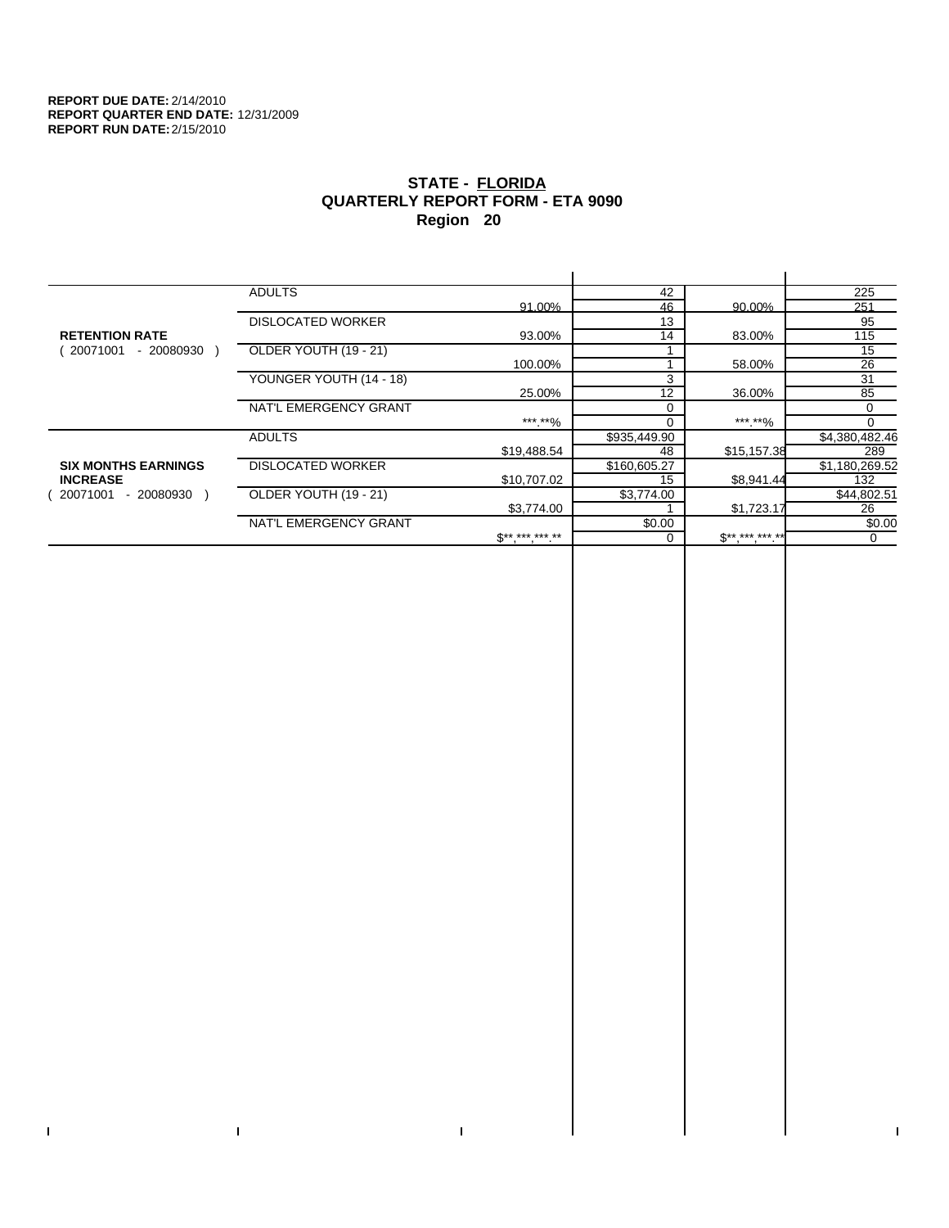$\bar{\Gamma}$ 

 $\mathbf{L}$ 

# **STATE - FLORIDA QUARTERLY REPORT FORM - ETA 9090 Region 20**

|                            | <b>ADULTS</b>            |                            | 42           |             | 225            |
|----------------------------|--------------------------|----------------------------|--------------|-------------|----------------|
|                            |                          | 91.00%                     | 46           | 90.00%      | 251            |
|                            | <b>DISLOCATED WORKER</b> |                            | 13           |             | 95             |
| <b>RETENTION RATE</b>      |                          | 93.00%                     | 14           | 83.00%      | 115            |
| - 20080930<br>20071001     | OLDER YOUTH (19 - 21)    |                            |              |             | 15             |
|                            |                          | 100.00%                    |              | 58.00%      | 26             |
|                            | YOUNGER YOUTH (14 - 18)  |                            | 3            |             | 31             |
|                            |                          | 25.00%                     | 12           | 36.00%      | 85             |
|                            | NAT'L EMERGENCY GRANT    |                            | $\Omega$     |             | 0              |
|                            |                          | ***.**%                    |              | ***.**%     |                |
|                            | <b>ADULTS</b>            |                            | \$935,449.90 |             | \$4,380,482.46 |
|                            |                          | \$19,488.54                | 48           | \$15,157.38 | 289            |
| <b>SIX MONTHS EARNINGS</b> | <b>DISLOCATED WORKER</b> |                            | \$160,605.27 |             | \$1,180,269.52 |
| <b>INCREASE</b>            |                          | \$10,707.02                | 15           | \$8,941.44  | 132            |
| - 20080930<br>20071001     | OLDER YOUTH (19 - 21)    |                            | \$3,774.00   |             | \$44,802.51    |
|                            |                          | \$3,774.00                 |              | \$1,723.17  | 26             |
|                            | NAT'L EMERGENCY GRANT    |                            | \$0.00       |             | \$0.00         |
|                            |                          | $\mathbb{S}$ ** *** *** ** |              | $S********$ | $\mathbf 0$    |
|                            |                          |                            |              |             |                |

 $\bar{\Gamma}$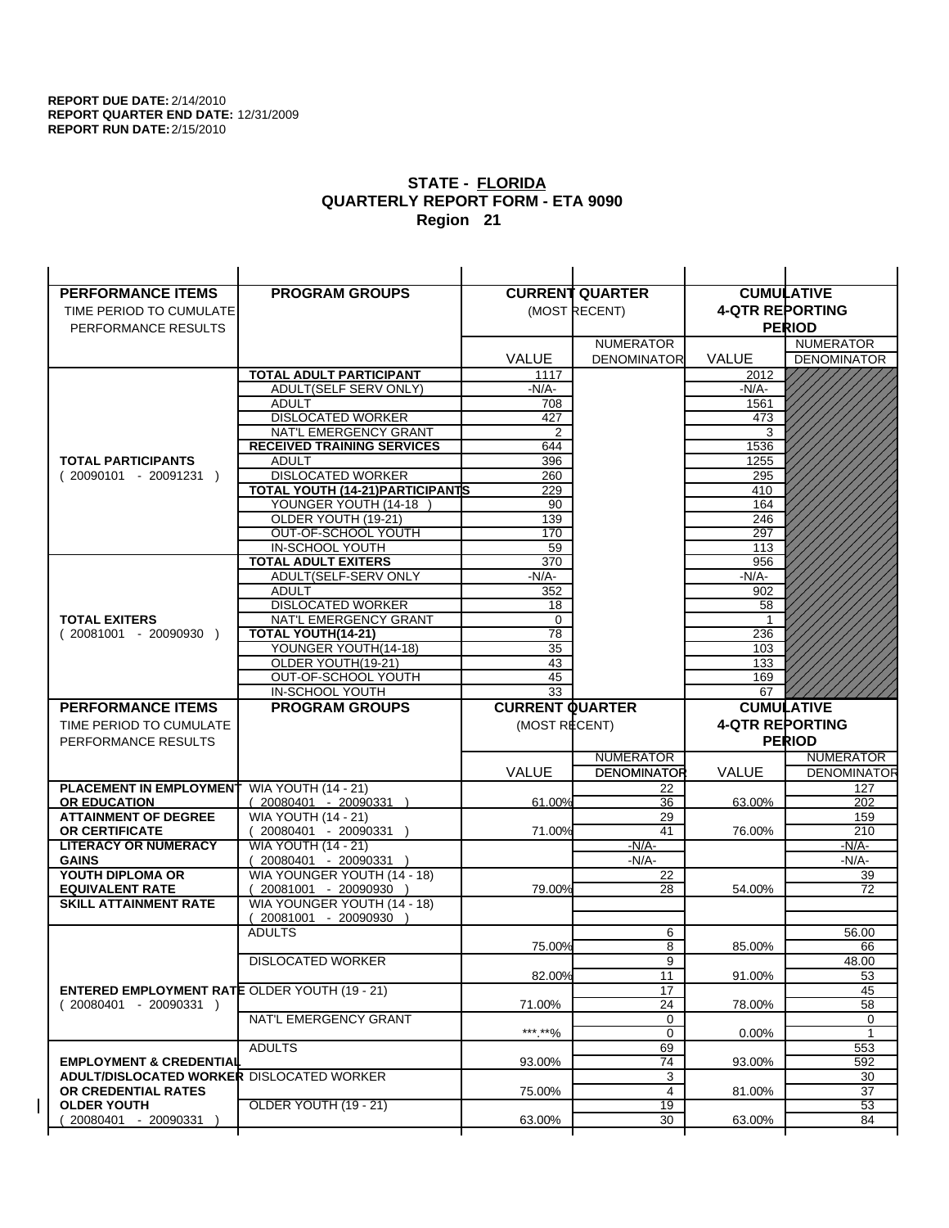| <b>PERFORMANCE ITEMS</b>                             |                                                    |                        |                        |                        |                          |
|------------------------------------------------------|----------------------------------------------------|------------------------|------------------------|------------------------|--------------------------|
|                                                      | <b>PROGRAM GROUPS</b>                              |                        | <b>CURRENT QUARTER</b> |                        | <b>CUMULATIVE</b>        |
| TIME PERIOD TO CUMULATE                              |                                                    |                        | (MOST RECENT)          | <b>4-QTR REPORTING</b> |                          |
| PERFORMANCE RESULTS                                  |                                                    |                        |                        |                        | <b>PERIOD</b>            |
|                                                      |                                                    |                        | <b>NUMERATOR</b>       |                        | <b>NUMERATOR</b>         |
|                                                      |                                                    | <b>VALUE</b>           | <b>DENOMINATOR</b>     | <b>VALUE</b>           | <b>DENOMINATOR</b>       |
|                                                      | TOTAL ADULT PARTICIPANT                            | 1117                   |                        | 2012                   |                          |
|                                                      | ADULT(SELF SERV ONLY)                              | $-N/A-$                |                        | -N/A-                  |                          |
|                                                      | <b>ADULT</b>                                       | 708                    |                        | 1561                   |                          |
|                                                      | <b>DISLOCATED WORKER</b>                           | 427                    |                        | 473                    |                          |
|                                                      | NAT'L EMERGENCY GRANT                              | 2                      |                        | 3                      |                          |
|                                                      | <b>RECEIVED TRAINING SERVICES</b>                  | 644                    |                        | 1536                   |                          |
| <b>TOTAL PARTICIPANTS</b>                            | <b>ADULT</b>                                       | 396                    |                        | 1255                   |                          |
| $(20090101 - 20091231)$                              | <b>DISLOCATED WORKER</b>                           | 260                    |                        | 295                    |                          |
|                                                      | <b>TOTAL YOUTH (14-21) PARTICIPANTS</b>            | 229                    |                        | 410                    |                          |
|                                                      | YOUNGER YOUTH (14-18                               | 90                     |                        | 164                    |                          |
|                                                      | OLDER YOUTH (19-21)                                | 139                    |                        | 246                    |                          |
|                                                      | OUT-OF-SCHOOL YOUTH                                | 170                    |                        | 297                    |                          |
|                                                      | IN-SCHOOL YOUTH                                    | 59                     |                        | 113                    |                          |
|                                                      | <b>TOTAL ADULT EXITERS</b>                         | 370                    |                        | 956                    |                          |
|                                                      | ADULT(SELF-SERV ONLY                               | $-N/A-$                |                        | $-N/A-$                |                          |
|                                                      | <b>ADULT</b><br><b>DISLOCATED WORKER</b>           | 352                    |                        | 902<br>58              |                          |
| <b>TOTAL EXITERS</b>                                 | NAT'L EMERGENCY GRANT                              | 18<br>0                |                        | -1                     |                          |
| $(20081001 - 20090930)$                              | TOTAL YOUTH(14-21)                                 | 78                     |                        | 236                    |                          |
|                                                      | YOUNGER YOUTH(14-18)                               | 35                     |                        | 103                    |                          |
|                                                      | OLDER YOUTH(19-21)                                 | 43                     |                        | 133                    |                          |
|                                                      | OUT-OF-SCHOOL YOUTH                                | 45                     |                        | 169                    |                          |
|                                                      | IN-SCHOOL YOUTH                                    | $\overline{33}$        |                        | 67                     |                          |
|                                                      |                                                    |                        |                        |                        |                          |
|                                                      |                                                    |                        |                        |                        | <b>CUMULATIVE</b>        |
| <b>PERFORMANCE ITEMS</b>                             | <b>PROGRAM GROUPS</b>                              | <b>CURRENT QUARTER</b> |                        |                        |                          |
| TIME PERIOD TO CUMULATE                              |                                                    | (MOST RECENT)          |                        | <b>4-QTR REPORTING</b> |                          |
| PERFORMANCE RESULTS                                  |                                                    |                        |                        |                        | <b>PERIOD</b>            |
|                                                      |                                                    |                        | <b>NUMERATOR</b>       |                        | <b>NUMERATOR</b>         |
|                                                      |                                                    | <b>VALUE</b>           | <b>DENOMINATOR</b>     | <b>VALUE</b>           |                          |
| PLACEMENT IN EMPLOYMENT                              | <b>WIA YOUTH (14 - 21)</b>                         |                        | 22                     |                        | 127                      |
| <b>OR EDUCATION</b>                                  | (20080401 - 20090331 )                             | 61.00%                 | 36                     | 63.00%                 | 202                      |
| <b>ATTAINMENT OF DEGREE</b>                          | <b>WIA YOUTH (14 - 21)</b>                         |                        | 29                     |                        | 159                      |
| <b>OR CERTIFICATE</b>                                | $(20080401 - 20090331)$                            | 71.00%                 | 41                     | 76.00%                 | 210                      |
| <b>LITERACY OR NUMERACY</b><br><b>GAINS</b>          | <b>WIA YOUTH (14 - 21)</b>                         |                        | $-N/A-$<br>$-N/A-$     |                        | -N/A-<br>$-N/A-$         |
| YOUTH DIPLOMA OR                                     | 20080401 - 20090331<br>WIA YOUNGER YOUTH (14 - 18) |                        | 22                     |                        | <b>DENOMINATOR</b><br>39 |
| <b>EQUIVALENT RATE</b>                               | 20081001 - 20090930 )                              | 79.00%                 | 28                     | 54.00%                 | 72                       |
| <b>SKILL ATTAINMENT RATE</b>                         | WIA YOUNGER YOUTH (14 - 18)                        |                        |                        |                        |                          |
|                                                      | (20081001 - 20090930                               |                        |                        |                        |                          |
|                                                      | <b>ADULTS</b>                                      |                        | 6                      |                        | 56.00                    |
|                                                      |                                                    | 75.00%                 | 8                      | 85.00%                 | 66                       |
|                                                      | <b>DISLOCATED WORKER</b>                           |                        | $\overline{9}$         |                        | 48.00                    |
|                                                      |                                                    | 82.00%                 | 11                     | 91.00%                 | 53                       |
| <b>ENTERED EMPLOYMENT RATE OLDER YOUTH (19 - 21)</b> |                                                    |                        | 17                     |                        | 45                       |
| $(20080401 - 20090331)$                              |                                                    | 71.00%                 | 24                     | 78.00%                 | 58                       |
|                                                      | NAT'L EMERGENCY GRANT                              |                        | 0                      |                        | 0                        |
|                                                      |                                                    | ***.**%                | 0                      | 0.00%                  | $\mathbf{1}$             |
|                                                      | <b>ADULTS</b>                                      |                        | 69                     |                        | 553                      |
| <b>EMPLOYMENT &amp; CREDENTIAL</b>                   |                                                    | 93.00%                 | 74                     | 93.00%                 | 592                      |
| <b>ADULT/DISLOCATED WORKER DISLOCATED WORKER</b>     |                                                    |                        | 3                      |                        | 30                       |
| OR CREDENTIAL RATES                                  |                                                    | 75.00%                 | $\overline{4}$         | 81.00%                 | 37                       |
| <b>OLDER YOUTH</b><br>20080401 - 20090331            | <b>OLDER YOUTH (19 - 21)</b>                       | 63.00%                 | 19<br>30               | 63.00%                 | 53<br>84                 |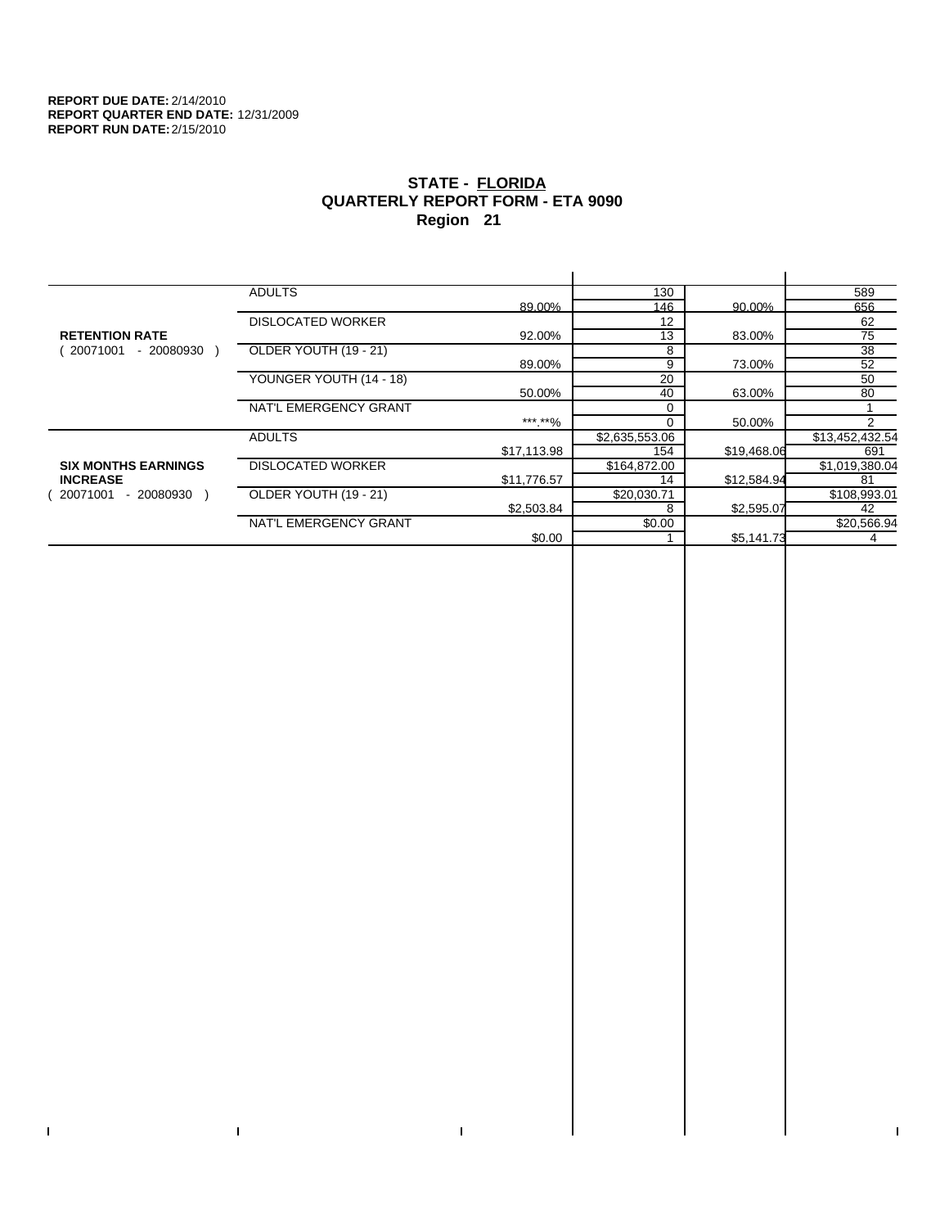$\bar{\Gamma}$ 

 $\mathbf{L}$ 

# **STATE - FLORIDA QUARTERLY REPORT FORM - ETA 9090 Region 21**

|                            | <b>ADULTS</b>            |             | 130            |             | 589             |
|----------------------------|--------------------------|-------------|----------------|-------------|-----------------|
|                            |                          | 89.00%      | 146            | 90.00%      | 656             |
|                            | <b>DISLOCATED WORKER</b> |             | 12             |             | 62              |
| <b>RETENTION RATE</b>      |                          | 92.00%      | 13             | 83.00%      | 75              |
| $-20080930$<br>20071001    | OLDER YOUTH (19 - 21)    |             | 8              |             | $\overline{38}$ |
|                            |                          | 89.00%      | 9              | 73.00%      | 52              |
|                            | YOUNGER YOUTH (14 - 18)  |             | 20             |             | 50              |
|                            |                          | 50.00%      | 40             | 63.00%      | 80              |
|                            | NAT'L EMERGENCY GRANT    |             | $\Omega$       |             |                 |
|                            |                          | ***.**%     | $\Omega$       | 50.00%      | $\mathcal{P}$   |
|                            | <b>ADULTS</b>            |             | \$2,635,553.06 |             | \$13,452,432.54 |
|                            |                          | \$17,113.98 | 154            | \$19,468.06 | 691             |
| <b>SIX MONTHS EARNINGS</b> | <b>DISLOCATED WORKER</b> |             | \$164,872.00   |             | \$1,019,380.04  |
| <b>INCREASE</b>            |                          | \$11,776.57 | 14             | \$12,584.94 | 81              |
| 20071001<br>- 20080930     | OLDER YOUTH (19 - 21)    |             | \$20,030.71    |             | \$108,993.01    |
|                            |                          | \$2,503.84  | 8              | \$2,595.07  | 42              |
|                            | NAT'L EMERGENCY GRANT    |             | \$0.00         |             | \$20,566.94     |
|                            |                          | \$0.00      |                | \$5,141.73  |                 |
|                            |                          |             |                |             |                 |

 $\bar{\Gamma}$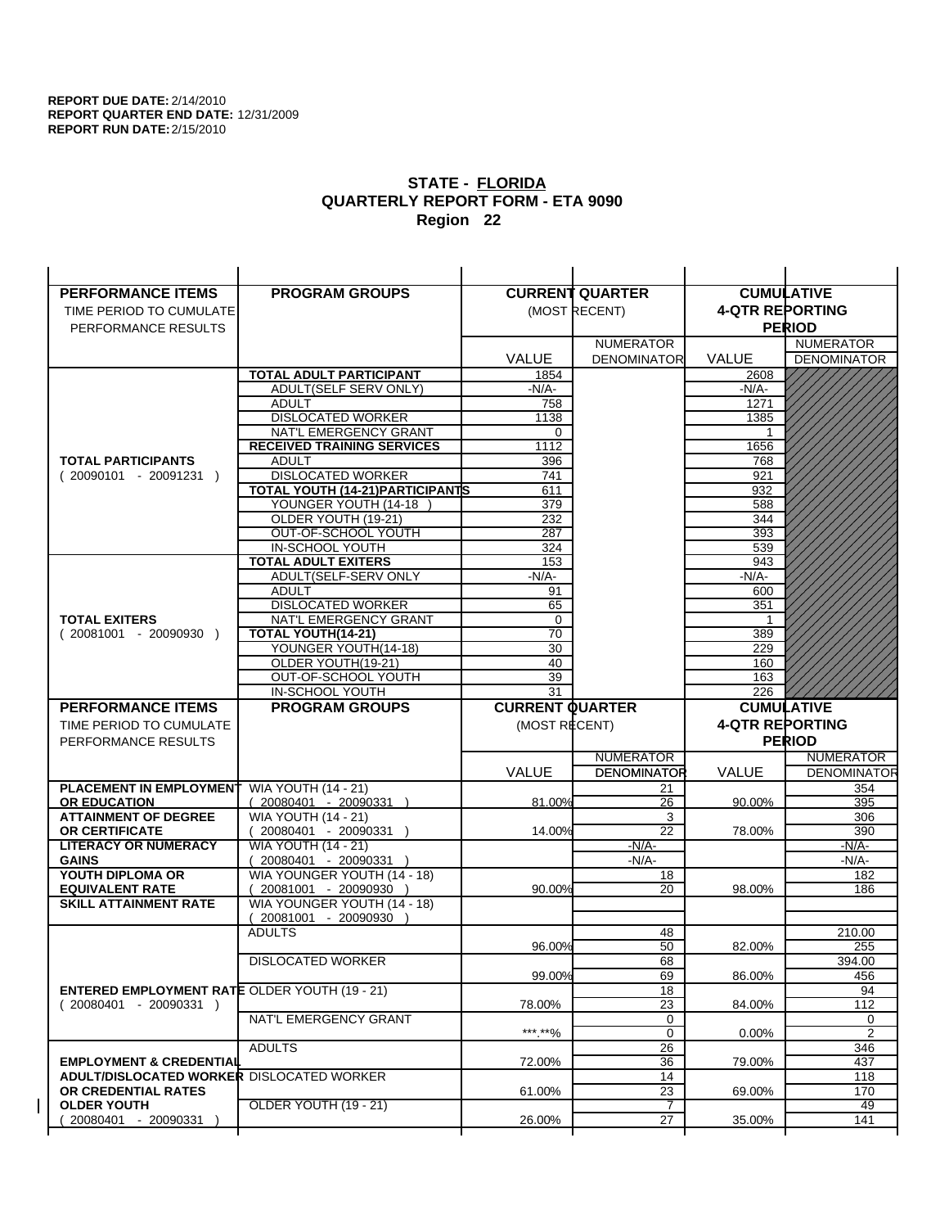| <b>PERFORMANCE ITEMS</b>                             | <b>PROGRAM GROUPS</b>                             |                        | <b>CURRENT QUARTER</b> |                        | <b>CUMULATIVE</b>  |
|------------------------------------------------------|---------------------------------------------------|------------------------|------------------------|------------------------|--------------------|
| TIME PERIOD TO CUMULATE                              |                                                   |                        | (MOST RECENT)          | <b>4-QTR REPORTING</b> |                    |
| PERFORMANCE RESULTS                                  |                                                   |                        |                        |                        | <b>PERIOD</b>      |
|                                                      |                                                   |                        | <b>NUMERATOR</b>       |                        | <b>NUMERATOR</b>   |
|                                                      |                                                   | <b>VALUE</b>           | <b>DENOMINATOR</b>     | <b>VALUE</b>           | <b>DENOMINATOR</b> |
|                                                      | TOTAL ADULT PARTICIPANT                           | 1854                   |                        | 2608                   |                    |
|                                                      | ADULT(SELF SERV ONLY)                             | $-N/A-$                |                        | -N/A-                  |                    |
|                                                      | <b>ADULT</b>                                      | 758                    |                        | 1271                   |                    |
|                                                      | <b>DISLOCATED WORKER</b>                          | 1138                   |                        | 1385                   |                    |
|                                                      | NAT'L EMERGENCY GRANT                             | 0                      |                        |                        |                    |
|                                                      | <b>RECEIVED TRAINING SERVICES</b>                 | 1112                   |                        | 1656                   |                    |
| <b>TOTAL PARTICIPANTS</b>                            | <b>ADULT</b>                                      | 396                    |                        | 768                    |                    |
| $(20090101 - 20091231)$                              | <b>DISLOCATED WORKER</b>                          | 741                    |                        | 921                    |                    |
|                                                      | <b>TOTAL YOUTH (14-21) PARTICIPANTS</b>           | 611                    |                        | 932                    |                    |
|                                                      | YOUNGER YOUTH (14-18                              | 379                    |                        | 588                    |                    |
|                                                      | OLDER YOUTH (19-21)                               | 232                    |                        | 344                    |                    |
|                                                      | OUT-OF-SCHOOL YOUTH                               | 287                    |                        | 393                    |                    |
|                                                      | IN-SCHOOL YOUTH                                   | 324                    |                        | 539                    |                    |
|                                                      | <b>TOTAL ADULT EXITERS</b>                        | 153<br>$-N/A-$         |                        | 943<br>$-N/A-$         |                    |
|                                                      | ADULT(SELF-SERV ONLY<br>ADULT                     |                        |                        |                        |                    |
|                                                      | <b>DISLOCATED WORKER</b>                          | 91<br>65               |                        | 600<br>351             |                    |
| <b>TOTAL EXITERS</b>                                 | NAT'L EMERGENCY GRANT                             | $\mathbf 0$            |                        | -1                     |                    |
| $(20081001 - 20090930)$                              | TOTAL YOUTH(14-21)                                | 70                     |                        | 389                    |                    |
|                                                      | YOUNGER YOUTH(14-18)                              | 30                     |                        | 229                    |                    |
|                                                      | OLDER YOUTH(19-21)                                | 40                     |                        | 160                    |                    |
|                                                      | OUT-OF-SCHOOL YOUTH                               | 39                     |                        | 163                    |                    |
|                                                      | IN-SCHOOL YOUTH                                   | 31                     |                        | 226                    |                    |
|                                                      |                                                   |                        |                        |                        |                    |
| <b>PERFORMANCE ITEMS</b>                             | <b>PROGRAM GROUPS</b>                             | <b>CURRENT QUARTER</b> |                        |                        | <b>CUMULATIVE</b>  |
|                                                      |                                                   |                        |                        |                        |                    |
| TIME PERIOD TO CUMULATE                              |                                                   | (MOST RECENT)          |                        | <b>4-QTR REPORTING</b> |                    |
| PERFORMANCE RESULTS                                  |                                                   |                        |                        |                        | <b>PERIOD</b>      |
|                                                      |                                                   |                        | <b>NUMERATOR</b>       |                        | <b>NUMERATOR</b>   |
|                                                      |                                                   | <b>VALUE</b>           | <b>DENOMINATOR</b>     | <b>VALUE</b>           | <b>DENOMINATOR</b> |
| PLACEMENT IN EMPLOYMENT                              | <b>WIA YOUTH (14 - 21)</b>                        |                        | 21                     |                        | 354                |
| <b>OR EDUCATION</b>                                  | (20080401 - 20090331 )                            | 81.00%                 | 26                     | 90.00%                 | 395                |
| <b>ATTAINMENT OF DEGREE</b><br><b>OR CERTIFICATE</b> | <b>WIA YOUTH (14 - 21)</b>                        | 14.00%                 | 3<br>22                | 78.00%                 | 306<br>390         |
| <b>LITERACY OR NUMERACY</b>                          | $(20080401 - 20090331)$                           |                        | $-N/A-$                |                        | -N/A-              |
| <b>GAINS</b>                                         | <b>WIA YOUTH (14 - 21)</b><br>20080401 - 20090331 |                        | $-N/A-$                |                        | $-N/A-$            |
| YOUTH DIPLOMA OR                                     | WIA YOUNGER YOUTH (14 - 18)                       |                        | 18                     |                        | 182                |
| <b>EQUIVALENT RATE</b>                               | 20081001 - 20090930 )                             | 90.00%                 | 20                     | 98.00%                 | 186                |
| <b>SKILL ATTAINMENT RATE</b>                         | WIA YOUNGER YOUTH (14 - 18)                       |                        |                        |                        |                    |
|                                                      | (20081001 - 20090930                              |                        |                        |                        |                    |
|                                                      | <b>ADULTS</b>                                     |                        | 48                     |                        | 210.00             |
|                                                      |                                                   | 96.00%                 | 50                     | 82.00%                 | 255                |
|                                                      | <b>DISLOCATED WORKER</b>                          |                        | 68                     |                        | 394.00             |
|                                                      |                                                   | 99.00%                 | 69                     | 86.00%                 | 456                |
| <b>ENTERED EMPLOYMENT RATE OLDER YOUTH (19 - 21)</b> |                                                   |                        | 18                     |                        | 94                 |
| $(20080401 - 20090331)$                              |                                                   | 78.00%                 | 23                     | 84.00%                 | 112                |
|                                                      | NAT'L EMERGENCY GRANT                             |                        | 0                      |                        | 0                  |
|                                                      |                                                   | ***.**%                | $\mathbf 0$            | 0.00%                  | $\overline{2}$     |
|                                                      | <b>ADULTS</b>                                     |                        | 26                     |                        | 346                |
| <b>EMPLOYMENT &amp; CREDENTIAL</b>                   |                                                   | 72.00%                 | 36                     | 79.00%                 | 437                |
| <b>ADULT/DISLOCATED WORKER DISLOCATED WORKER</b>     |                                                   |                        | 14                     |                        | 118                |
| OR CREDENTIAL RATES                                  |                                                   | 61.00%                 | 23                     | 69.00%                 | 170                |
| <b>OLDER YOUTH</b><br>20080401 - 20090331            | <b>OLDER YOUTH (19 - 21)</b>                      | 26.00%                 | 7<br>27                | 35.00%                 | 49<br>141          |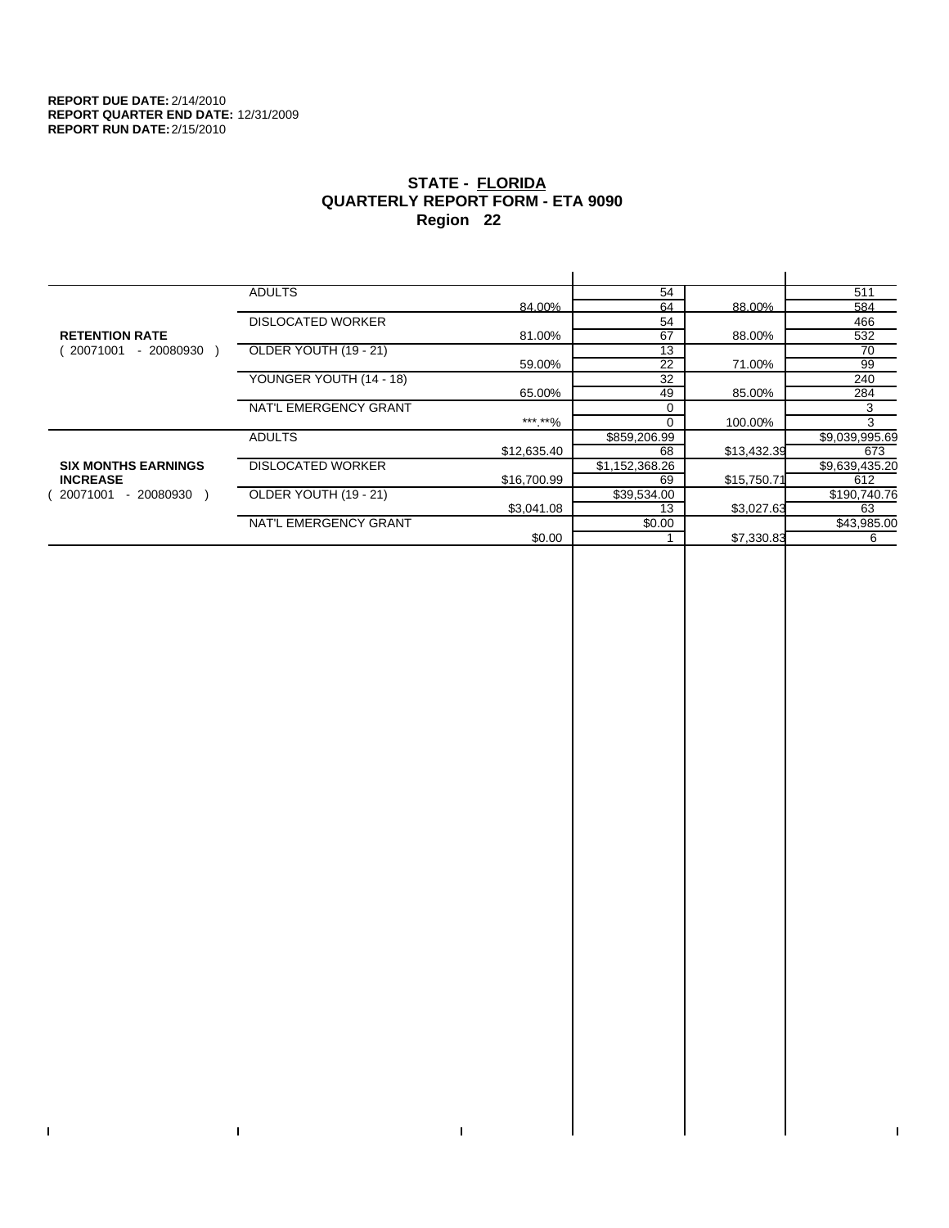$\bar{\Gamma}$ 

 $\mathbf{L}$ 

# **STATE - FLORIDA QUARTERLY REPORT FORM - ETA 9090 Region 22**

|                            | <b>ADULTS</b>            |             | 54              |             | 511            |
|----------------------------|--------------------------|-------------|-----------------|-------------|----------------|
|                            |                          | 84.00%      | 64              | 88.00%      | 584            |
|                            | <b>DISLOCATED WORKER</b> |             | 54              |             | 466            |
| <b>RETENTION RATE</b>      |                          | 81.00%      | 67              | 88.00%      | 532            |
| 20071001<br>- 20080930     | OLDER YOUTH (19 - 21)    |             | $\overline{13}$ |             | 70             |
|                            |                          | 59.00%      | 22              | 71.00%      | 99             |
|                            | YOUNGER YOUTH (14 - 18)  |             | 32              |             | 240            |
|                            |                          | 65.00%      | 49              | 85.00%      | 284            |
|                            | NAT'L EMERGENCY GRANT    |             | 0               |             | 3              |
|                            |                          | *** **%     | $\Omega$        | 100.00%     | 3              |
|                            | <b>ADULTS</b>            |             | \$859,206.99    |             | \$9,039,995.69 |
|                            |                          | \$12,635.40 | 68              | \$13,432.39 | 673            |
| <b>SIX MONTHS EARNINGS</b> | <b>DISLOCATED WORKER</b> |             | \$1,152,368.26  |             | \$9,639,435.20 |
| <b>INCREASE</b>            |                          | \$16,700.99 | 69              | \$15,750.71 | 612            |
| - 20080930<br>20071001     | OLDER YOUTH (19 - 21)    |             | \$39,534.00     |             | \$190,740.76   |
|                            |                          | \$3,041.08  | 13              | \$3,027.63  | 63             |
|                            | NAT'L EMERGENCY GRANT    |             | \$0.00          |             | \$43,985.00    |
|                            |                          | \$0.00      |                 | \$7,330.83  | 6              |
|                            |                          |             |                 |             |                |

 $\bar{\Gamma}$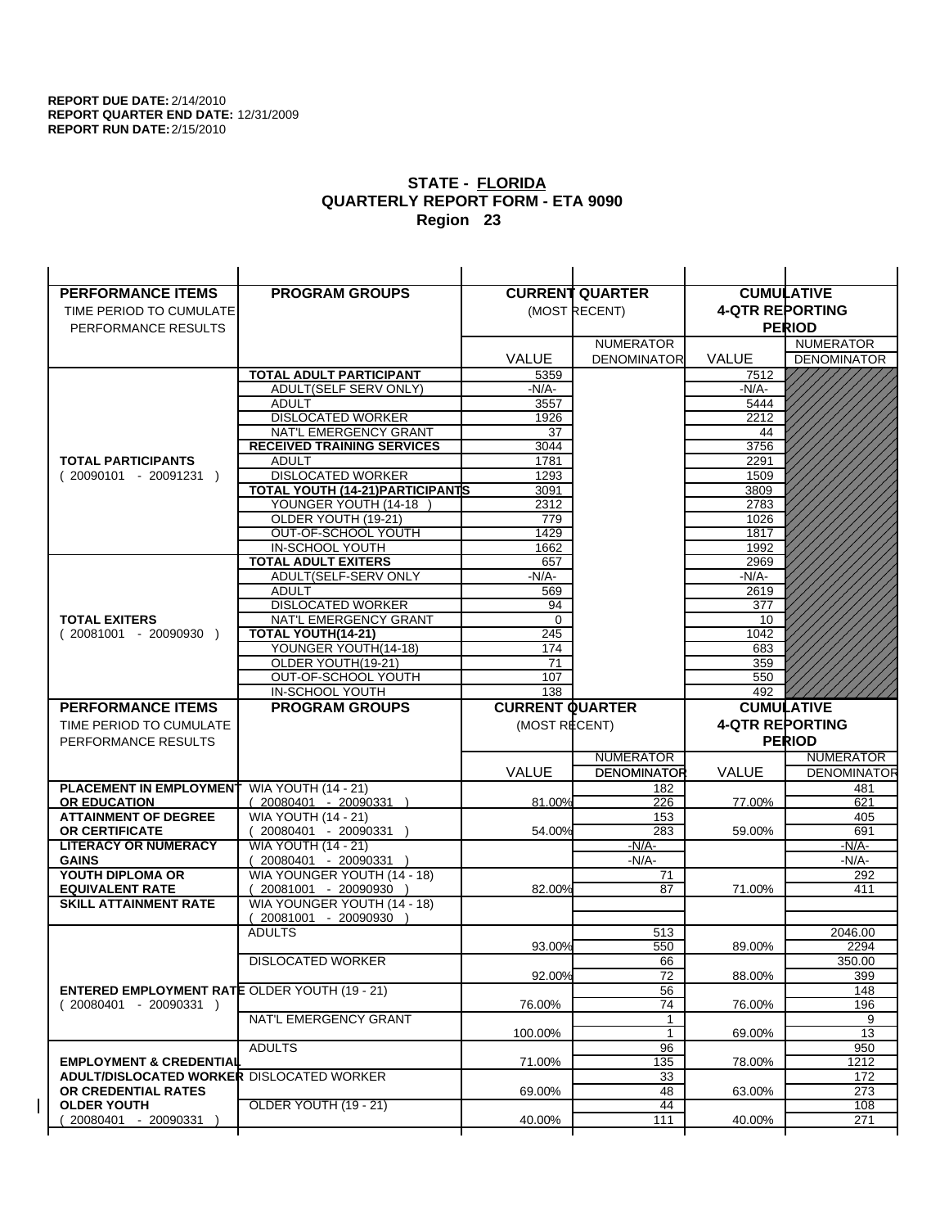| <b>PERFORMANCE ITEMS</b>                              | <b>PROGRAM GROUPS</b>                                 |                        | <b>CURRENT QUARTER</b>                 |                        | <b>CUMULATIVE</b>                      |
|-------------------------------------------------------|-------------------------------------------------------|------------------------|----------------------------------------|------------------------|----------------------------------------|
| TIME PERIOD TO CUMULATE                               |                                                       |                        | (MOST RECENT)                          | <b>4-QTR REPORTING</b> |                                        |
| PERFORMANCE RESULTS                                   |                                                       |                        |                                        |                        | <b>PERIOD</b>                          |
|                                                       |                                                       |                        | <b>NUMERATOR</b>                       |                        | <b>NUMERATOR</b>                       |
|                                                       |                                                       | <b>VALUE</b>           | <b>DENOMINATOR</b>                     | <b>VALUE</b>           | <b>DENOMINATOR</b>                     |
|                                                       | <b>TOTAL ADULT PARTICIPANT</b>                        | 5359                   |                                        | 7512                   |                                        |
|                                                       | ADULT(SELF SERV ONLY)                                 | -N/A-                  |                                        | -N/A-                  |                                        |
|                                                       | <b>ADULT</b>                                          | 3557                   |                                        | 5444                   |                                        |
|                                                       | <b>DISLOCATED WORKER</b>                              | 1926                   |                                        | 2212                   |                                        |
|                                                       | NAT'L EMERGENCY GRANT                                 | 37                     |                                        | 44                     |                                        |
|                                                       | <b>RECEIVED TRAINING SERVICES</b>                     | 3044                   |                                        | 3756                   |                                        |
| <b>TOTAL PARTICIPANTS</b>                             | <b>ADULT</b>                                          | 1781                   |                                        | 2291                   |                                        |
| $(20090101 - 20091231)$                               | <b>DISLOCATED WORKER</b>                              | 1293                   |                                        | 1509                   |                                        |
|                                                       | <b>TOTAL YOUTH (14-21) PARTICIPANTS</b>               | 3091                   |                                        | 3809                   |                                        |
|                                                       | YOUNGER YOUTH (14-18                                  | 2312                   |                                        | 2783                   |                                        |
|                                                       | OLDER YOUTH (19-21)                                   | 779                    |                                        | 1026                   |                                        |
|                                                       | OUT-OF-SCHOOL YOUTH                                   | 1429                   |                                        | 1817                   |                                        |
|                                                       | IN-SCHOOL YOUTH                                       | 1662                   |                                        | 1992                   |                                        |
|                                                       | <b>TOTAL ADULT EXITERS</b>                            | 657                    |                                        | 2969                   |                                        |
|                                                       | ADULT(SELF-SERV ONLY                                  | $-N/A-$                |                                        | $-N/A-$                |                                        |
|                                                       | <b>ADULT</b><br><b>DISLOCATED WORKER</b>              | 569                    |                                        | 2619<br>377            |                                        |
| <b>TOTAL EXITERS</b>                                  | <b>NAT'L EMERGENCY GRANT</b>                          | 94<br>0                |                                        | 10                     |                                        |
| $(20081001 - 20090930)$                               | <b>TOTAL YOUTH(14-21)</b>                             | 245                    |                                        | 1042                   |                                        |
|                                                       | YOUNGER YOUTH(14-18)                                  | 174                    |                                        | 683                    |                                        |
|                                                       | OLDER YOUTH(19-21)                                    | 71                     |                                        | 359                    |                                        |
|                                                       | OUT-OF-SCHOOL YOUTH                                   | 107                    |                                        | 550                    |                                        |
|                                                       | IN-SCHOOL YOUTH                                       | 138                    |                                        | 492                    |                                        |
|                                                       |                                                       |                        |                                        |                        |                                        |
| <b>PERFORMANCE ITEMS</b>                              | <b>PROGRAM GROUPS</b>                                 | <b>CURRENT QUARTER</b> |                                        |                        | <b>CUMULATIVE</b>                      |
| TIME PERIOD TO CUMULATE                               |                                                       |                        |                                        |                        |                                        |
|                                                       |                                                       | (MOST RECENT)          |                                        | <b>4-QTR REPORTING</b> |                                        |
| PERFORMANCE RESULTS                                   |                                                       |                        |                                        |                        | <b>PERIOD</b>                          |
|                                                       |                                                       |                        | <b>NUMERATOR</b><br><b>DENOMINATOR</b> | <b>VALUE</b>           | <b>NUMERATOR</b><br><b>DENOMINATOR</b> |
|                                                       |                                                       | <b>VALUE</b>           |                                        |                        |                                        |
| <b>PLACEMENT IN EMPLOYMENT</b><br><b>OR EDUCATION</b> | <b>WIA YOUTH (14 - 21)</b><br>(20080401 - 20090331 )  | 81.00%                 | 182<br>226                             | 77.00%                 | 481<br>621                             |
| <b>ATTAINMENT OF DEGREE</b>                           |                                                       |                        | 153                                    |                        | 405                                    |
| <b>OR CERTIFICATE</b>                                 | <b>WIA YOUTH (14 - 21)</b><br>$(20080401 - 20090331)$ | 54.00%                 | 283                                    | 59.00%                 | 691                                    |
| <b>LITERACY OR NUMERACY</b>                           | <b>WIA YOUTH (14 - 21)</b>                            |                        | -N/A-                                  |                        | -N/A-                                  |
| <b>GAINS</b>                                          | 20080401 - 20090331                                   |                        | $-N/A-$                                |                        | $-N/A-$                                |
| YOUTH DIPLOMA OR                                      | WIA YOUNGER YOUTH (14 - 18)                           |                        | 71                                     |                        | 292                                    |
| <b>EQUIVALENT RATE</b>                                | 20081001 - 20090930 )                                 | 82.00%                 | 87                                     | 71.00%                 | 411                                    |
| <b>SKILL ATTAINMENT RATE</b>                          | WIA YOUNGER YOUTH (14 - 18)                           |                        |                                        |                        |                                        |
|                                                       | (20081001 - 20090930                                  |                        |                                        |                        |                                        |
|                                                       | <b>ADULTS</b>                                         |                        | 513                                    |                        | 2046.00                                |
|                                                       |                                                       | 93.00%                 | 550                                    | 89.00%                 | 2294                                   |
|                                                       | <b>DISLOCATED WORKER</b>                              |                        | 66                                     |                        | 350.00                                 |
|                                                       |                                                       | 92.00%                 | 72                                     | 88.00%                 | 399                                    |
| <b>ENTERED EMPLOYMENT RATE OLDER YOUTH (19 - 21)</b>  |                                                       |                        | 56                                     |                        | 148                                    |
| $(20080401 - 20090331)$                               |                                                       | 76.00%                 | 74                                     | 76.00%                 | 196                                    |
|                                                       | NAT'L EMERGENCY GRANT                                 |                        | 1                                      |                        | 9                                      |
|                                                       |                                                       | 100.00%                | 1                                      | 69.00%                 | 13                                     |
| <b>EMPLOYMENT &amp; CREDENTIAL</b>                    | <b>ADULTS</b>                                         | 71.00%                 | 96                                     | 78.00%                 | 950<br>1212                            |
| <b>ADULT/DISLOCATED WORKER DISLOCATED WORKER</b>      |                                                       |                        | 135                                    |                        |                                        |
| OR CREDENTIAL RATES                                   |                                                       | 69.00%                 | 33<br>48                               | 63.00%                 | 172<br>273                             |
| <b>OLDER YOUTH</b>                                    | OLDER YOUTH (19 - 21)                                 |                        | 44                                     |                        | 108                                    |
| 20080401 - 20090331                                   |                                                       | 40.00%                 | 111                                    | 40.00%                 | 271                                    |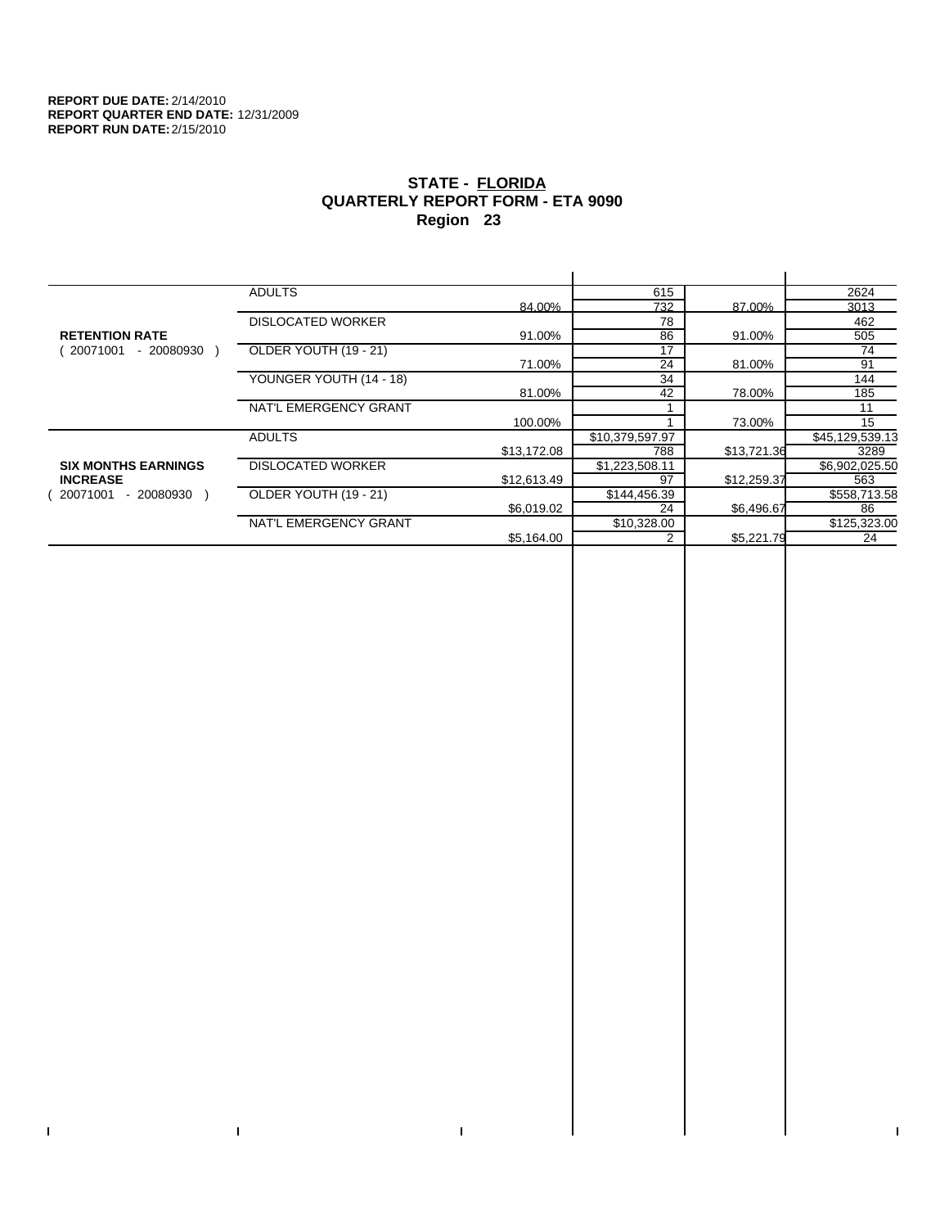$\bar{\Gamma}$ 

 $\mathbf{L}$ 

# **STATE - FLORIDA QUARTERLY REPORT FORM - ETA 9090 Region 23**

|                            | <b>ADULTS</b>            |             | 615             |             | 2624            |
|----------------------------|--------------------------|-------------|-----------------|-------------|-----------------|
|                            |                          | 84.00%      | 732             | 87.00%      | 3013            |
|                            | <b>DISLOCATED WORKER</b> |             | 78              |             | 462             |
| <b>RETENTION RATE</b>      |                          | 91.00%      | 86              | 91.00%      | 505             |
| - 20080930<br>20071001     | OLDER YOUTH (19 - 21)    |             | 17              |             | 74              |
|                            |                          | 71.00%      | 24              | 81.00%      | 91              |
|                            | YOUNGER YOUTH (14 - 18)  |             | 34              |             | 144             |
|                            |                          | 81.00%      | 42              | 78.00%      | 185             |
|                            | NAT'L EMERGENCY GRANT    |             |                 |             | 11              |
|                            |                          | 100.00%     |                 | 73.00%      | 15              |
|                            | <b>ADULTS</b>            |             | \$10,379,597.97 |             | \$45,129,539.13 |
|                            |                          | \$13,172.08 | 788             | \$13,721.36 | 3289            |
| <b>SIX MONTHS EARNINGS</b> | <b>DISLOCATED WORKER</b> |             | \$1,223,508.11  |             | \$6,902,025.50  |
| <b>INCREASE</b>            |                          | \$12,613.49 | 97              | \$12,259.37 | 563             |
| 20071001<br>- 20080930 )   | OLDER YOUTH (19 - 21)    |             | \$144,456.39    |             | \$558,713.58    |
|                            |                          | \$6,019.02  | 24              | \$6,496.67  | 86              |
|                            | NAT'L EMERGENCY GRANT    |             | \$10,328.00     |             | \$125,323.00    |
|                            |                          | \$5,164.00  |                 | \$5,221.79  | 24              |
|                            |                          |             |                 |             |                 |

 $\bar{\Gamma}$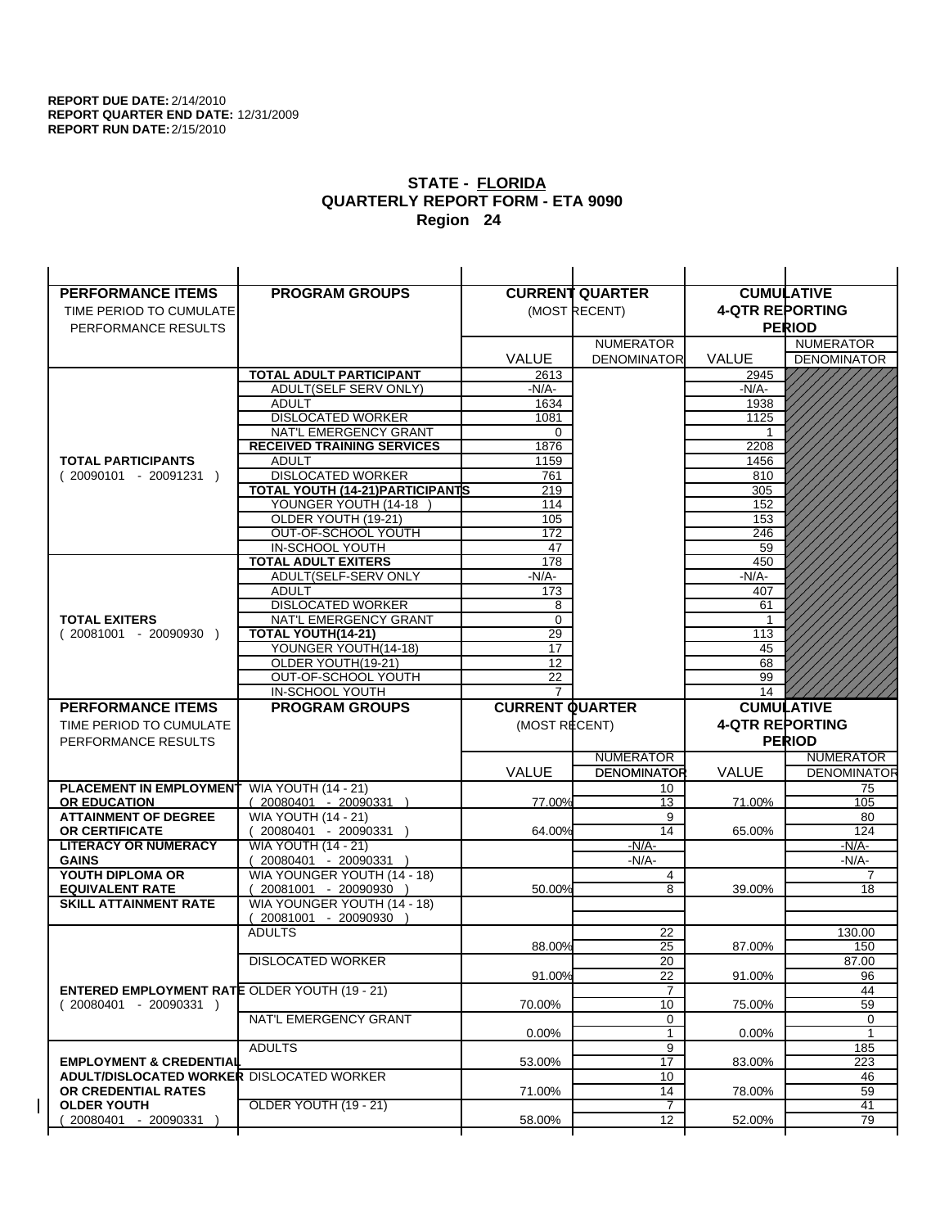| <b>PERFORMANCE ITEMS</b>                             | <b>PROGRAM GROUPS</b>                  |                        | <b>CURRENT QUARTER</b> |                        | <b>CUMULATIVE</b>  |
|------------------------------------------------------|----------------------------------------|------------------------|------------------------|------------------------|--------------------|
| TIME PERIOD TO CUMULATE                              |                                        |                        | (MOST RECENT)          | <b>4-QTR REPORTING</b> |                    |
| PERFORMANCE RESULTS                                  |                                        |                        |                        |                        | <b>PERIOD</b>      |
|                                                      |                                        |                        | <b>NUMERATOR</b>       |                        | <b>NUMERATOR</b>   |
|                                                      |                                        | <b>VALUE</b>           | <b>DENOMINATOR</b>     | <b>VALUE</b>           | <b>DENOMINATOR</b> |
|                                                      | TOTAL ADULT PARTICIPANT                | 2613                   |                        | 2945                   |                    |
|                                                      | ADULT(SELF SERV ONLY)                  | -N/A-                  |                        | -N/A-                  |                    |
|                                                      | <b>ADULT</b>                           | 1634                   |                        | 1938                   |                    |
|                                                      | <b>DISLOCATED WORKER</b>               | 1081                   |                        | 1125                   |                    |
|                                                      | NAT'L EMERGENCY GRANT                  | 0                      |                        |                        |                    |
|                                                      | <b>RECEIVED TRAINING SERVICES</b>      | 1876                   |                        | 2208                   |                    |
| <b>TOTAL PARTICIPANTS</b>                            | <b>ADULT</b>                           | 1159                   |                        | 1456                   |                    |
| $(20090101 - 20091231)$                              | <b>DISLOCATED WORKER</b>               | 761                    |                        | 810                    |                    |
|                                                      | TOTAL YOUTH (14-21) PARTICIPANTS       | 219                    |                        | 305                    |                    |
|                                                      | YOUNGER YOUTH (14-18                   | 114                    |                        | 152                    |                    |
|                                                      | OLDER YOUTH (19-21)                    | 105                    |                        | 153                    |                    |
|                                                      | OUT-OF-SCHOOL YOUTH<br>IN-SCHOOL YOUTH | 172                    |                        | 246<br>59              |                    |
|                                                      | <b>TOTAL ADULT EXITERS</b>             | 47<br>178              |                        | 450                    |                    |
|                                                      | ADULT(SELF-SERV ONLY                   | $-N/A-$                |                        | $-N/A-$                |                    |
|                                                      | <b>ADULT</b>                           | 173                    |                        | 407                    |                    |
|                                                      | <b>DISLOCATED WORKER</b>               | 8                      |                        | 61                     |                    |
| <b>TOTAL EXITERS</b>                                 | NAT'L EMERGENCY GRANT                  | 0                      |                        | -1                     |                    |
| $(20081001 - 20090930)$                              | TOTAL YOUTH(14-21)                     | 29                     |                        | 113                    |                    |
|                                                      | YOUNGER YOUTH(14-18)                   | 17                     |                        | 45                     |                    |
|                                                      | OLDER YOUTH(19-21)                     | 12                     |                        | 68                     |                    |
|                                                      | OUT-OF-SCHOOL YOUTH                    | 22                     |                        | 99                     |                    |
|                                                      | IN-SCHOOL YOUTH                        | $\overline{7}$         |                        | 14                     |                    |
|                                                      |                                        |                        |                        |                        |                    |
| <b>PERFORMANCE ITEMS</b>                             | <b>PROGRAM GROUPS</b>                  | <b>CURRENT QUARTER</b> |                        |                        | <b>CUMULATIVE</b>  |
| TIME PERIOD TO CUMULATE                              |                                        | (MOST RECENT)          |                        | <b>4-QTR REPORTING</b> |                    |
| PERFORMANCE RESULTS                                  |                                        |                        |                        |                        | <b>PERIOD</b>      |
|                                                      |                                        |                        | <b>NUMERATOR</b>       |                        | <b>NUMERATOR</b>   |
|                                                      |                                        | <b>VALUE</b>           | <b>DENOMINATOR</b>     | <b>VALUE</b>           | <b>DENOMINATOR</b> |
| PLACEMENT IN EMPLOYMENT                              | <b>WIA YOUTH (14 - 21)</b>             |                        | 10                     |                        | 75                 |
| <b>OR EDUCATION</b>                                  | (20080401 - 20090331 )                 | 77.00%                 | 13                     | 71.00%                 | 105                |
| <b>ATTAINMENT OF DEGREE</b>                          | <b>WIA YOUTH (14 - 21)</b>             |                        | 9                      |                        | 80                 |
| <b>OR CERTIFICATE</b>                                | $(20080401 - 20090331)$                | 64.00%                 | 14                     | 65.00%                 | 124                |
| <b>LITERACY OR NUMERACY</b>                          | <b>WIA YOUTH (14 - 21)</b>             |                        | $-N/A-$                |                        | -N/A-              |
| <b>GAINS</b>                                         | 20080401 - 20090331                    |                        | $-N/A-$                |                        | $-N/A-$            |
| YOUTH DIPLOMA OR                                     | WIA YOUNGER YOUTH (14 - 18)            |                        | 4                      |                        | $\overline{7}$     |
| <b>EQUIVALENT RATE</b>                               | 20081001 - 20090930 )                  | 50.00%                 | 8                      | 39.00%                 | 18                 |
| <b>SKILL ATTAINMENT RATE</b>                         | WIA YOUNGER YOUTH (14 - 18)            |                        |                        |                        |                    |
|                                                      | (20081001 - 20090930                   |                        |                        |                        |                    |
|                                                      | <b>ADULTS</b>                          | 88.00%                 | 22<br>25               | 87.00%                 | 130.00<br>150      |
|                                                      | <b>DISLOCATED WORKER</b>               |                        | $\overline{20}$        |                        | 87.00              |
|                                                      |                                        | 91.00%                 | 22                     | 91.00%                 | 96                 |
| <b>ENTERED EMPLOYMENT RATE OLDER YOUTH (19 - 21)</b> |                                        |                        | $\overline{7}$         |                        | 44                 |
| $(20080401 - 20090331)$                              |                                        | 70.00%                 | 10                     | 75.00%                 | 59                 |
|                                                      | NAT'L EMERGENCY GRANT                  |                        | 0                      |                        | 0                  |
|                                                      |                                        | 0.00%                  | 1                      | 0.00%                  | $\mathbf{1}$       |
|                                                      | <b>ADULTS</b>                          |                        | 9                      |                        | 185                |
| <b>EMPLOYMENT &amp; CREDENTIAL</b>                   |                                        | 53.00%                 | $\overline{17}$        | 83.00%                 | 223                |
| <b>ADULT/DISLOCATED WORKER DISLOCATED WORKER</b>     |                                        |                        | 10                     |                        | 46                 |
| OR CREDENTIAL RATES                                  |                                        | 71.00%                 | 14                     | 78.00%                 | 59                 |
| <b>OLDER YOUTH</b><br>20080401 - 20090331            | <b>OLDER YOUTH (19 - 21)</b>           | 58.00%                 | 7<br>12                | 52.00%                 | 41<br>79           |